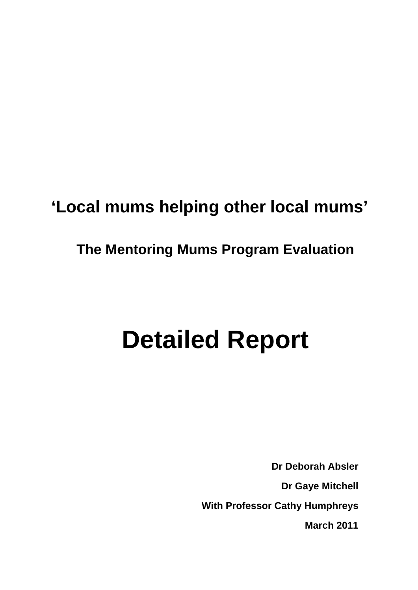# **'Local mums helping other local mums'**

# **The Mentoring Mums Program Evaluation**

# **Detailed Report**

**Dr Deborah Absler Dr Gaye Mitchell With Professor Cathy Humphreys** 

**March 2011**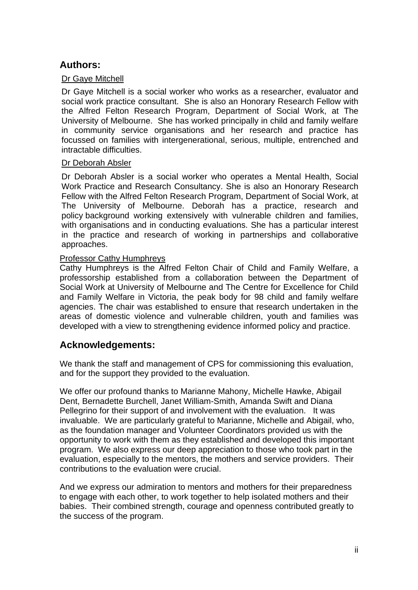# **Authors:**

#### Dr Gaye Mitchell

Dr Gaye Mitchell is a social worker who works as a researcher, evaluator and social work practice consultant. She is also an Honorary Research Fellow with the Alfred Felton Research Program, Department of Social Work, at The University of Melbourne. She has worked principally in child and family welfare in community service organisations and her research and practice has focussed on families with intergenerational, serious, multiple, entrenched and intractable difficulties.

#### Dr Deborah Absler

Dr Deborah Absler is a social worker who operates a Mental Health, Social Work Practice and Research Consultancy. She is also an Honorary Research Fellow with the Alfred Felton Research Program, Department of Social Work, at The University of Melbourne. Deborah has a practice, research and policy background working extensively with vulnerable children and families, with organisations and in conducting evaluations. She has a particular interest in the practice and research of working in partnerships and collaborative approaches.

#### Professor Cathy Humphreys

Cathy Humphreys is the Alfred Felton Chair of Child and Family Welfare, a professorship established from a collaboration between the Department of Social Work at University of Melbourne and The Centre for Excellence for Child and Family Welfare in Victoria, the peak body for 98 child and family welfare agencies. The chair was established to ensure that research undertaken in the areas of domestic violence and vulnerable children, youth and families was developed with a view to strengthening evidence informed policy and practice.

## **Acknowledgements:**

We thank the staff and management of CPS for commissioning this evaluation, and for the support they provided to the evaluation.

We offer our profound thanks to Marianne Mahony, Michelle Hawke, Abigail Dent, Bernadette Burchell, Janet William-Smith, Amanda Swift and Diana Pellegrino for their support of and involvement with the evaluation. It was invaluable. We are particularly grateful to Marianne, Michelle and Abigail, who, as the foundation manager and Volunteer Coordinators provided us with the opportunity to work with them as they established and developed this important program. We also express our deep appreciation to those who took part in the evaluation, especially to the mentors, the mothers and service providers. Their contributions to the evaluation were crucial.

And we express our admiration to mentors and mothers for their preparedness to engage with each other, to work together to help isolated mothers and their babies. Their combined strength, courage and openness contributed greatly to the success of the program.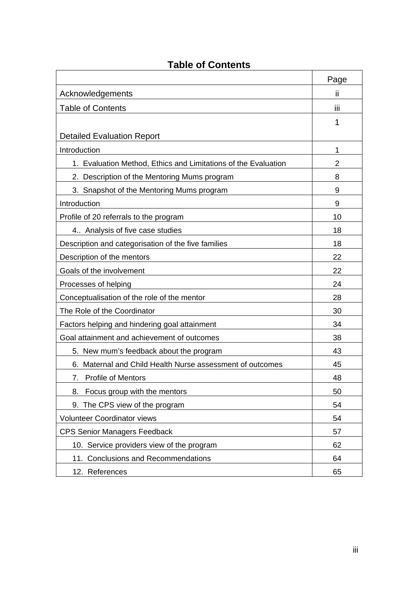|                                                                | Page           |
|----------------------------------------------------------------|----------------|
| Acknowledgements                                               | ii             |
| <b>Table of Contents</b>                                       | iii            |
|                                                                | 1              |
| <b>Detailed Evaluation Report</b>                              |                |
| Introduction                                                   | 1              |
| 1. Evaluation Method, Ethics and Limitations of the Evaluation | $\overline{2}$ |
| 2. Description of the Mentoring Mums program                   | 8              |
| 3. Snapshot of the Mentoring Mums program                      | 9              |
| Introduction                                                   | 9              |
| Profile of 20 referrals to the program                         | 10             |
| 4. Analysis of five case studies                               | 18             |
| Description and categorisation of the five families            | 18             |
| Description of the mentors                                     | 22             |
| Goals of the involvement                                       | 22             |
| Processes of helping                                           | 24             |
| Conceptualisation of the role of the mentor                    | 28             |
| The Role of the Coordinator                                    | 30             |
| Factors helping and hindering goal attainment                  | 34             |
| Goal attainment and achievement of outcomes                    | 38             |
| 5. New mum's feedback about the program                        | 43             |
| 6. Maternal and Child Health Nurse assessment of outcomes      | 45             |
| <b>Profile of Mentors</b><br>7.                                | 48             |
| Focus group with the mentors<br>8.                             | 50             |
| 9. The CPS view of the program                                 | 54             |
| <b>Volunteer Coordinator views</b>                             | 54             |
| <b>CPS Senior Managers Feedback</b>                            | 57             |
| 10. Service providers view of the program                      | 62             |
| 11. Conclusions and Recommendations                            | 64             |
| 12. References                                                 | 65             |

# **Table of Contents**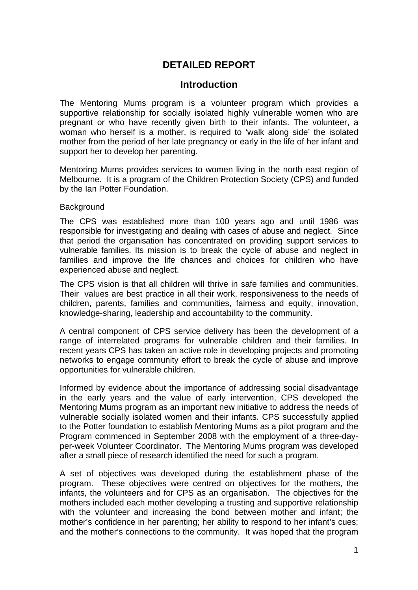# **DETAILED REPORT**

#### **Introduction**

The Mentoring Mums program is a volunteer program which provides a supportive relationship for socially isolated highly vulnerable women who are pregnant or who have recently given birth to their infants. The volunteer, a woman who herself is a mother, is required to 'walk along side' the isolated mother from the period of her late pregnancy or early in the life of her infant and support her to develop her parenting.

Mentoring Mums provides services to women living in the north east region of Melbourne. It is a program of the Children Protection Society (CPS) and funded by the Ian Potter Foundation.

#### **Background**

The CPS was established more than 100 years ago and until 1986 was responsible for investigating and dealing with cases of abuse and neglect. Since that period the organisation has concentrated on providing support services to vulnerable families. Its mission is to break the cycle of abuse and neglect in families and improve the life chances and choices for children who have experienced abuse and neglect.

The CPS vision is that all children will thrive in safe families and communities. Their values are best practice in all their work, responsiveness to the needs of children, parents, families and communities, fairness and equity, innovation, knowledge-sharing, leadership and accountability to the community.

A central component of CPS service delivery has been the development of a range of interrelated programs for vulnerable children and their families. In recent years CPS has taken an active role in developing projects and promoting networks to engage community effort to break the cycle of abuse and improve opportunities for vulnerable children.

Informed by evidence about the importance of addressing social disadvantage in the early years and the value of early intervention, CPS developed the Mentoring Mums program as an important new initiative to address the needs of vulnerable socially isolated women and their infants. CPS successfully applied to the Potter foundation to establish Mentoring Mums as a pilot program and the Program commenced in September 2008 with the employment of a three-dayper-week Volunteer Coordinator. The Mentoring Mums program was developed after a small piece of research identified the need for such a program.

A set of objectives was developed during the establishment phase of the program. These objectives were centred on objectives for the mothers, the infants, the volunteers and for CPS as an organisation. The objectives for the mothers included each mother developing a trusting and supportive relationship with the volunteer and increasing the bond between mother and infant; the mother's confidence in her parenting; her ability to respond to her infant's cues; and the mother's connections to the community. It was hoped that the program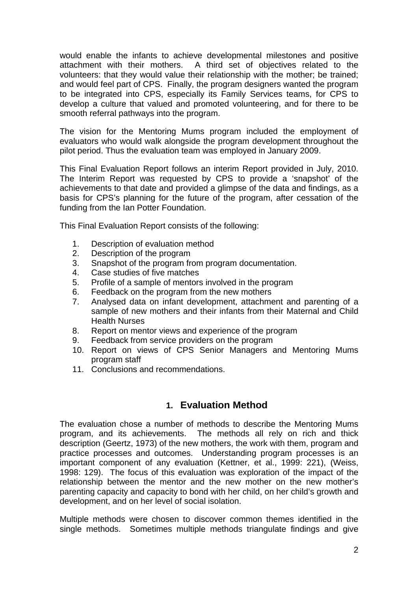would enable the infants to achieve developmental milestones and positive attachment with their mothers. A third set of objectives related to the volunteers: that they would value their relationship with the mother; be trained; and would feel part of CPS. Finally, the program designers wanted the program to be integrated into CPS, especially its Family Services teams, for CPS to develop a culture that valued and promoted volunteering, and for there to be smooth referral pathways into the program.

The vision for the Mentoring Mums program included the employment of evaluators who would walk alongside the program development throughout the pilot period. Thus the evaluation team was employed in January 2009.

This Final Evaluation Report follows an interim Report provided in July, 2010. The Interim Report was requested by CPS to provide a 'snapshot' of the achievements to that date and provided a glimpse of the data and findings, as a basis for CPS's planning for the future of the program, after cessation of the funding from the Ian Potter Foundation.

This Final Evaluation Report consists of the following:

- 1. Description of evaluation method
- 2. Description of the program
- 3. Snapshot of the program from program documentation.
- 4. Case studies of five matches
- 5. Profile of a sample of mentors involved in the program
- 6. Feedback on the program from the new mothers
- 7. Analysed data on infant development, attachment and parenting of a sample of new mothers and their infants from their Maternal and Child Health Nurses
- 8. Report on mentor views and experience of the program
- 9. Feedback from service providers on the program
- 10. Report on views of CPS Senior Managers and Mentoring Mums program staff
- 11. Conclusions and recommendations.

## **1. Evaluation Method**

The evaluation chose a number of methods to describe the Mentoring Mums program, and its achievements. The methods all rely on rich and thick description (Geertz, 1973) of the new mothers, the work with them, program and practice processes and outcomes. Understanding program processes is an important component of any evaluation (Kettner, et al., 1999: 221), (Weiss, 1998: 129). The focus of this evaluation was exploration of the impact of the relationship between the mentor and the new mother on the new mother's parenting capacity and capacity to bond with her child, on her child's growth and development, and on her level of social isolation.

Multiple methods were chosen to discover common themes identified in the single methods. Sometimes multiple methods triangulate findings and give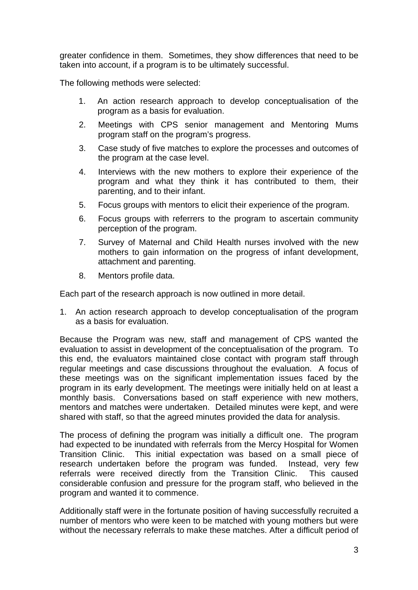greater confidence in them. Sometimes, they show differences that need to be taken into account, if a program is to be ultimately successful.

The following methods were selected:

- 1. An action research approach to develop conceptualisation of the program as a basis for evaluation.
- 2. Meetings with CPS senior management and Mentoring Mums program staff on the program's progress.
- 3. Case study of five matches to explore the processes and outcomes of the program at the case level.
- 4. Interviews with the new mothers to explore their experience of the program and what they think it has contributed to them, their parenting, and to their infant.
- 5. Focus groups with mentors to elicit their experience of the program.
- 6. Focus groups with referrers to the program to ascertain community perception of the program.
- 7. Survey of Maternal and Child Health nurses involved with the new mothers to gain information on the progress of infant development, attachment and parenting.
- 8. Mentors profile data.

Each part of the research approach is now outlined in more detail.

1. An action research approach to develop conceptualisation of the program as a basis for evaluation.

Because the Program was new, staff and management of CPS wanted the evaluation to assist in development of the conceptualisation of the program. To this end, the evaluators maintained close contact with program staff through regular meetings and case discussions throughout the evaluation. A focus of these meetings was on the significant implementation issues faced by the program in its early development. The meetings were initially held on at least a monthly basis. Conversations based on staff experience with new mothers, mentors and matches were undertaken. Detailed minutes were kept, and were shared with staff, so that the agreed minutes provided the data for analysis.

The process of defining the program was initially a difficult one. The program had expected to be inundated with referrals from the Mercy Hospital for Women Transition Clinic. This initial expectation was based on a small piece of research undertaken before the program was funded. Instead, very few referrals were received directly from the Transition Clinic. This caused considerable confusion and pressure for the program staff, who believed in the program and wanted it to commence.

Additionally staff were in the fortunate position of having successfully recruited a number of mentors who were keen to be matched with young mothers but were without the necessary referrals to make these matches. After a difficult period of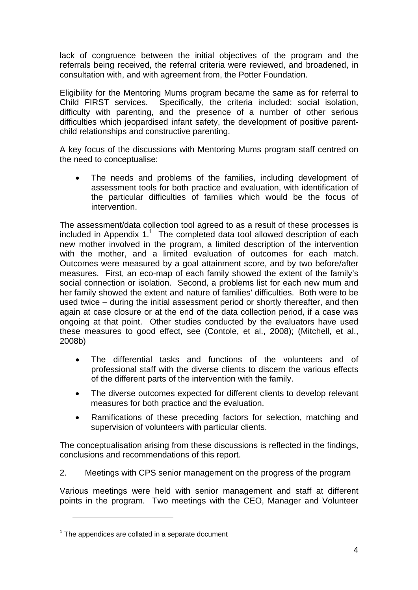lack of congruence between the initial objectives of the program and the referrals being received, the referral criteria were reviewed, and broadened, in consultation with, and with agreement from, the Potter Foundation.

Eligibility for the Mentoring Mums program became the same as for referral to Child FIRST services. Specifically, the criteria included: social isolation, difficulty with parenting, and the presence of a number of other serious difficulties which jeopardised infant safety, the development of positive parentchild relationships and constructive parenting.

A key focus of the discussions with Mentoring Mums program staff centred on the need to conceptualise:

The needs and problems of the families, including development of assessment tools for both practice and evaluation, with identification of the particular difficulties of families which would be the focus of intervention.

The assessment/data collection tool agreed to as a result of these processes is included in Appendix  $1<sup>1</sup>$  The completed data tool allowed description of each new mother involved in the program, a limited description of the intervention with the mother, and a limited evaluation of outcomes for each match. Outcomes were measured by a goal attainment score, and by two before/after measures. First, an eco-map of each family showed the extent of the family's social connection or isolation. Second, a problems list for each new mum and her family showed the extent and nature of families' difficulties. Both were to be used twice – during the initial assessment period or shortly thereafter, and then again at case closure or at the end of the data collection period, if a case was ongoing at that point. Other studies conducted by the evaluators have used these measures to good effect, see (Contole, et al., 2008); (Mitchell, et al., 2008b)

- The differential tasks and functions of the volunteers and of professional staff with the diverse clients to discern the various effects of the different parts of the intervention with the family.
- The diverse outcomes expected for different clients to develop relevant measures for both practice and the evaluation.
- Ramifications of these preceding factors for selection, matching and supervision of volunteers with particular clients.

The conceptualisation arising from these discussions is reflected in the findings, conclusions and recommendations of this report.

2. Meetings with CPS senior management on the progress of the program

Various meetings were held with senior management and staff at different points in the program. Two meetings with the CEO, Manager and Volunteer

1

 $1$  The appendices are collated in a separate document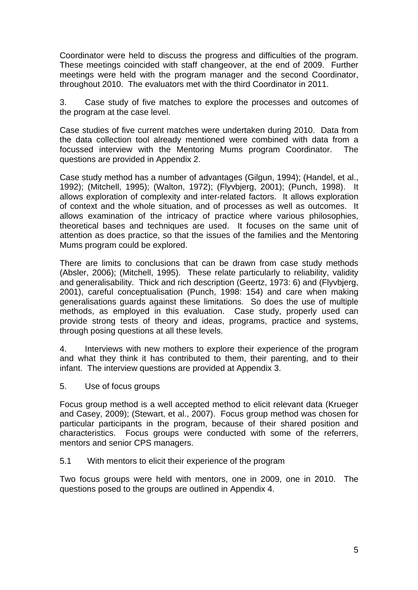Coordinator were held to discuss the progress and difficulties of the program. These meetings coincided with staff changeover, at the end of 2009. Further meetings were held with the program manager and the second Coordinator, throughout 2010. The evaluators met with the third Coordinator in 2011.

3. Case study of five matches to explore the processes and outcomes of the program at the case level.

Case studies of five current matches were undertaken during 2010. Data from the data collection tool already mentioned were combined with data from a focussed interview with the Mentoring Mums program Coordinator. The questions are provided in Appendix 2.

Case study method has a number of advantages (Gilgun, 1994); (Handel, et al., 1992); (Mitchell, 1995); (Walton, 1972); (Flyvbjerg, 2001); (Punch, 1998). It allows exploration of complexity and inter-related factors. It allows exploration of context and the whole situation, and of processes as well as outcomes. It allows examination of the intricacy of practice where various philosophies, theoretical bases and techniques are used. It focuses on the same unit of attention as does practice, so that the issues of the families and the Mentoring Mums program could be explored.

There are limits to conclusions that can be drawn from case study methods (Absler, 2006); (Mitchell, 1995). These relate particularly to reliability, validity and generalisability. Thick and rich description (Geertz, 1973: 6) and (Flyvbjerg, 2001), careful conceptualisation (Punch, 1998: 154) and care when making generalisations guards against these limitations. So does the use of multiple methods, as employed in this evaluation. Case study, properly used can provide strong tests of theory and ideas, programs, practice and systems, through posing questions at all these levels.

4. Interviews with new mothers to explore their experience of the program and what they think it has contributed to them, their parenting, and to their infant. The interview questions are provided at Appendix 3.

5. Use of focus groups

Focus group method is a well accepted method to elicit relevant data (Krueger and Casey, 2009); (Stewart, et al., 2007). Focus group method was chosen for particular participants in the program, because of their shared position and characteristics. Focus groups were conducted with some of the referrers, mentors and senior CPS managers.

5.1 With mentors to elicit their experience of the program

Two focus groups were held with mentors, one in 2009, one in 2010. The questions posed to the groups are outlined in Appendix 4.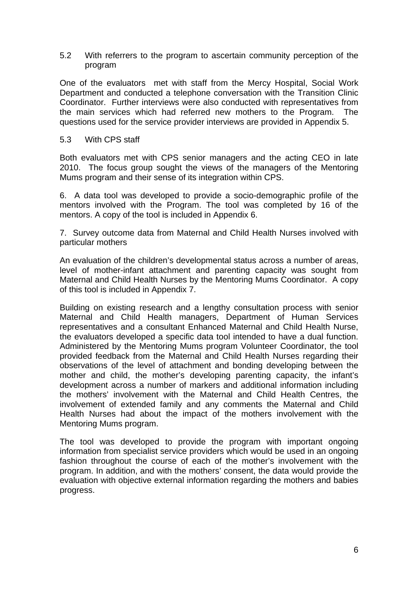#### 5.2 With referrers to the program to ascertain community perception of the program

One of the evaluators met with staff from the Mercy Hospital, Social Work Department and conducted a telephone conversation with the Transition Clinic Coordinator. Further interviews were also conducted with representatives from the main services which had referred new mothers to the Program. The questions used for the service provider interviews are provided in Appendix 5.

#### 5.3 With CPS staff

Both evaluators met with CPS senior managers and the acting CEO in late 2010. The focus group sought the views of the managers of the Mentoring Mums program and their sense of its integration within CPS.

6. A data tool was developed to provide a socio-demographic profile of the mentors involved with the Program. The tool was completed by 16 of the mentors. A copy of the tool is included in Appendix 6.

7. Survey outcome data from Maternal and Child Health Nurses involved with particular mothers

An evaluation of the children's developmental status across a number of areas, level of mother-infant attachment and parenting capacity was sought from Maternal and Child Health Nurses by the Mentoring Mums Coordinator. A copy of this tool is included in Appendix 7.

Building on existing research and a lengthy consultation process with senior Maternal and Child Health managers, Department of Human Services representatives and a consultant Enhanced Maternal and Child Health Nurse, the evaluators developed a specific data tool intended to have a dual function. Administered by the Mentoring Mums program Volunteer Coordinator, the tool provided feedback from the Maternal and Child Health Nurses regarding their observations of the level of attachment and bonding developing between the mother and child, the mother's developing parenting capacity, the infant's development across a number of markers and additional information including the mothers' involvement with the Maternal and Child Health Centres, the involvement of extended family and any comments the Maternal and Child Health Nurses had about the impact of the mothers involvement with the Mentoring Mums program.

The tool was developed to provide the program with important ongoing information from specialist service providers which would be used in an ongoing fashion throughout the course of each of the mother's involvement with the program. In addition, and with the mothers' consent, the data would provide the evaluation with objective external information regarding the mothers and babies progress.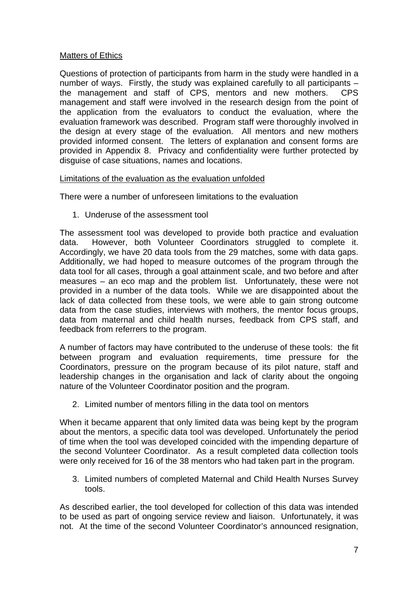#### Matters of Ethics

Questions of protection of participants from harm in the study were handled in a number of ways. Firstly, the study was explained carefully to all participants – the management and staff of CPS, mentors and new mothers. CPS management and staff were involved in the research design from the point of the application from the evaluators to conduct the evaluation, where the evaluation framework was described. Program staff were thoroughly involved in the design at every stage of the evaluation. All mentors and new mothers provided informed consent. The letters of explanation and consent forms are provided in Appendix 8. Privacy and confidentiality were further protected by disguise of case situations, names and locations.

#### Limitations of the evaluation as the evaluation unfolded

There were a number of unforeseen limitations to the evaluation

1. Underuse of the assessment tool

The assessment tool was developed to provide both practice and evaluation data. However, both Volunteer Coordinators struggled to complete it. Accordingly, we have 20 data tools from the 29 matches, some with data gaps. Additionally, we had hoped to measure outcomes of the program through the data tool for all cases, through a goal attainment scale, and two before and after measures – an eco map and the problem list. Unfortunately, these were not provided in a number of the data tools. While we are disappointed about the lack of data collected from these tools, we were able to gain strong outcome data from the case studies, interviews with mothers, the mentor focus groups, data from maternal and child health nurses, feedback from CPS staff, and feedback from referrers to the program.

A number of factors may have contributed to the underuse of these tools: the fit between program and evaluation requirements, time pressure for the Coordinators, pressure on the program because of its pilot nature, staff and leadership changes in the organisation and lack of clarity about the ongoing nature of the Volunteer Coordinator position and the program.

2. Limited number of mentors filling in the data tool on mentors

When it became apparent that only limited data was being kept by the program about the mentors, a specific data tool was developed. Unfortunately the period of time when the tool was developed coincided with the impending departure of the second Volunteer Coordinator. As a result completed data collection tools were only received for 16 of the 38 mentors who had taken part in the program.

3. Limited numbers of completed Maternal and Child Health Nurses Survey tools.

As described earlier, the tool developed for collection of this data was intended to be used as part of ongoing service review and liaison. Unfortunately, it was not. At the time of the second Volunteer Coordinator's announced resignation,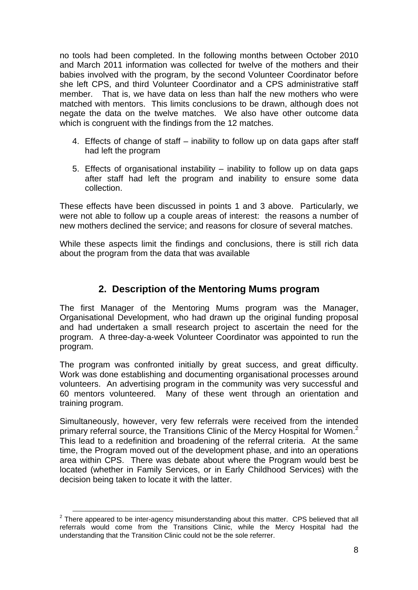no tools had been completed. In the following months between October 2010 and March 2011 information was collected for twelve of the mothers and their babies involved with the program, by the second Volunteer Coordinator before she left CPS, and third Volunteer Coordinator and a CPS administrative staff member. That is, we have data on less than half the new mothers who were matched with mentors. This limits conclusions to be drawn, although does not negate the data on the twelve matches. We also have other outcome data which is congruent with the findings from the 12 matches.

- 4. Effects of change of staff inability to follow up on data gaps after staff had left the program
- 5. Effects of organisational instability inability to follow up on data gaps after staff had left the program and inability to ensure some data collection.

These effects have been discussed in points 1 and 3 above. Particularly, we were not able to follow up a couple areas of interest: the reasons a number of new mothers declined the service; and reasons for closure of several matches.

While these aspects limit the findings and conclusions, there is still rich data about the program from the data that was available

# **2. Description of the Mentoring Mums program**

The first Manager of the Mentoring Mums program was the Manager, Organisational Development, who had drawn up the original funding proposal and had undertaken a small research project to ascertain the need for the program. A three-day-a-week Volunteer Coordinator was appointed to run the program.

The program was confronted initially by great success, and great difficulty. Work was done establishing and documenting organisational processes around volunteers. An advertising program in the community was very successful and 60 mentors volunteered. Many of these went through an orientation and training program.

Simultaneously, however, very few referrals were received from the intended primary referral source, the Transitions Clinic of the Mercy Hospital for Women.<sup>2</sup> This lead to a redefinition and broadening of the referral criteria. At the same time, the Program moved out of the development phase, and into an operations area within CPS. There was debate about where the Program would best be located (whether in Family Services, or in Early Childhood Services) with the decision being taken to locate it with the latter.

**EXECUTE:**<br><sup>2</sup> There appeared to be inter-agency misunderstanding about this matter. CPS believed that all referrals would come from the Transitions Clinic, while the Mercy Hospital had the understanding that the Transition Clinic could not be the sole referrer.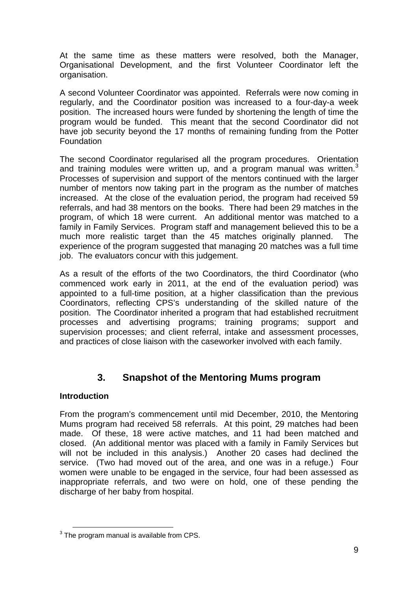At the same time as these matters were resolved, both the Manager, Organisational Development, and the first Volunteer Coordinator left the organisation.

A second Volunteer Coordinator was appointed. Referrals were now coming in regularly, and the Coordinator position was increased to a four-day-a week position. The increased hours were funded by shortening the length of time the program would be funded. This meant that the second Coordinator did not have job security beyond the 17 months of remaining funding from the Potter Foundation

The second Coordinator regularised all the program procedures. Orientation and training modules were written up, and a program manual was written. $3$ Processes of supervision and support of the mentors continued with the larger number of mentors now taking part in the program as the number of matches increased. At the close of the evaluation period, the program had received 59 referrals, and had 38 mentors on the books. There had been 29 matches in the program, of which 18 were current. An additional mentor was matched to a family in Family Services. Program staff and management believed this to be a much more realistic target than the 45 matches originally planned. The experience of the program suggested that managing 20 matches was a full time job. The evaluators concur with this judgement.

As a result of the efforts of the two Coordinators, the third Coordinator (who commenced work early in 2011, at the end of the evaluation period) was appointed to a full-time position, at a higher classification than the previous Coordinators, reflecting CPS's understanding of the skilled nature of the position. The Coordinator inherited a program that had established recruitment processes and advertising programs; training programs; support and supervision processes; and client referral, intake and assessment processes, and practices of close liaison with the caseworker involved with each family.

# **3. Snapshot of the Mentoring Mums program**

#### **Introduction**

From the program's commencement until mid December, 2010, the Mentoring Mums program had received 58 referrals. At this point, 29 matches had been made. Of these, 18 were active matches, and 11 had been matched and closed. (An additional mentor was placed with a family in Family Services but will not be included in this analysis.) Another 20 cases had declined the service. (Two had moved out of the area, and one was in a refuge.) Four women were unable to be engaged in the service, four had been assessed as inappropriate referrals, and two were on hold, one of these pending the discharge of her baby from hospital.

**EXECUTE:**<br><sup>3</sup> The program manual is available from CPS.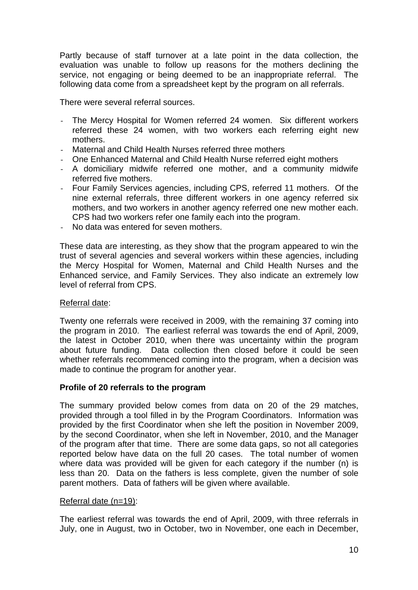Partly because of staff turnover at a late point in the data collection, the evaluation was unable to follow up reasons for the mothers declining the service, not engaging or being deemed to be an inappropriate referral. The following data come from a spreadsheet kept by the program on all referrals.

There were several referral sources.

- The Mercy Hospital for Women referred 24 women. Six different workers referred these 24 women, with two workers each referring eight new mothers.
- Maternal and Child Health Nurses referred three mothers
- One Enhanced Maternal and Child Health Nurse referred eight mothers
- A domiciliary midwife referred one mother, and a community midwife referred five mothers.
- Four Family Services agencies, including CPS, referred 11 mothers. Of the nine external referrals, three different workers in one agency referred six mothers, and two workers in another agency referred one new mother each. CPS had two workers refer one family each into the program.
- No data was entered for seven mothers.

These data are interesting, as they show that the program appeared to win the trust of several agencies and several workers within these agencies, including the Mercy Hospital for Women, Maternal and Child Health Nurses and the Enhanced service, and Family Services. They also indicate an extremely low level of referral from CPS.

#### Referral date:

Twenty one referrals were received in 2009, with the remaining 37 coming into the program in 2010. The earliest referral was towards the end of April, 2009, the latest in October 2010, when there was uncertainty within the program about future funding. Data collection then closed before it could be seen whether referrals recommenced coming into the program, when a decision was made to continue the program for another year.

#### **Profile of 20 referrals to the program**

The summary provided below comes from data on 20 of the 29 matches, provided through a tool filled in by the Program Coordinators. Information was provided by the first Coordinator when she left the position in November 2009, by the second Coordinator, when she left in November, 2010, and the Manager of the program after that time. There are some data gaps, so not all categories reported below have data on the full 20 cases. The total number of women where data was provided will be given for each category if the number (n) is less than 20. Data on the fathers is less complete, given the number of sole parent mothers. Data of fathers will be given where available.

#### Referral date (n=19):

The earliest referral was towards the end of April, 2009, with three referrals in July, one in August, two in October, two in November, one each in December,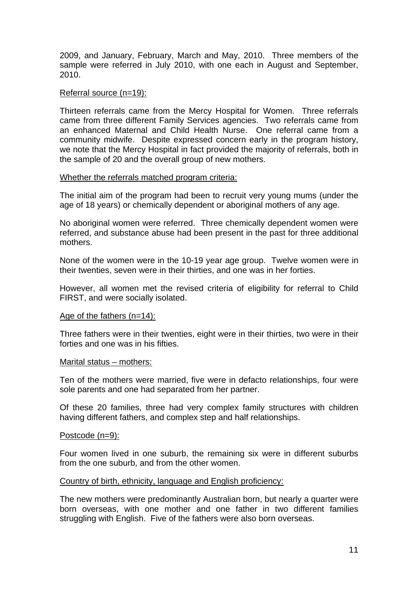2009, and January, February, March and May, 2010. Three members of the sample were referred in July 2010, with one each in August and September, 2010.

#### Referral source (n=19):

Thirteen referrals came from the Mercy Hospital for Women. Three referrals came from three different Family Services agencies. Two referrals came from an enhanced Maternal and Child Health Nurse. One referral came from a community midwife. Despite expressed concern early in the program history, we note that the Mercy Hospital in fact provided the majority of referrals, both in the sample of 20 and the overall group of new mothers.

#### Whether the referrals matched program criteria:

The initial aim of the program had been to recruit very young mums (under the age of 18 years) or chemically dependent or aboriginal mothers of any age.

No aboriginal women were referred. Three chemically dependent women were referred, and substance abuse had been present in the past for three additional mothers.

None of the women were in the 10-19 year age group. Twelve women were in their twenties, seven were in their thirties, and one was in her forties.

However, all women met the revised criteria of eligibility for referral to Child FIRST, and were socially isolated.

#### Age of the fathers (n=14):

Three fathers were in their twenties, eight were in their thirties, two were in their forties and one was in his fifties.

#### Marital status – mothers:

Ten of the mothers were married, five were in defacto relationships, four were sole parents and one had separated from her partner.

Of these 20 families, three had very complex family structures with children having different fathers, and complex step and half relationships.

#### Postcode (n=9):

Four women lived in one suburb, the remaining six were in different suburbs from the one suburb, and from the other women.

#### Country of birth, ethnicity, language and English proficiency:

The new mothers were predominantly Australian born, but nearly a quarter were born overseas, with one mother and one father in two different families struggling with English. Five of the fathers were also born overseas.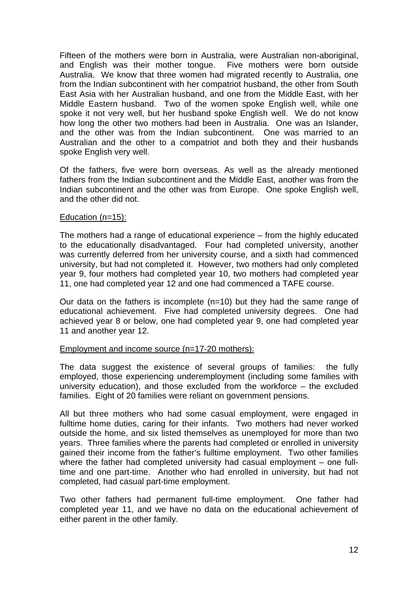Fifteen of the mothers were born in Australia, were Australian non-aboriginal, and English was their mother tongue. Five mothers were born outside Australia. We know that three women had migrated recently to Australia, one from the Indian subcontinent with her compatriot husband, the other from South East Asia with her Australian husband, and one from the Middle East, with her Middle Eastern husband. Two of the women spoke English well, while one spoke it not very well, but her husband spoke English well. We do not know how long the other two mothers had been in Australia. One was an Islander, and the other was from the Indian subcontinent. One was married to an Australian and the other to a compatriot and both they and their husbands spoke English very well.

Of the fathers, five were born overseas. As well as the already mentioned fathers from the Indian subcontinent and the Middle East, another was from the Indian subcontinent and the other was from Europe. One spoke English well, and the other did not.

#### Education (n=15):

The mothers had a range of educational experience – from the highly educated to the educationally disadvantaged. Four had completed university, another was currently deferred from her university course, and a sixth had commenced university, but had not completed it. However, two mothers had only completed year 9, four mothers had completed year 10, two mothers had completed year 11, one had completed year 12 and one had commenced a TAFE course.

Our data on the fathers is incomplete (n=10) but they had the same range of educational achievement. Five had completed university degrees. One had achieved year 8 or below, one had completed year 9, one had completed year 11 and another year 12.

#### Employment and income source (n=17-20 mothers):

The data suggest the existence of several groups of families: the fully employed, those experiencing underemployment (including some families with university education), and those excluded from the workforce – the excluded families. Eight of 20 families were reliant on government pensions.

All but three mothers who had some casual employment, were engaged in fulltime home duties, caring for their infants. Two mothers had never worked outside the home, and six listed themselves as unemployed for more than two years. Three families where the parents had completed or enrolled in university gained their income from the father's fulltime employment. Two other families where the father had completed university had casual employment – one fulltime and one part-time. Another who had enrolled in university, but had not completed, had casual part-time employment.

Two other fathers had permanent full-time employment. One father had completed year 11, and we have no data on the educational achievement of either parent in the other family.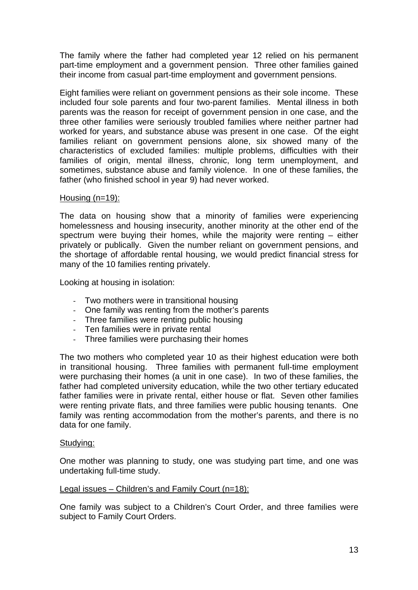The family where the father had completed year 12 relied on his permanent part-time employment and a government pension. Three other families gained their income from casual part-time employment and government pensions.

Eight families were reliant on government pensions as their sole income. These included four sole parents and four two-parent families. Mental illness in both parents was the reason for receipt of government pension in one case, and the three other families were seriously troubled families where neither partner had worked for years, and substance abuse was present in one case. Of the eight families reliant on government pensions alone, six showed many of the characteristics of excluded families: multiple problems, difficulties with their families of origin, mental illness, chronic, long term unemployment, and sometimes, substance abuse and family violence. In one of these families, the father (who finished school in year 9) had never worked.

#### Housing (n=19):

The data on housing show that a minority of families were experiencing homelessness and housing insecurity, another minority at the other end of the spectrum were buying their homes, while the majority were renting – either privately or publically. Given the number reliant on government pensions, and the shortage of affordable rental housing, we would predict financial stress for many of the 10 families renting privately.

Looking at housing in isolation:

- Two mothers were in transitional housing
- One family was renting from the mother's parents
- Three families were renting public housing
- Ten families were in private rental
- Three families were purchasing their homes

The two mothers who completed year 10 as their highest education were both in transitional housing. Three families with permanent full-time employment were purchasing their homes (a unit in one case). In two of these families, the father had completed university education, while the two other tertiary educated father families were in private rental, either house or flat. Seven other families were renting private flats, and three families were public housing tenants. One family was renting accommodation from the mother's parents, and there is no data for one family.

#### Studying:

One mother was planning to study, one was studying part time, and one was undertaking full-time study.

#### Legal issues – Children's and Family Court (n=18):

One family was subject to a Children's Court Order, and three families were subject to Family Court Orders.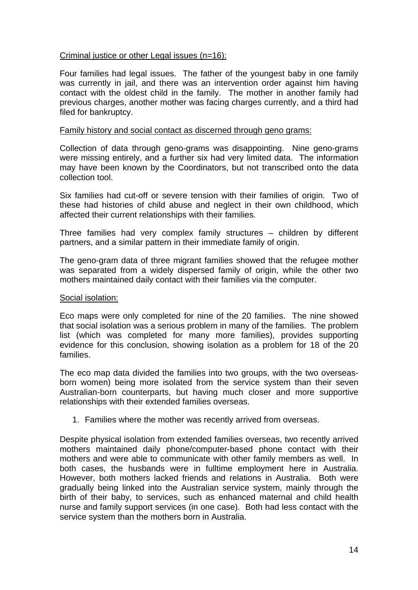#### Criminal justice or other Legal issues (n=16):

Four families had legal issues. The father of the youngest baby in one family was currently in jail, and there was an intervention order against him having contact with the oldest child in the family. The mother in another family had previous charges, another mother was facing charges currently, and a third had filed for bankruptcy.

#### Family history and social contact as discerned through geno grams:

Collection of data through geno-grams was disappointing. Nine geno-grams were missing entirely, and a further six had very limited data. The information may have been known by the Coordinators, but not transcribed onto the data collection tool.

Six families had cut-off or severe tension with their families of origin. Two of these had histories of child abuse and neglect in their own childhood, which affected their current relationships with their families.

Three families had very complex family structures – children by different partners, and a similar pattern in their immediate family of origin.

The geno-gram data of three migrant families showed that the refugee mother was separated from a widely dispersed family of origin, while the other two mothers maintained daily contact with their families via the computer.

#### Social isolation:

Eco maps were only completed for nine of the 20 families. The nine showed that social isolation was a serious problem in many of the families. The problem list (which was completed for many more families), provides supporting evidence for this conclusion, showing isolation as a problem for 18 of the 20 families.

The eco map data divided the families into two groups, with the two overseasborn women) being more isolated from the service system than their seven Australian-born counterparts, but having much closer and more supportive relationships with their extended families overseas.

1. Families where the mother was recently arrived from overseas.

Despite physical isolation from extended families overseas, two recently arrived mothers maintained daily phone/computer-based phone contact with their mothers and were able to communicate with other family members as well. In both cases, the husbands were in fulltime employment here in Australia. However, both mothers lacked friends and relations in Australia. Both were gradually being linked into the Australian service system, mainly through the birth of their baby, to services, such as enhanced maternal and child health nurse and family support services (in one case). Both had less contact with the service system than the mothers born in Australia.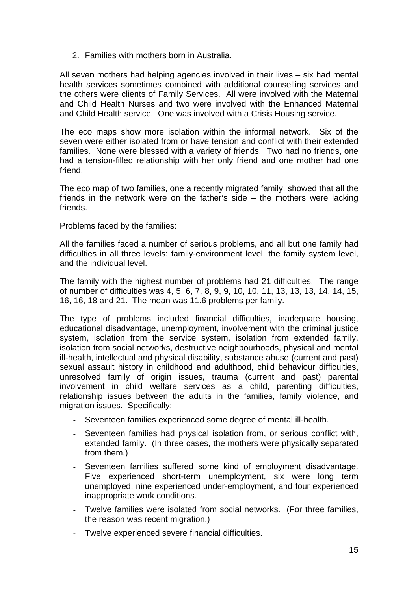2. Families with mothers born in Australia.

All seven mothers had helping agencies involved in their lives – six had mental health services sometimes combined with additional counselling services and the others were clients of Family Services. All were involved with the Maternal and Child Health Nurses and two were involved with the Enhanced Maternal and Child Health service. One was involved with a Crisis Housing service.

The eco maps show more isolation within the informal network. Six of the seven were either isolated from or have tension and conflict with their extended families. None were blessed with a variety of friends. Two had no friends, one had a tension-filled relationship with her only friend and one mother had one friend.

The eco map of two families, one a recently migrated family, showed that all the friends in the network were on the father's side – the mothers were lacking friends.

#### Problems faced by the families:

All the families faced a number of serious problems, and all but one family had difficulties in all three levels: family-environment level, the family system level, and the individual level.

The family with the highest number of problems had 21 difficulties. The range of number of difficulties was 4, 5, 6, 7, 8, 9, 9, 10, 10, 11, 13, 13, 13, 14, 14, 15, 16, 16, 18 and 21. The mean was 11.6 problems per family.

The type of problems included financial difficulties, inadequate housing, educational disadvantage, unemployment, involvement with the criminal justice system, isolation from the service system, isolation from extended family, isolation from social networks, destructive neighbourhoods, physical and mental ill-health, intellectual and physical disability, substance abuse (current and past) sexual assault history in childhood and adulthood, child behaviour difficulties, unresolved family of origin issues, trauma (current and past) parental involvement in child welfare services as a child, parenting difficulties, relationship issues between the adults in the families, family violence, and migration issues. Specifically:

- Seventeen families experienced some degree of mental ill-health.
- Seventeen families had physical isolation from, or serious conflict with, extended family. (In three cases, the mothers were physically separated from them.)
- Seventeen families suffered some kind of employment disadvantage. Five experienced short-term unemployment, six were long term unemployed, nine experienced under-employment, and four experienced inappropriate work conditions.
- Twelve families were isolated from social networks. (For three families, the reason was recent migration.)
- Twelve experienced severe financial difficulties.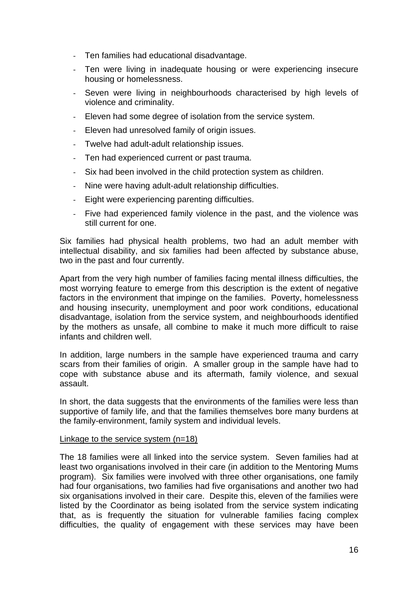- Ten families had educational disadvantage.
- Ten were living in inadequate housing or were experiencing insecure housing or homelessness.
- Seven were living in neighbourhoods characterised by high levels of violence and criminality.
- Eleven had some degree of isolation from the service system.
- Eleven had unresolved family of origin issues.
- Twelve had adult-adult relationship issues.
- Ten had experienced current or past trauma.
- Six had been involved in the child protection system as children.
- Nine were having adult-adult relationship difficulties.
- Eight were experiencing parenting difficulties.
- Five had experienced family violence in the past, and the violence was still current for one.

Six families had physical health problems, two had an adult member with intellectual disability, and six families had been affected by substance abuse, two in the past and four currently.

Apart from the very high number of families facing mental illness difficulties, the most worrying feature to emerge from this description is the extent of negative factors in the environment that impinge on the families. Poverty, homelessness and housing insecurity, unemployment and poor work conditions, educational disadvantage, isolation from the service system, and neighbourhoods identified by the mothers as unsafe, all combine to make it much more difficult to raise infants and children well.

In addition, large numbers in the sample have experienced trauma and carry scars from their families of origin. A smaller group in the sample have had to cope with substance abuse and its aftermath, family violence, and sexual assault.

In short, the data suggests that the environments of the families were less than supportive of family life, and that the families themselves bore many burdens at the family-environment, family system and individual levels.

#### Linkage to the service system (n=18)

The 18 families were all linked into the service system. Seven families had at least two organisations involved in their care (in addition to the Mentoring Mums program). Six families were involved with three other organisations, one family had four organisations, two families had five organisations and another two had six organisations involved in their care. Despite this, eleven of the families were listed by the Coordinator as being isolated from the service system indicating that, as is frequently the situation for vulnerable families facing complex difficulties, the quality of engagement with these services may have been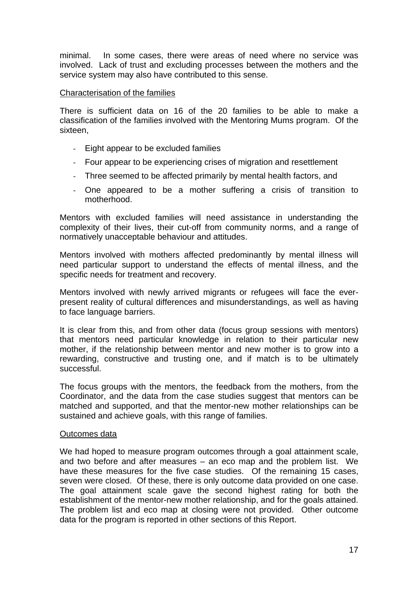minimal. In some cases, there were areas of need where no service was involved. Lack of trust and excluding processes between the mothers and the service system may also have contributed to this sense.

#### Characterisation of the families

There is sufficient data on 16 of the 20 families to be able to make a classification of the families involved with the Mentoring Mums program. Of the sixteen,

- Eight appear to be excluded families
- Four appear to be experiencing crises of migration and resettlement
- Three seemed to be affected primarily by mental health factors, and
- One appeared to be a mother suffering a crisis of transition to motherhood.

Mentors with excluded families will need assistance in understanding the complexity of their lives, their cut-off from community norms, and a range of normatively unacceptable behaviour and attitudes.

Mentors involved with mothers affected predominantly by mental illness will need particular support to understand the effects of mental illness, and the specific needs for treatment and recovery.

Mentors involved with newly arrived migrants or refugees will face the everpresent reality of cultural differences and misunderstandings, as well as having to face language barriers.

It is clear from this, and from other data (focus group sessions with mentors) that mentors need particular knowledge in relation to their particular new mother, if the relationship between mentor and new mother is to grow into a rewarding, constructive and trusting one, and if match is to be ultimately successful.

The focus groups with the mentors, the feedback from the mothers, from the Coordinator, and the data from the case studies suggest that mentors can be matched and supported, and that the mentor-new mother relationships can be sustained and achieve goals, with this range of families.

#### Outcomes data

We had hoped to measure program outcomes through a goal attainment scale. and two before and after measures – an eco map and the problem list. We have these measures for the five case studies. Of the remaining 15 cases, seven were closed. Of these, there is only outcome data provided on one case. The goal attainment scale gave the second highest rating for both the establishment of the mentor-new mother relationship, and for the goals attained. The problem list and eco map at closing were not provided. Other outcome data for the program is reported in other sections of this Report.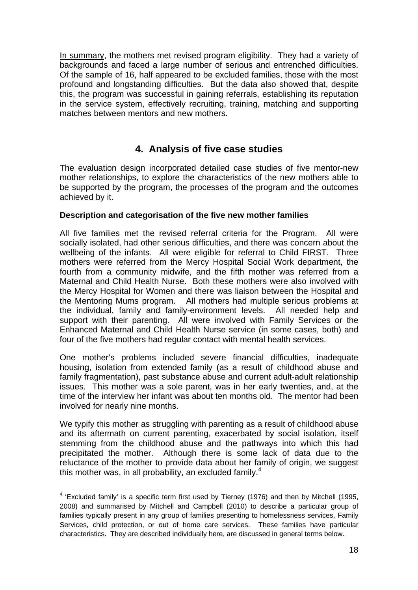In summary, the mothers met revised program eligibility. They had a variety of backgrounds and faced a large number of serious and entrenched difficulties. Of the sample of 16, half appeared to be excluded families, those with the most profound and longstanding difficulties. But the data also showed that, despite this, the program was successful in gaining referrals, establishing its reputation in the service system, effectively recruiting, training, matching and supporting matches between mentors and new mothers.

## **4. Analysis of five case studies**

The evaluation design incorporated detailed case studies of five mentor-new mother relationships, to explore the characteristics of the new mothers able to be supported by the program, the processes of the program and the outcomes achieved by it.

#### **Description and categorisation of the five new mother families**

All five families met the revised referral criteria for the Program. All were socially isolated, had other serious difficulties, and there was concern about the wellbeing of the infants. All were eligible for referral to Child FIRST. Three mothers were referred from the Mercy Hospital Social Work department, the fourth from a community midwife, and the fifth mother was referred from a Maternal and Child Health Nurse. Both these mothers were also involved with the Mercy Hospital for Women and there was liaison between the Hospital and the Mentoring Mums program. All mothers had multiple serious problems at the individual, family and family-environment levels. All needed help and support with their parenting. All were involved with Family Services or the Enhanced Maternal and Child Health Nurse service (in some cases, both) and four of the five mothers had regular contact with mental health services.

One mother's problems included severe financial difficulties, inadequate housing, isolation from extended family (as a result of childhood abuse and family fragmentation), past substance abuse and current adult-adult relationship issues. This mother was a sole parent, was in her early twenties, and, at the time of the interview her infant was about ten months old. The mentor had been involved for nearly nine months.

We typify this mother as struggling with parenting as a result of childhood abuse and its aftermath on current parenting, exacerbated by social isolation, itself stemming from the childhood abuse and the pathways into which this had precipitated the mother. Although there is some lack of data due to the reluctance of the mother to provide data about her family of origin, we suggest this mother was, in all probability, an excluded family.<sup>4</sup>

**EXALLE 1998**<br>A 'Excluded family' is a specific term first used by Tierney (1976) and then by Mitchell (1995, 2008) and summarised by Mitchell and Campbell (2010) to describe a particular group of families typically present in any group of families presenting to homelessness services, Family Services, child protection, or out of home care services. These families have particular characteristics. They are described individually here, are discussed in general terms below.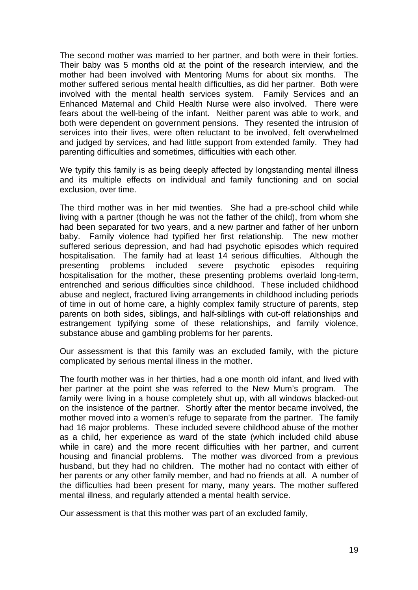The second mother was married to her partner, and both were in their forties. Their baby was 5 months old at the point of the research interview, and the mother had been involved with Mentoring Mums for about six months. The mother suffered serious mental health difficulties, as did her partner. Both were involved with the mental health services system. Family Services and an Enhanced Maternal and Child Health Nurse were also involved. There were fears about the well-being of the infant. Neither parent was able to work, and both were dependent on government pensions. They resented the intrusion of services into their lives, were often reluctant to be involved, felt overwhelmed and judged by services, and had little support from extended family. They had parenting difficulties and sometimes, difficulties with each other.

We typify this family is as being deeply affected by longstanding mental illness and its multiple effects on individual and family functioning and on social exclusion, over time.

The third mother was in her mid twenties. She had a pre-school child while living with a partner (though he was not the father of the child), from whom she had been separated for two years, and a new partner and father of her unborn baby. Family violence had typified her first relationship. The new mother suffered serious depression, and had had psychotic episodes which required hospitalisation. The family had at least 14 serious difficulties. Although the presenting problems included severe psychotic episodes requiring hospitalisation for the mother, these presenting problems overlaid long-term, entrenched and serious difficulties since childhood. These included childhood abuse and neglect, fractured living arrangements in childhood including periods of time in out of home care, a highly complex family structure of parents, step parents on both sides, siblings, and half-siblings with cut-off relationships and estrangement typifying some of these relationships, and family violence, substance abuse and gambling problems for her parents.

Our assessment is that this family was an excluded family, with the picture complicated by serious mental illness in the mother.

The fourth mother was in her thirties, had a one month old infant, and lived with her partner at the point she was referred to the New Mum's program. The family were living in a house completely shut up, with all windows blacked-out on the insistence of the partner. Shortly after the mentor became involved, the mother moved into a women's refuge to separate from the partner. The family had 16 major problems. These included severe childhood abuse of the mother as a child, her experience as ward of the state (which included child abuse while in care) and the more recent difficulties with her partner, and current housing and financial problems. The mother was divorced from a previous husband, but they had no children. The mother had no contact with either of her parents or any other family member, and had no friends at all. A number of the difficulties had been present for many, many years. The mother suffered mental illness, and regularly attended a mental health service.

Our assessment is that this mother was part of an excluded family,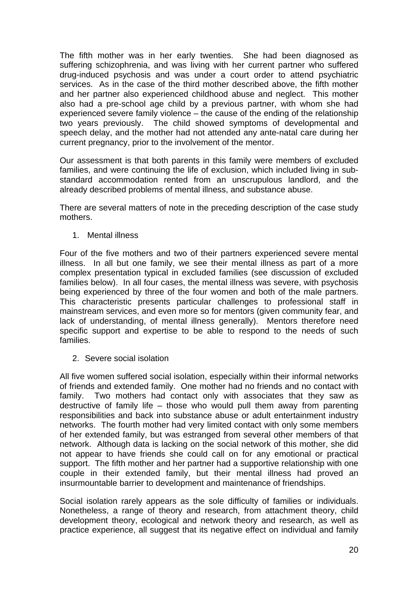The fifth mother was in her early twenties. She had been diagnosed as suffering schizophrenia, and was living with her current partner who suffered drug-induced psychosis and was under a court order to attend psychiatric services. As in the case of the third mother described above, the fifth mother and her partner also experienced childhood abuse and neglect. This mother also had a pre-school age child by a previous partner, with whom she had experienced severe family violence – the cause of the ending of the relationship two years previously. The child showed symptoms of developmental and speech delay, and the mother had not attended any ante-natal care during her current pregnancy, prior to the involvement of the mentor.

Our assessment is that both parents in this family were members of excluded families, and were continuing the life of exclusion, which included living in substandard accommodation rented from an unscrupulous landlord, and the already described problems of mental illness, and substance abuse.

There are several matters of note in the preceding description of the case study mothers.

1. Mental illness

Four of the five mothers and two of their partners experienced severe mental illness. In all but one family, we see their mental illness as part of a more complex presentation typical in excluded families (see discussion of excluded families below). In all four cases, the mental illness was severe, with psychosis being experienced by three of the four women and both of the male partners. This characteristic presents particular challenges to professional staff in mainstream services, and even more so for mentors (given community fear, and lack of understanding, of mental illness generally). Mentors therefore need specific support and expertise to be able to respond to the needs of such families.

2. Severe social isolation

All five women suffered social isolation, especially within their informal networks of friends and extended family. One mother had no friends and no contact with family. Two mothers had contact only with associates that they saw as destructive of family life – those who would pull them away from parenting responsibilities and back into substance abuse or adult entertainment industry networks. The fourth mother had very limited contact with only some members of her extended family, but was estranged from several other members of that network. Although data is lacking on the social network of this mother, she did not appear to have friends she could call on for any emotional or practical support. The fifth mother and her partner had a supportive relationship with one couple in their extended family, but their mental illness had proved an insurmountable barrier to development and maintenance of friendships.

Social isolation rarely appears as the sole difficulty of families or individuals. Nonetheless, a range of theory and research, from attachment theory, child development theory, ecological and network theory and research, as well as practice experience, all suggest that its negative effect on individual and family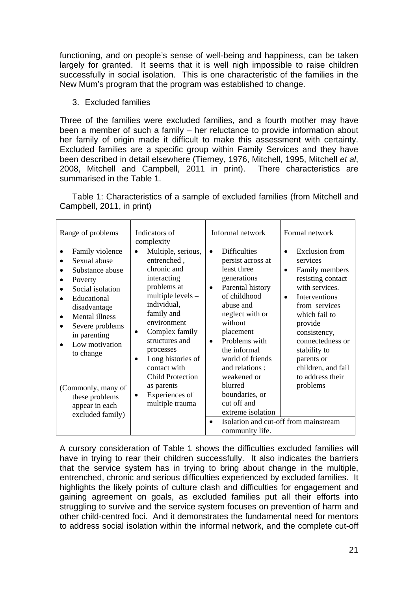functioning, and on people's sense of well-being and happiness, can be taken largely for granted. It seems that it is well nigh impossible to raise children successfully in social isolation. This is one characteristic of the families in the New Mum's program that the program was established to change.

3. Excluded families

Three of the families were excluded families, and a fourth mother may have been a member of such a family – her reluctance to provide information about her family of origin made it difficult to make this assessment with certainty. Excluded families are a specific group within Family Services and they have been described in detail elsewhere (Tierney, 1976, Mitchell, 1995, Mitchell *et al*, 2008, Mitchell and Campbell, 2011 in print). There characteristics are summarised in the Table 1.

Table 1: Characteristics of a sample of excluded families (from Mitchell and Campbell, 2011, in print)

| Range of problems                                                                                                                                                                                                                                                                                                                                       | Indicators of<br>complexity                                                                                                                                                                                                                                                                                                                                  | Informal network                                                                                                                                                                                                                                                                                                                                                              | Formal network                                                                                                                                                                                                                                                                                                                                                   |
|---------------------------------------------------------------------------------------------------------------------------------------------------------------------------------------------------------------------------------------------------------------------------------------------------------------------------------------------------------|--------------------------------------------------------------------------------------------------------------------------------------------------------------------------------------------------------------------------------------------------------------------------------------------------------------------------------------------------------------|-------------------------------------------------------------------------------------------------------------------------------------------------------------------------------------------------------------------------------------------------------------------------------------------------------------------------------------------------------------------------------|------------------------------------------------------------------------------------------------------------------------------------------------------------------------------------------------------------------------------------------------------------------------------------------------------------------------------------------------------------------|
| Family violence<br>$\bullet$<br>Sexual abuse<br>Substance abuse<br>٠<br>Poverty<br>٠<br>Social isolation<br>$\bullet$<br>Educational<br>disadvantage<br><b>Mental illness</b><br>$\bullet$<br>Severe problems<br>$\bullet$<br>in parenting<br>Low motivation<br>to change<br>(Commonly, many of<br>these problems<br>appear in each<br>excluded family) | Multiple, serious,<br>$\bullet$<br>entrenched,<br>chronic and<br>interacting<br>problems at<br>multiple levels $-$<br>individual,<br>family and<br>environment<br>Complex family<br>$\bullet$<br>structures and<br>processes<br>Long histories of<br>contact with<br><b>Child Protection</b><br>as parents<br>Experiences of<br>$\bullet$<br>multiple trauma | <b>Difficulties</b><br>$\bullet$<br>persist across at<br>least three<br>generations<br>Parental history<br>$\bullet$<br>of childhood<br>abuse and<br>neglect with or<br>without<br>placement<br>Problems with<br>$\bullet$<br>the informal<br>world of friends<br>and relations:<br>weakened or<br>blurred<br>boundaries, or<br>cut off and<br>extreme isolation<br>$\bullet$ | <b>Exclusion</b> from<br>$\bullet$<br>services<br>Family members<br>$\bullet$<br>resisting contact<br>with services.<br>Interventions<br>$\bullet$<br>from services<br>which fail to<br>provide<br>consistency,<br>connectedness or<br>stability to<br>parents or<br>children, and fail<br>to address their<br>problems<br>Isolation and cut-off from mainstream |
|                                                                                                                                                                                                                                                                                                                                                         |                                                                                                                                                                                                                                                                                                                                                              | community life.                                                                                                                                                                                                                                                                                                                                                               |                                                                                                                                                                                                                                                                                                                                                                  |

A cursory consideration of Table 1 shows the difficulties excluded families will have in trying to rear their children successfully. It also indicates the barriers that the service system has in trying to bring about change in the multiple, entrenched, chronic and serious difficulties experienced by excluded families. It highlights the likely points of culture clash and difficulties for engagement and gaining agreement on goals, as excluded families put all their efforts into struggling to survive and the service system focuses on prevention of harm and other child-centred foci. And it demonstrates the fundamental need for mentors to address social isolation within the informal network, and the complete cut-off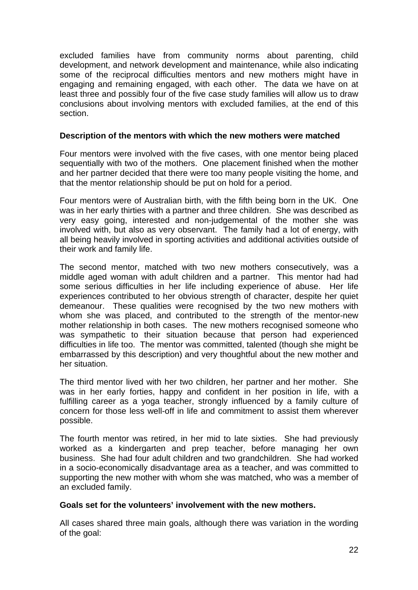excluded families have from community norms about parenting, child development, and network development and maintenance, while also indicating some of the reciprocal difficulties mentors and new mothers might have in engaging and remaining engaged, with each other. The data we have on at least three and possibly four of the five case study families will allow us to draw conclusions about involving mentors with excluded families, at the end of this section.

#### **Description of the mentors with which the new mothers were matched**

Four mentors were involved with the five cases, with one mentor being placed sequentially with two of the mothers. One placement finished when the mother and her partner decided that there were too many people visiting the home, and that the mentor relationship should be put on hold for a period.

Four mentors were of Australian birth, with the fifth being born in the UK. One was in her early thirties with a partner and three children. She was described as very easy going, interested and non-judgemental of the mother she was involved with, but also as very observant. The family had a lot of energy, with all being heavily involved in sporting activities and additional activities outside of their work and family life.

The second mentor, matched with two new mothers consecutively, was a middle aged woman with adult children and a partner. This mentor had had some serious difficulties in her life including experience of abuse. Her life experiences contributed to her obvious strength of character, despite her quiet demeanour. These qualities were recognised by the two new mothers with whom she was placed, and contributed to the strength of the mentor-new mother relationship in both cases. The new mothers recognised someone who was sympathetic to their situation because that person had experienced difficulties in life too. The mentor was committed, talented (though she might be embarrassed by this description) and very thoughtful about the new mother and her situation.

The third mentor lived with her two children, her partner and her mother. She was in her early forties, happy and confident in her position in life, with a fulfilling career as a yoga teacher, strongly influenced by a family culture of concern for those less well-off in life and commitment to assist them wherever possible.

The fourth mentor was retired, in her mid to late sixties. She had previously worked as a kindergarten and prep teacher, before managing her own business. She had four adult children and two grandchildren. She had worked in a socio-economically disadvantage area as a teacher, and was committed to supporting the new mother with whom she was matched, who was a member of an excluded family.

#### **Goals set for the volunteers' involvement with the new mothers.**

All cases shared three main goals, although there was variation in the wording of the goal: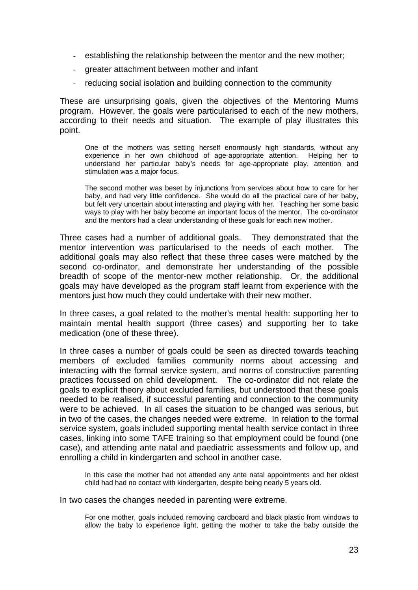- establishing the relationship between the mentor and the new mother;
- greater attachment between mother and infant
- reducing social isolation and building connection to the community

These are unsurprising goals, given the objectives of the Mentoring Mums program. However, the goals were particularised to each of the new mothers, according to their needs and situation. The example of play illustrates this point.

One of the mothers was setting herself enormously high standards, without any experience in her own childhood of age-appropriate attention. Helping her to understand her particular baby's needs for age-appropriate play, attention and stimulation was a major focus.

The second mother was beset by injunctions from services about how to care for her baby, and had very little confidence. She would do all the practical care of her baby, but felt very uncertain about interacting and playing with her. Teaching her some basic ways to play with her baby become an important focus of the mentor. The co-ordinator and the mentors had a clear understanding of these goals for each new mother.

Three cases had a number of additional goals. They demonstrated that the mentor intervention was particularised to the needs of each mother. The additional goals may also reflect that these three cases were matched by the second co-ordinator, and demonstrate her understanding of the possible breadth of scope of the mentor-new mother relationship. Or, the additional goals may have developed as the program staff learnt from experience with the mentors just how much they could undertake with their new mother.

In three cases, a goal related to the mother's mental health: supporting her to maintain mental health support (three cases) and supporting her to take medication (one of these three).

In three cases a number of goals could be seen as directed towards teaching members of excluded families community norms about accessing and interacting with the formal service system, and norms of constructive parenting practices focussed on child development. The co-ordinator did not relate the goals to explicit theory about excluded families, but understood that these goals needed to be realised, if successful parenting and connection to the community were to be achieved. In all cases the situation to be changed was serious, but in two of the cases, the changes needed were extreme. In relation to the formal service system, goals included supporting mental health service contact in three cases, linking into some TAFE training so that employment could be found (one case), and attending ante natal and paediatric assessments and follow up, and enrolling a child in kindergarten and school in another case.

In this case the mother had not attended any ante natal appointments and her oldest child had had no contact with kindergarten, despite being nearly 5 years old.

In two cases the changes needed in parenting were extreme.

For one mother, goals included removing cardboard and black plastic from windows to allow the baby to experience light, getting the mother to take the baby outside the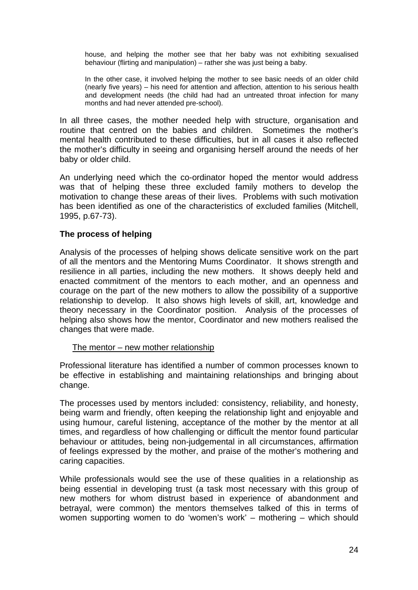house, and helping the mother see that her baby was not exhibiting sexualised behaviour (flirting and manipulation) – rather she was just being a baby.

In the other case, it involved helping the mother to see basic needs of an older child (nearly five years) – his need for attention and affection, attention to his serious health and development needs (the child had had an untreated throat infection for many months and had never attended pre-school).

In all three cases, the mother needed help with structure, organisation and routine that centred on the babies and children. Sometimes the mother's mental health contributed to these difficulties, but in all cases it also reflected the mother's difficulty in seeing and organising herself around the needs of her baby or older child.

An underlying need which the co-ordinator hoped the mentor would address was that of helping these three excluded family mothers to develop the motivation to change these areas of their lives. Problems with such motivation has been identified as one of the characteristics of excluded families (Mitchell, 1995, p.67-73).

#### **The process of helping**

Analysis of the processes of helping shows delicate sensitive work on the part of all the mentors and the Mentoring Mums Coordinator. It shows strength and resilience in all parties, including the new mothers. It shows deeply held and enacted commitment of the mentors to each mother, and an openness and courage on the part of the new mothers to allow the possibility of a supportive relationship to develop. It also shows high levels of skill, art, knowledge and theory necessary in the Coordinator position. Analysis of the processes of helping also shows how the mentor, Coordinator and new mothers realised the changes that were made.

#### The mentor – new mother relationship

Professional literature has identified a number of common processes known to be effective in establishing and maintaining relationships and bringing about change.

The processes used by mentors included: consistency, reliability, and honesty, being warm and friendly, often keeping the relationship light and enjoyable and using humour, careful listening, acceptance of the mother by the mentor at all times, and regardless of how challenging or difficult the mentor found particular behaviour or attitudes, being non-judgemental in all circumstances, affirmation of feelings expressed by the mother, and praise of the mother's mothering and caring capacities.

While professionals would see the use of these qualities in a relationship as being essential in developing trust (a task most necessary with this group of new mothers for whom distrust based in experience of abandonment and betrayal, were common) the mentors themselves talked of this in terms of women supporting women to do 'women's work' – mothering – which should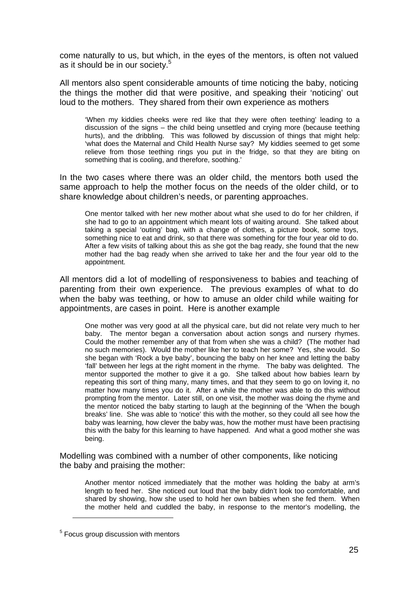come naturally to us, but which, in the eyes of the mentors, is often not valued as it should be in our society.<sup>5</sup>

All mentors also spent considerable amounts of time noticing the baby, noticing the things the mother did that were positive, and speaking their 'noticing' out loud to the mothers. They shared from their own experience as mothers

'When my kiddies cheeks were red like that they were often teething' leading to a discussion of the signs – the child being unsettled and crying more (because teething hurts), and the dribbling. This was followed by discussion of things that might help: 'what does the Maternal and Child Health Nurse say? My kiddies seemed to get some relieve from those teething rings you put in the fridge, so that they are biting on something that is cooling, and therefore, soothing.'

In the two cases where there was an older child, the mentors both used the same approach to help the mother focus on the needs of the older child, or to share knowledge about children's needs, or parenting approaches.

One mentor talked with her new mother about what she used to do for her children, if she had to go to an appointment which meant lots of waiting around. She talked about taking a special 'outing' bag, with a change of clothes, a picture book, some toys, something nice to eat and drink, so that there was something for the four year old to do. After a few visits of talking about this as she got the bag ready, she found that the new mother had the bag ready when she arrived to take her and the four year old to the appointment.

All mentors did a lot of modelling of responsiveness to babies and teaching of parenting from their own experience. The previous examples of what to do when the baby was teething, or how to amuse an older child while waiting for appointments, are cases in point. Here is another example

One mother was very good at all the physical care, but did not relate very much to her baby. The mentor began a conversation about action songs and nursery rhymes. Could the mother remember any of that from when she was a child? (The mother had no such memories). Would the mother like her to teach her some? Yes, she would. So she began with 'Rock a bye baby', bouncing the baby on her knee and letting the baby 'fall' between her legs at the right moment in the rhyme. The baby was delighted. The mentor supported the mother to give it a go. She talked about how babies learn by repeating this sort of thing many, many times, and that they seem to go on loving it, no matter how many times you do it. After a while the mother was able to do this without prompting from the mentor. Later still, on one visit, the mother was doing the rhyme and the mentor noticed the baby starting to laugh at the beginning of the 'When the bough breaks' line. She was able to 'notice' this with the mother, so they could all see how the baby was learning, how clever the baby was, how the mother must have been practising this with the baby for this learning to have happened. And what a good mother she was being.

Modelling was combined with a number of other components, like noticing the baby and praising the mother:

Another mentor noticed immediately that the mother was holding the baby at arm's length to feed her. She noticed out loud that the baby didn't look too comfortable, and shared by showing, how she used to hold her own babies when she fed them. When the mother held and cuddled the baby, in response to the mentor's modelling, the

1

<sup>&</sup>lt;sup>5</sup> Focus group discussion with mentors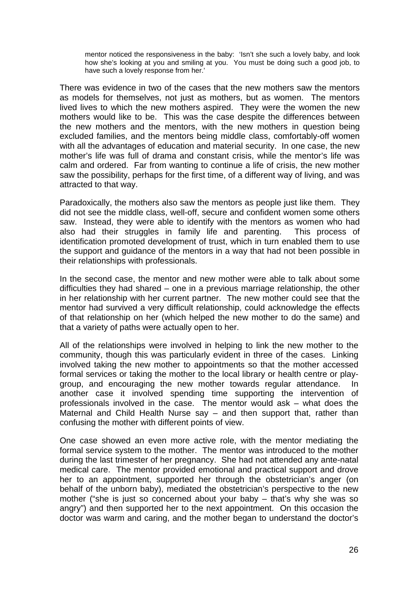mentor noticed the responsiveness in the baby: 'Isn't she such a lovely baby, and look how she's looking at you and smiling at you. You must be doing such a good job, to have such a lovely response from her.'

There was evidence in two of the cases that the new mothers saw the mentors as models for themselves, not just as mothers, but as women. The mentors lived lives to which the new mothers aspired. They were the women the new mothers would like to be. This was the case despite the differences between the new mothers and the mentors, with the new mothers in question being excluded families, and the mentors being middle class, comfortably-off women with all the advantages of education and material security. In one case, the new mother's life was full of drama and constant crisis, while the mentor's life was calm and ordered. Far from wanting to continue a life of crisis, the new mother saw the possibility, perhaps for the first time, of a different way of living, and was attracted to that way.

Paradoxically, the mothers also saw the mentors as people just like them. They did not see the middle class, well-off, secure and confident women some others saw. Instead, they were able to identify with the mentors as women who had also had their struggles in family life and parenting. This process of identification promoted development of trust, which in turn enabled them to use the support and guidance of the mentors in a way that had not been possible in their relationships with professionals.

In the second case, the mentor and new mother were able to talk about some difficulties they had shared – one in a previous marriage relationship, the other in her relationship with her current partner. The new mother could see that the mentor had survived a very difficult relationship, could acknowledge the effects of that relationship on her (which helped the new mother to do the same) and that a variety of paths were actually open to her.

All of the relationships were involved in helping to link the new mother to the community, though this was particularly evident in three of the cases. Linking involved taking the new mother to appointments so that the mother accessed formal services or taking the mother to the local library or health centre or playgroup, and encouraging the new mother towards regular attendance. In another case it involved spending time supporting the intervention of professionals involved in the case. The mentor would ask – what does the Maternal and Child Health Nurse say – and then support that, rather than confusing the mother with different points of view.

One case showed an even more active role, with the mentor mediating the formal service system to the mother. The mentor was introduced to the mother during the last trimester of her pregnancy. She had not attended any ante-natal medical care. The mentor provided emotional and practical support and drove her to an appointment, supported her through the obstetrician's anger (on behalf of the unborn baby), mediated the obstetrician's perspective to the new mother ("she is just so concerned about your baby – that's why she was so angry") and then supported her to the next appointment. On this occasion the doctor was warm and caring, and the mother began to understand the doctor's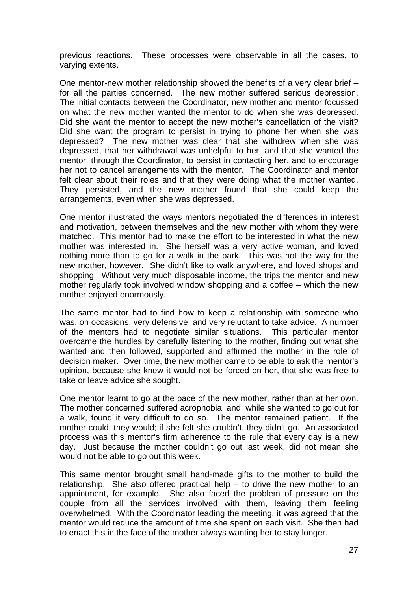previous reactions. These processes were observable in all the cases, to varying extents.

One mentor-new mother relationship showed the benefits of a very clear brief – for all the parties concerned. The new mother suffered serious depression. The initial contacts between the Coordinator, new mother and mentor focussed on what the new mother wanted the mentor to do when she was depressed. Did she want the mentor to accept the new mother's cancellation of the visit? Did she want the program to persist in trying to phone her when she was depressed? The new mother was clear that she withdrew when she was depressed, that her withdrawal was unhelpful to her, and that she wanted the mentor, through the Coordinator, to persist in contacting her, and to encourage her not to cancel arrangements with the mentor. The Coordinator and mentor felt clear about their roles and that they were doing what the mother wanted. They persisted, and the new mother found that she could keep the arrangements, even when she was depressed.

One mentor illustrated the ways mentors negotiated the differences in interest and motivation, between themselves and the new mother with whom they were matched. This mentor had to make the effort to be interested in what the new mother was interested in. She herself was a very active woman, and loved nothing more than to go for a walk in the park. This was not the way for the new mother, however. She didn't like to walk anywhere, and loved shops and shopping. Without very much disposable income, the trips the mentor and new mother regularly took involved window shopping and a coffee – which the new mother enjoyed enormously.

The same mentor had to find how to keep a relationship with someone who was, on occasions, very defensive, and very reluctant to take advice. A number of the mentors had to negotiate similar situations. This particular mentor overcame the hurdles by carefully listening to the mother, finding out what she wanted and then followed, supported and affirmed the mother in the role of decision maker. Over time, the new mother came to be able to ask the mentor's opinion, because she knew it would not be forced on her, that she was free to take or leave advice she sought.

One mentor learnt to go at the pace of the new mother, rather than at her own. The mother concerned suffered acrophobia, and, while she wanted to go out for a walk, found it very difficult to do so. The mentor remained patient. If the mother could, they would; if she felt she couldn't, they didn't go. An associated process was this mentor's firm adherence to the rule that every day is a new day. Just because the mother couldn't go out last week, did not mean she would not be able to go out this week.

This same mentor brought small hand-made gifts to the mother to build the relationship. She also offered practical help – to drive the new mother to an appointment, for example. She also faced the problem of pressure on the couple from all the services involved with them, leaving them feeling overwhelmed. With the Coordinator leading the meeting, it was agreed that the mentor would reduce the amount of time she spent on each visit. She then had to enact this in the face of the mother always wanting her to stay longer.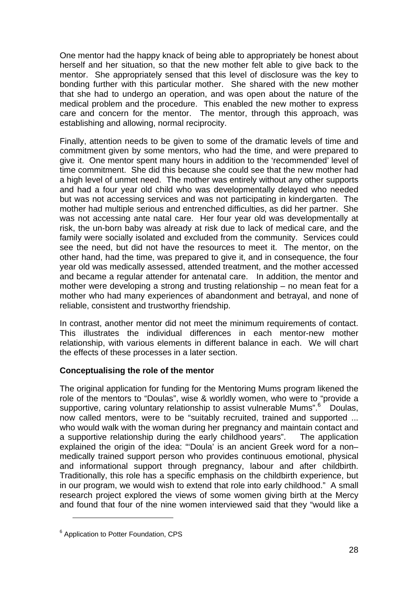One mentor had the happy knack of being able to appropriately be honest about herself and her situation, so that the new mother felt able to give back to the mentor. She appropriately sensed that this level of disclosure was the key to bonding further with this particular mother. She shared with the new mother that she had to undergo an operation, and was open about the nature of the medical problem and the procedure. This enabled the new mother to express care and concern for the mentor. The mentor, through this approach, was establishing and allowing, normal reciprocity.

Finally, attention needs to be given to some of the dramatic levels of time and commitment given by some mentors, who had the time, and were prepared to give it. One mentor spent many hours in addition to the 'recommended' level of time commitment. She did this because she could see that the new mother had a high level of unmet need. The mother was entirely without any other supports and had a four year old child who was developmentally delayed who needed but was not accessing services and was not participating in kindergarten. The mother had multiple serious and entrenched difficulties, as did her partner. She was not accessing ante natal care. Her four year old was developmentally at risk, the un-born baby was already at risk due to lack of medical care, and the family were socially isolated and excluded from the community. Services could see the need, but did not have the resources to meet it. The mentor, on the other hand, had the time, was prepared to give it, and in consequence, the four year old was medically assessed, attended treatment, and the mother accessed and became a regular attender for antenatal care. In addition, the mentor and mother were developing a strong and trusting relationship – no mean feat for a mother who had many experiences of abandonment and betrayal, and none of reliable, consistent and trustworthy friendship.

In contrast, another mentor did not meet the minimum requirements of contact. This illustrates the individual differences in each mentor-new mother relationship, with various elements in different balance in each. We will chart the effects of these processes in a later section.

#### **Conceptualising the role of the mentor**

The original application for funding for the Mentoring Mums program likened the role of the mentors to "Doulas", wise & worldly women, who were to "provide a supportive, caring voluntary relationship to assist vulnerable Mums".<sup>6</sup> Doulas, now called mentors, were to be "suitably recruited, trained and supported ... who would walk with the woman during her pregnancy and maintain contact and a supportive relationship during the early childhood years". The application explained the origin of the idea: "'Doula' is an ancient Greek word for a non– medically trained support person who provides continuous emotional, physical and informational support through pregnancy, labour and after childbirth. Traditionally, this role has a specific emphasis on the childbirth experience, but in our program, we would wish to extend that role into early childhood." A small research project explored the views of some women giving birth at the Mercy and found that four of the nine women interviewed said that they "would like a

1

<sup>&</sup>lt;sup>6</sup> Application to Potter Foundation, CPS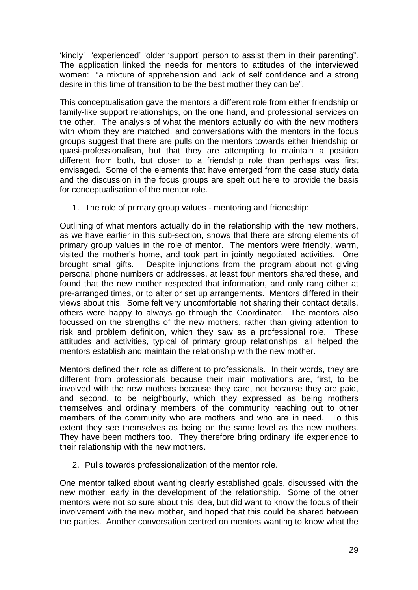'kindly' 'experienced' 'older 'support' person to assist them in their parenting". The application linked the needs for mentors to attitudes of the interviewed women: "a mixture of apprehension and lack of self confidence and a strong desire in this time of transition to be the best mother they can be".

This conceptualisation gave the mentors a different role from either friendship or family-like support relationships, on the one hand, and professional services on the other. The analysis of what the mentors actually do with the new mothers with whom they are matched, and conversations with the mentors in the focus groups suggest that there are pulls on the mentors towards either friendship or quasi-professionalism, but that they are attempting to maintain a position different from both, but closer to a friendship role than perhaps was first envisaged. Some of the elements that have emerged from the case study data and the discussion in the focus groups are spelt out here to provide the basis for conceptualisation of the mentor role.

1. The role of primary group values - mentoring and friendship:

Outlining of what mentors actually do in the relationship with the new mothers, as we have earlier in this sub-section, shows that there are strong elements of primary group values in the role of mentor. The mentors were friendly, warm, visited the mother's home, and took part in jointly negotiated activities. One brought small gifts. Despite injunctions from the program about not giving personal phone numbers or addresses, at least four mentors shared these, and found that the new mother respected that information, and only rang either at pre-arranged times, or to alter or set up arrangements. Mentors differed in their views about this. Some felt very uncomfortable not sharing their contact details, others were happy to always go through the Coordinator. The mentors also focussed on the strengths of the new mothers, rather than giving attention to risk and problem definition, which they saw as a professional role. These attitudes and activities, typical of primary group relationships, all helped the mentors establish and maintain the relationship with the new mother.

Mentors defined their role as different to professionals. In their words, they are different from professionals because their main motivations are, first, to be involved with the new mothers because they care, not because they are paid, and second, to be neighbourly, which they expressed as being mothers themselves and ordinary members of the community reaching out to other members of the community who are mothers and who are in need. To this extent they see themselves as being on the same level as the new mothers. They have been mothers too. They therefore bring ordinary life experience to their relationship with the new mothers.

2. Pulls towards professionalization of the mentor role.

One mentor talked about wanting clearly established goals, discussed with the new mother, early in the development of the relationship. Some of the other mentors were not so sure about this idea, but did want to know the focus of their involvement with the new mother, and hoped that this could be shared between the parties. Another conversation centred on mentors wanting to know what the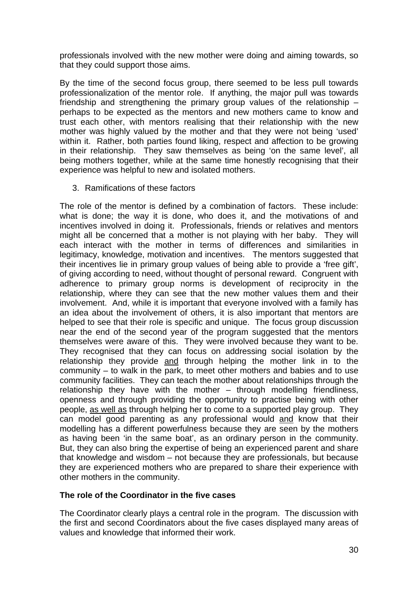professionals involved with the new mother were doing and aiming towards, so that they could support those aims.

By the time of the second focus group, there seemed to be less pull towards professionalization of the mentor role. If anything, the major pull was towards friendship and strengthening the primary group values of the relationship – perhaps to be expected as the mentors and new mothers came to know and trust each other, with mentors realising that their relationship with the new mother was highly valued by the mother and that they were not being 'used' within it. Rather, both parties found liking, respect and affection to be growing in their relationship. They saw themselves as being 'on the same level', all being mothers together, while at the same time honestly recognising that their experience was helpful to new and isolated mothers.

3. Ramifications of these factors

The role of the mentor is defined by a combination of factors. These include: what is done; the way it is done, who does it, and the motivations of and incentives involved in doing it. Professionals, friends or relatives and mentors might all be concerned that a mother is not playing with her baby. They will each interact with the mother in terms of differences and similarities in legitimacy, knowledge, motivation and incentives. The mentors suggested that their incentives lie in primary group values of being able to provide a 'free gift', of giving according to need, without thought of personal reward. Congruent with adherence to primary group norms is development of reciprocity in the relationship, where they can see that the new mother values them and their involvement. And, while it is important that everyone involved with a family has an idea about the involvement of others, it is also important that mentors are helped to see that their role is specific and unique. The focus group discussion near the end of the second year of the program suggested that the mentors themselves were aware of this. They were involved because they want to be. They recognised that they can focus on addressing social isolation by the relationship they provide and through helping the mother link in to the community – to walk in the park, to meet other mothers and babies and to use community facilities. They can teach the mother about relationships through the relationship they have with the mother – through modelling friendliness, openness and through providing the opportunity to practise being with other people, as well as through helping her to come to a supported play group. They can model good parenting as any professional would and know that their modelling has a different powerfulness because they are seen by the mothers as having been 'in the same boat', as an ordinary person in the community. But, they can also bring the expertise of being an experienced parent and share that knowledge and wisdom – not because they are professionals, but because they are experienced mothers who are prepared to share their experience with other mothers in the community.

#### **The role of the Coordinator in the five cases**

The Coordinator clearly plays a central role in the program. The discussion with the first and second Coordinators about the five cases displayed many areas of values and knowledge that informed their work.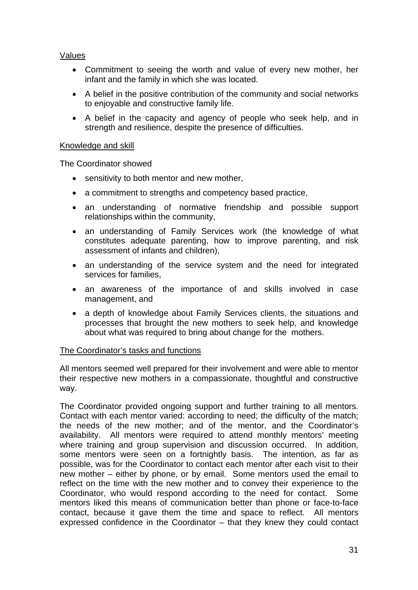#### Values

- Commitment to seeing the worth and value of every new mother, her infant and the family in which she was located.
- A belief in the positive contribution of the community and social networks to enjoyable and constructive family life.
- A belief in the capacity and agency of people who seek help, and in strength and resilience, despite the presence of difficulties.

#### Knowledge and skill

The Coordinator showed

- sensitivity to both mentor and new mother,
- a commitment to strengths and competency based practice,
- an understanding of normative friendship and possible support relationships within the community,
- an understanding of Family Services work (the knowledge of what constitutes adequate parenting, how to improve parenting, and risk assessment of infants and children),
- an understanding of the service system and the need for integrated services for families,
- an awareness of the importance of and skills involved in case management, and
- a depth of knowledge about Family Services clients, the situations and processes that brought the new mothers to seek help, and knowledge about what was required to bring about change for the mothers.

#### The Coordinator's tasks and functions

All mentors seemed well prepared for their involvement and were able to mentor their respective new mothers in a compassionate, thoughtful and constructive way.

The Coordinator provided ongoing support and further training to all mentors. Contact with each mentor varied: according to need; the difficulty of the match; the needs of the new mother; and of the mentor, and the Coordinator's availability. All mentors were required to attend monthly mentors' meeting where training and group supervision and discussion occurred. In addition, some mentors were seen on a fortnightly basis. The intention, as far as possible, was for the Coordinator to contact each mentor after each visit to their new mother – either by phone, or by email. Some mentors used the email to reflect on the time with the new mother and to convey their experience to the Coordinator, who would respond according to the need for contact. Some mentors liked this means of communication better than phone or face-to-face contact, because it gave them the time and space to reflect. All mentors expressed confidence in the Coordinator – that they knew they could contact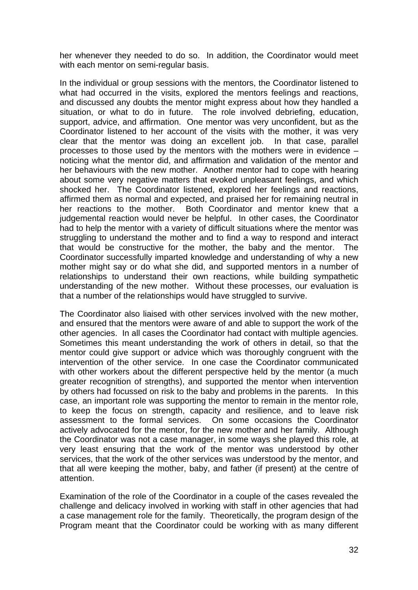her whenever they needed to do so. In addition, the Coordinator would meet with each mentor on semi-regular basis.

In the individual or group sessions with the mentors, the Coordinator listened to what had occurred in the visits, explored the mentors feelings and reactions, and discussed any doubts the mentor might express about how they handled a situation, or what to do in future. The role involved debriefing, education, support, advice, and affirmation. One mentor was very unconfident, but as the Coordinator listened to her account of the visits with the mother, it was very clear that the mentor was doing an excellent job. In that case, parallel processes to those used by the mentors with the mothers were in evidence – noticing what the mentor did, and affirmation and validation of the mentor and her behaviours with the new mother. Another mentor had to cope with hearing about some very negative matters that evoked unpleasant feelings, and which shocked her. The Coordinator listened, explored her feelings and reactions, affirmed them as normal and expected, and praised her for remaining neutral in her reactions to the mother. Both Coordinator and mentor knew that a judgemental reaction would never be helpful. In other cases, the Coordinator had to help the mentor with a variety of difficult situations where the mentor was struggling to understand the mother and to find a way to respond and interact that would be constructive for the mother, the baby and the mentor. The Coordinator successfully imparted knowledge and understanding of why a new mother might say or do what she did, and supported mentors in a number of relationships to understand their own reactions, while building sympathetic understanding of the new mother. Without these processes, our evaluation is that a number of the relationships would have struggled to survive.

The Coordinator also liaised with other services involved with the new mother, and ensured that the mentors were aware of and able to support the work of the other agencies. In all cases the Coordinator had contact with multiple agencies. Sometimes this meant understanding the work of others in detail, so that the mentor could give support or advice which was thoroughly congruent with the intervention of the other service. In one case the Coordinator communicated with other workers about the different perspective held by the mentor (a much greater recognition of strengths), and supported the mentor when intervention by others had focussed on risk to the baby and problems in the parents. In this case, an important role was supporting the mentor to remain in the mentor role, to keep the focus on strength, capacity and resilience, and to leave risk assessment to the formal services. On some occasions the Coordinator actively advocated for the mentor, for the new mother and her family. Although the Coordinator was not a case manager, in some ways she played this role, at very least ensuring that the work of the mentor was understood by other services, that the work of the other services was understood by the mentor, and that all were keeping the mother, baby, and father (if present) at the centre of attention.

Examination of the role of the Coordinator in a couple of the cases revealed the challenge and delicacy involved in working with staff in other agencies that had a case management role for the family. Theoretically, the program design of the Program meant that the Coordinator could be working with as many different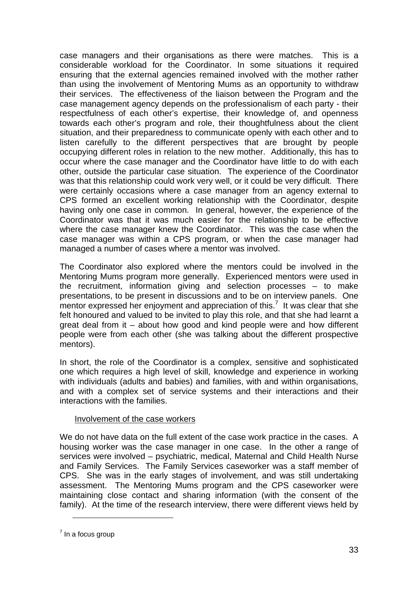case managers and their organisations as there were matches. This is a considerable workload for the Coordinator. In some situations it required ensuring that the external agencies remained involved with the mother rather than using the involvement of Mentoring Mums as an opportunity to withdraw their services. The effectiveness of the liaison between the Program and the case management agency depends on the professionalism of each party - their respectfulness of each other's expertise, their knowledge of, and openness towards each other's program and role, their thoughtfulness about the client situation, and their preparedness to communicate openly with each other and to listen carefully to the different perspectives that are brought by people occupying different roles in relation to the new mother. Additionally, this has to occur where the case manager and the Coordinator have little to do with each other, outside the particular case situation. The experience of the Coordinator was that this relationship could work very well, or it could be very difficult. There were certainly occasions where a case manager from an agency external to CPS formed an excellent working relationship with the Coordinator, despite having only one case in common. In general, however, the experience of the Coordinator was that it was much easier for the relationship to be effective where the case manager knew the Coordinator. This was the case when the case manager was within a CPS program, or when the case manager had managed a number of cases where a mentor was involved.

The Coordinator also explored where the mentors could be involved in the Mentoring Mums program more generally. Experienced mentors were used in the recruitment, information giving and selection processes – to make presentations, to be present in discussions and to be on interview panels. One mentor expressed her enjoyment and appreciation of this.<sup>7</sup> It was clear that she felt honoured and valued to be invited to play this role, and that she had learnt a great deal from it – about how good and kind people were and how different people were from each other (she was talking about the different prospective mentors).

In short, the role of the Coordinator is a complex, sensitive and sophisticated one which requires a high level of skill, knowledge and experience in working with individuals (adults and babies) and families, with and within organisations, and with a complex set of service systems and their interactions and their interactions with the families.

#### Involvement of the case workers

We do not have data on the full extent of the case work practice in the cases. A housing worker was the case manager in one case. In the other a range of services were involved – psychiatric, medical, Maternal and Child Health Nurse and Family Services. The Family Services caseworker was a staff member of CPS. She was in the early stages of involvement, and was still undertaking assessment. The Mentoring Mums program and the CPS caseworker were maintaining close contact and sharing information (with the consent of the family). At the time of the research interview, there were different views held by

1

 $<sup>7</sup>$  In a focus group</sup>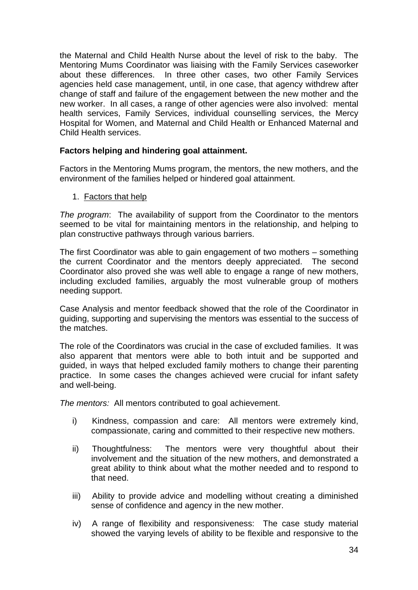the Maternal and Child Health Nurse about the level of risk to the baby. The Mentoring Mums Coordinator was liaising with the Family Services caseworker about these differences. In three other cases, two other Family Services agencies held case management, until, in one case, that agency withdrew after change of staff and failure of the engagement between the new mother and the new worker. In all cases, a range of other agencies were also involved: mental health services, Family Services, individual counselling services, the Mercy Hospital for Women, and Maternal and Child Health or Enhanced Maternal and Child Health services.

#### **Factors helping and hindering goal attainment.**

Factors in the Mentoring Mums program, the mentors, the new mothers, and the environment of the families helped or hindered goal attainment.

1. Factors that help

*The program*: The availability of support from the Coordinator to the mentors seemed to be vital for maintaining mentors in the relationship, and helping to plan constructive pathways through various barriers.

The first Coordinator was able to gain engagement of two mothers – something the current Coordinator and the mentors deeply appreciated. The second Coordinator also proved she was well able to engage a range of new mothers, including excluded families, arguably the most vulnerable group of mothers needing support.

Case Analysis and mentor feedback showed that the role of the Coordinator in guiding, supporting and supervising the mentors was essential to the success of the matches.

The role of the Coordinators was crucial in the case of excluded families. It was also apparent that mentors were able to both intuit and be supported and guided, in ways that helped excluded family mothers to change their parenting practice. In some cases the changes achieved were crucial for infant safety and well-being.

*The mentors:* All mentors contributed to goal achievement.

- i) Kindness, compassion and care: All mentors were extremely kind, compassionate, caring and committed to their respective new mothers.
- ii) Thoughtfulness: The mentors were very thoughtful about their involvement and the situation of the new mothers, and demonstrated a great ability to think about what the mother needed and to respond to that need.
- iii) Ability to provide advice and modelling without creating a diminished sense of confidence and agency in the new mother.
- iv) A range of flexibility and responsiveness: The case study material showed the varying levels of ability to be flexible and responsive to the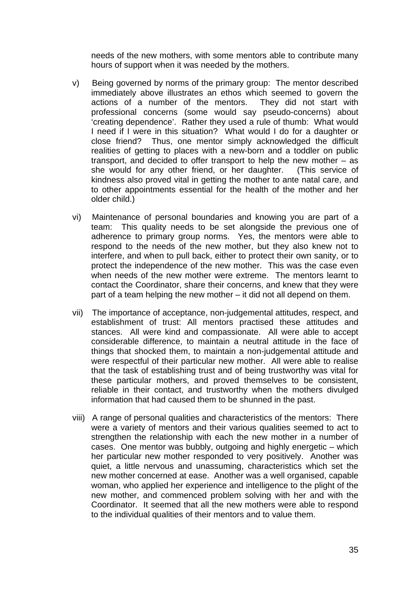needs of the new mothers, with some mentors able to contribute many hours of support when it was needed by the mothers.

- v) Being governed by norms of the primary group: The mentor described immediately above illustrates an ethos which seemed to govern the actions of a number of the mentors. They did not start with professional concerns (some would say pseudo-concerns) about 'creating dependence'. Rather they used a rule of thumb: What would I need if I were in this situation? What would I do for a daughter or close friend? Thus, one mentor simply acknowledged the difficult realities of getting to places with a new-born and a toddler on public transport, and decided to offer transport to help the new mother – as she would for any other friend, or her daughter. (This service of kindness also proved vital in getting the mother to ante natal care, and to other appointments essential for the health of the mother and her older child.)
- vi) Maintenance of personal boundaries and knowing you are part of a team: This quality needs to be set alongside the previous one of adherence to primary group norms. Yes, the mentors were able to respond to the needs of the new mother, but they also knew not to interfere, and when to pull back, either to protect their own sanity, or to protect the independence of the new mother. This was the case even when needs of the new mother were extreme. The mentors learnt to contact the Coordinator, share their concerns, and knew that they were part of a team helping the new mother – it did not all depend on them.
- vii) The importance of acceptance, non-judgemental attitudes, respect, and establishment of trust: All mentors practised these attitudes and stances. All were kind and compassionate. All were able to accept considerable difference, to maintain a neutral attitude in the face of things that shocked them, to maintain a non-judgemental attitude and were respectful of their particular new mother. All were able to realise that the task of establishing trust and of being trustworthy was vital for these particular mothers, and proved themselves to be consistent, reliable in their contact, and trustworthy when the mothers divulged information that had caused them to be shunned in the past.
- viii) A range of personal qualities and characteristics of the mentors: There were a variety of mentors and their various qualities seemed to act to strengthen the relationship with each the new mother in a number of cases. One mentor was bubbly, outgoing and highly energetic – which her particular new mother responded to very positively. Another was quiet, a little nervous and unassuming, characteristics which set the new mother concerned at ease. Another was a well organised, capable woman, who applied her experience and intelligence to the plight of the new mother, and commenced problem solving with her and with the Coordinator. It seemed that all the new mothers were able to respond to the individual qualities of their mentors and to value them.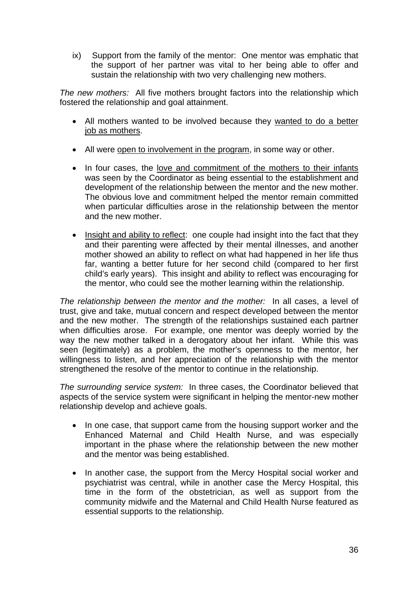ix) Support from the family of the mentor: One mentor was emphatic that the support of her partner was vital to her being able to offer and sustain the relationship with two very challenging new mothers.

*The new mothers:* All five mothers brought factors into the relationship which fostered the relationship and goal attainment.

- All mothers wanted to be involved because they wanted to do a better job as mothers.
- All were open to involvement in the program, in some way or other.
- In four cases, the love and commitment of the mothers to their infants was seen by the Coordinator as being essential to the establishment and development of the relationship between the mentor and the new mother. The obvious love and commitment helped the mentor remain committed when particular difficulties arose in the relationship between the mentor and the new mother.
- Insight and ability to reflect: one couple had insight into the fact that they and their parenting were affected by their mental illnesses, and another mother showed an ability to reflect on what had happened in her life thus far, wanting a better future for her second child (compared to her first child's early years). This insight and ability to reflect was encouraging for the mentor, who could see the mother learning within the relationship.

*The relationship between the mentor and the mother:* In all cases, a level of trust, give and take, mutual concern and respect developed between the mentor and the new mother. The strength of the relationships sustained each partner when difficulties arose. For example, one mentor was deeply worried by the way the new mother talked in a derogatory about her infant. While this was seen (legitimately) as a problem, the mother's openness to the mentor, her willingness to listen, and her appreciation of the relationship with the mentor strengthened the resolve of the mentor to continue in the relationship.

*The surrounding service system:* In three cases, the Coordinator believed that aspects of the service system were significant in helping the mentor-new mother relationship develop and achieve goals.

- In one case, that support came from the housing support worker and the Enhanced Maternal and Child Health Nurse, and was especially important in the phase where the relationship between the new mother and the mentor was being established.
- In another case, the support from the Mercy Hospital social worker and psychiatrist was central, while in another case the Mercy Hospital, this time in the form of the obstetrician, as well as support from the community midwife and the Maternal and Child Health Nurse featured as essential supports to the relationship.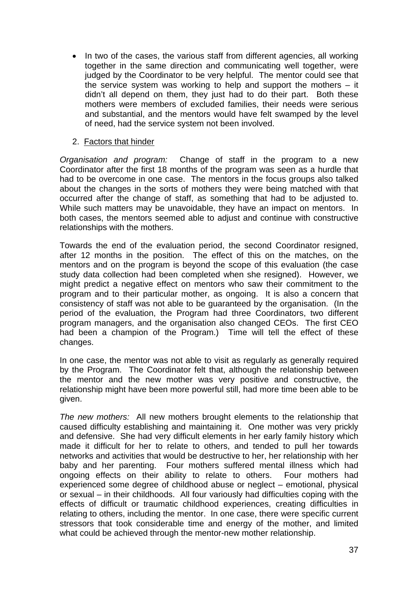• In two of the cases, the various staff from different agencies, all working together in the same direction and communicating well together, were judged by the Coordinator to be very helpful. The mentor could see that the service system was working to help and support the mothers – it didn't all depend on them, they just had to do their part. Both these mothers were members of excluded families, their needs were serious and substantial, and the mentors would have felt swamped by the level of need, had the service system not been involved.

#### 2. Factors that hinder

*Organisation and program:* Change of staff in the program to a new Coordinator after the first 18 months of the program was seen as a hurdle that had to be overcome in one case. The mentors in the focus groups also talked about the changes in the sorts of mothers they were being matched with that occurred after the change of staff, as something that had to be adjusted to. While such matters may be unavoidable, they have an impact on mentors. In both cases, the mentors seemed able to adjust and continue with constructive relationships with the mothers.

Towards the end of the evaluation period, the second Coordinator resigned, after 12 months in the position. The effect of this on the matches, on the mentors and on the program is beyond the scope of this evaluation (the case study data collection had been completed when she resigned). However, we might predict a negative effect on mentors who saw their commitment to the program and to their particular mother, as ongoing. It is also a concern that consistency of staff was not able to be guaranteed by the organisation. (In the period of the evaluation, the Program had three Coordinators, two different program managers, and the organisation also changed CEOs. The first CEO had been a champion of the Program.) Time will tell the effect of these changes.

In one case, the mentor was not able to visit as regularly as generally required by the Program. The Coordinator felt that, although the relationship between the mentor and the new mother was very positive and constructive, the relationship might have been more powerful still, had more time been able to be given.

*The new mothers:* All new mothers brought elements to the relationship that caused difficulty establishing and maintaining it. One mother was very prickly and defensive. She had very difficult elements in her early family history which made it difficult for her to relate to others, and tended to pull her towards networks and activities that would be destructive to her, her relationship with her baby and her parenting. Four mothers suffered mental illness which had ongoing effects on their ability to relate to others. Four mothers had experienced some degree of childhood abuse or neglect – emotional, physical or sexual – in their childhoods. All four variously had difficulties coping with the effects of difficult or traumatic childhood experiences, creating difficulties in relating to others, including the mentor. In one case, there were specific current stressors that took considerable time and energy of the mother, and limited what could be achieved through the mentor-new mother relationship.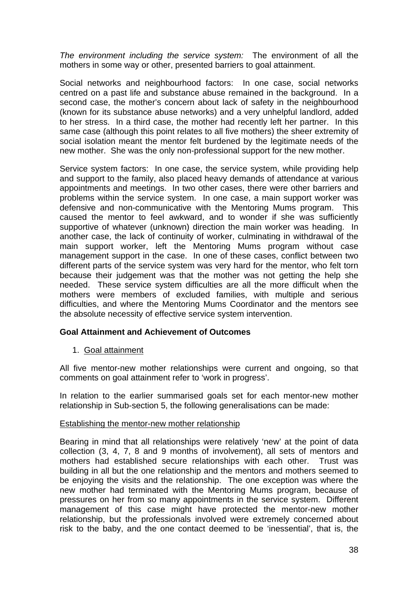*The environment including the service system:* The environment of all the mothers in some way or other, presented barriers to goal attainment.

Social networks and neighbourhood factors: In one case, social networks centred on a past life and substance abuse remained in the background. In a second case, the mother's concern about lack of safety in the neighbourhood (known for its substance abuse networks) and a very unhelpful landlord, added to her stress. In a third case, the mother had recently left her partner. In this same case (although this point relates to all five mothers) the sheer extremity of social isolation meant the mentor felt burdened by the legitimate needs of the new mother. She was the only non-professional support for the new mother.

Service system factors: In one case, the service system, while providing help and support to the family, also placed heavy demands of attendance at various appointments and meetings. In two other cases, there were other barriers and problems within the service system. In one case, a main support worker was defensive and non-communicative with the Mentoring Mums program. This caused the mentor to feel awkward, and to wonder if she was sufficiently supportive of whatever (unknown) direction the main worker was heading. In another case, the lack of continuity of worker, culminating in withdrawal of the main support worker, left the Mentoring Mums program without case management support in the case. In one of these cases, conflict between two different parts of the service system was very hard for the mentor, who felt torn because their judgement was that the mother was not getting the help she needed. These service system difficulties are all the more difficult when the mothers were members of excluded families, with multiple and serious difficulties, and where the Mentoring Mums Coordinator and the mentors see the absolute necessity of effective service system intervention.

#### **Goal Attainment and Achievement of Outcomes**

#### 1. Goal attainment

All five mentor-new mother relationships were current and ongoing, so that comments on goal attainment refer to 'work in progress'.

In relation to the earlier summarised goals set for each mentor-new mother relationship in Sub-section 5, the following generalisations can be made:

#### Establishing the mentor-new mother relationship

Bearing in mind that all relationships were relatively 'new' at the point of data collection (3, 4, 7, 8 and 9 months of involvement), all sets of mentors and mothers had established secure relationships with each other. Trust was building in all but the one relationship and the mentors and mothers seemed to be enjoying the visits and the relationship. The one exception was where the new mother had terminated with the Mentoring Mums program, because of pressures on her from so many appointments in the service system. Different management of this case might have protected the mentor-new mother relationship, but the professionals involved were extremely concerned about risk to the baby, and the one contact deemed to be 'inessential', that is, the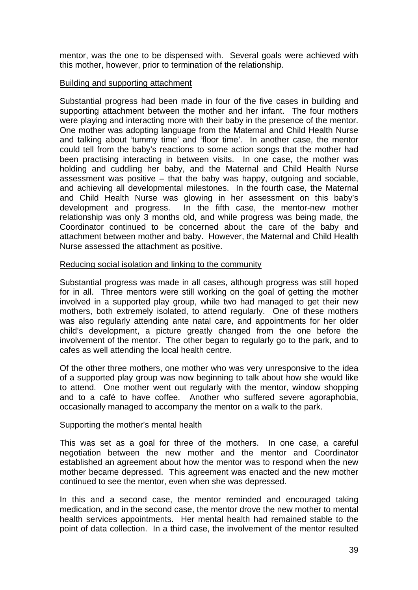mentor, was the one to be dispensed with. Several goals were achieved with this mother, however, prior to termination of the relationship.

#### Building and supporting attachment

Substantial progress had been made in four of the five cases in building and supporting attachment between the mother and her infant. The four mothers were playing and interacting more with their baby in the presence of the mentor. One mother was adopting language from the Maternal and Child Health Nurse and talking about 'tummy time' and 'floor time'. In another case, the mentor could tell from the baby's reactions to some action songs that the mother had been practising interacting in between visits. In one case, the mother was holding and cuddling her baby, and the Maternal and Child Health Nurse assessment was positive – that the baby was happy, outgoing and sociable, and achieving all developmental milestones. In the fourth case, the Maternal and Child Health Nurse was glowing in her assessment on this baby's development and progress. In the fifth case, the mentor-new mother relationship was only 3 months old, and while progress was being made, the Coordinator continued to be concerned about the care of the baby and attachment between mother and baby. However, the Maternal and Child Health Nurse assessed the attachment as positive.

#### Reducing social isolation and linking to the community

Substantial progress was made in all cases, although progress was still hoped for in all. Three mentors were still working on the goal of getting the mother involved in a supported play group, while two had managed to get their new mothers, both extremely isolated, to attend regularly. One of these mothers was also regularly attending ante natal care, and appointments for her older child's development, a picture greatly changed from the one before the involvement of the mentor. The other began to regularly go to the park, and to cafes as well attending the local health centre.

Of the other three mothers, one mother who was very unresponsive to the idea of a supported play group was now beginning to talk about how she would like to attend. One mother went out regularly with the mentor, window shopping and to a café to have coffee. Another who suffered severe agoraphobia, occasionally managed to accompany the mentor on a walk to the park.

#### Supporting the mother's mental health

This was set as a goal for three of the mothers. In one case, a careful negotiation between the new mother and the mentor and Coordinator established an agreement about how the mentor was to respond when the new mother became depressed. This agreement was enacted and the new mother continued to see the mentor, even when she was depressed.

In this and a second case, the mentor reminded and encouraged taking medication, and in the second case, the mentor drove the new mother to mental health services appointments. Her mental health had remained stable to the point of data collection. In a third case, the involvement of the mentor resulted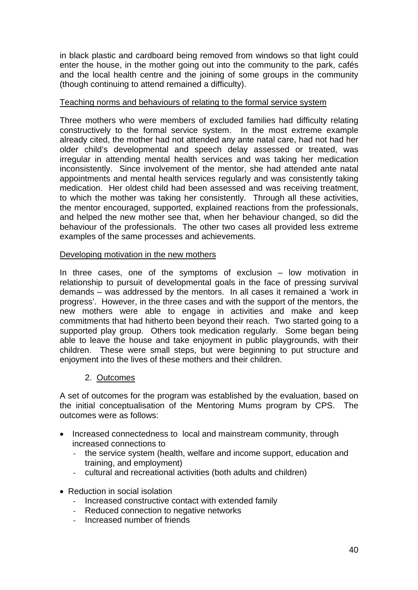in black plastic and cardboard being removed from windows so that light could enter the house, in the mother going out into the community to the park, cafés and the local health centre and the joining of some groups in the community (though continuing to attend remained a difficulty).

#### Teaching norms and behaviours of relating to the formal service system

Three mothers who were members of excluded families had difficulty relating constructively to the formal service system. In the most extreme example already cited, the mother had not attended any ante natal care, had not had her older child's developmental and speech delay assessed or treated, was irregular in attending mental health services and was taking her medication inconsistently. Since involvement of the mentor, she had attended ante natal appointments and mental health services regularly and was consistently taking medication. Her oldest child had been assessed and was receiving treatment, to which the mother was taking her consistently. Through all these activities, the mentor encouraged, supported, explained reactions from the professionals, and helped the new mother see that, when her behaviour changed, so did the behaviour of the professionals. The other two cases all provided less extreme examples of the same processes and achievements.

#### Developing motivation in the new mothers

In three cases, one of the symptoms of exclusion – low motivation in relationship to pursuit of developmental goals in the face of pressing survival demands – was addressed by the mentors. In all cases it remained a 'work in progress'. However, in the three cases and with the support of the mentors, the new mothers were able to engage in activities and make and keep commitments that had hitherto been beyond their reach. Two started going to a supported play group. Others took medication regularly. Some began being able to leave the house and take enjoyment in public playgrounds, with their children. These were small steps, but were beginning to put structure and enjoyment into the lives of these mothers and their children.

#### 2. Outcomes

A set of outcomes for the program was established by the evaluation, based on the initial conceptualisation of the Mentoring Mums program by CPS. The outcomes were as follows:

- Increased connectedness to local and mainstream community, through increased connections to
	- the service system (health, welfare and income support, education and training, and employment)
	- cultural and recreational activities (both adults and children)
- Reduction in social isolation
	- Increased constructive contact with extended family
	- Reduced connection to negative networks
	- Increased number of friends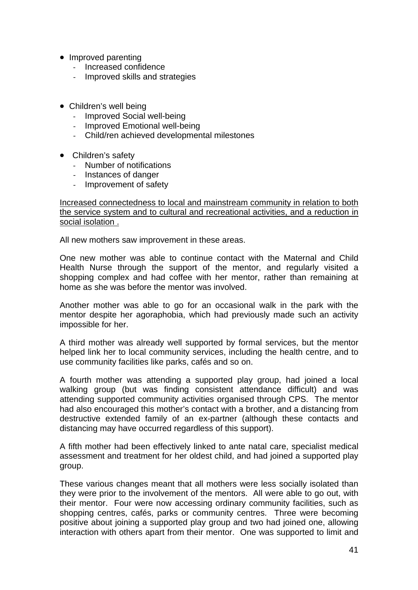- Improved parenting
	- Increased confidence
	- Improved skills and strategies
- Children's well being
	- Improved Social well-being
	- Improved Emotional well-being
	- Child/ren achieved developmental milestones
- Children's safety
	- Number of notifications
	- Instances of danger
	- Improvement of safety

#### Increased connectedness to local and mainstream community in relation to both the service system and to cultural and recreational activities, and a reduction in social isolation .

All new mothers saw improvement in these areas.

One new mother was able to continue contact with the Maternal and Child Health Nurse through the support of the mentor, and regularly visited a shopping complex and had coffee with her mentor, rather than remaining at home as she was before the mentor was involved.

Another mother was able to go for an occasional walk in the park with the mentor despite her agoraphobia, which had previously made such an activity impossible for her.

A third mother was already well supported by formal services, but the mentor helped link her to local community services, including the health centre, and to use community facilities like parks, cafés and so on.

A fourth mother was attending a supported play group, had joined a local walking group (but was finding consistent attendance difficult) and was attending supported community activities organised through CPS. The mentor had also encouraged this mother's contact with a brother, and a distancing from destructive extended family of an ex-partner (although these contacts and distancing may have occurred regardless of this support).

A fifth mother had been effectively linked to ante natal care, specialist medical assessment and treatment for her oldest child, and had joined a supported play group.

These various changes meant that all mothers were less socially isolated than they were prior to the involvement of the mentors. All were able to go out, with their mentor. Four were now accessing ordinary community facilities, such as shopping centres, cafés, parks or community centres. Three were becoming positive about joining a supported play group and two had joined one, allowing interaction with others apart from their mentor. One was supported to limit and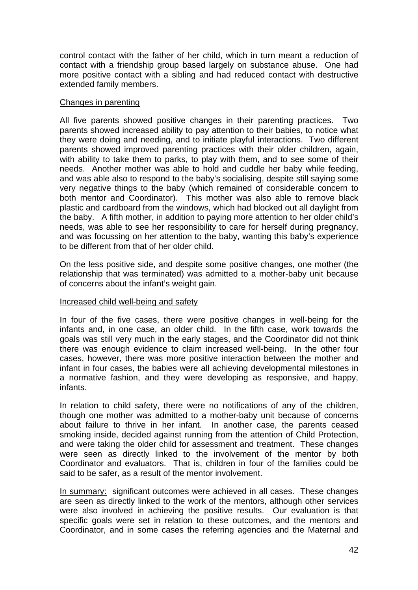control contact with the father of her child, which in turn meant a reduction of contact with a friendship group based largely on substance abuse. One had more positive contact with a sibling and had reduced contact with destructive extended family members.

#### Changes in parenting

All five parents showed positive changes in their parenting practices. Two parents showed increased ability to pay attention to their babies, to notice what they were doing and needing, and to initiate playful interactions. Two different parents showed improved parenting practices with their older children, again, with ability to take them to parks, to play with them, and to see some of their needs. Another mother was able to hold and cuddle her baby while feeding, and was able also to respond to the baby's socialising, despite still saying some very negative things to the baby (which remained of considerable concern to both mentor and Coordinator). This mother was also able to remove black plastic and cardboard from the windows, which had blocked out all daylight from the baby. A fifth mother, in addition to paying more attention to her older child's needs, was able to see her responsibility to care for herself during pregnancy, and was focussing on her attention to the baby, wanting this baby's experience to be different from that of her older child.

On the less positive side, and despite some positive changes, one mother (the relationship that was terminated) was admitted to a mother-baby unit because of concerns about the infant's weight gain.

#### Increased child well-being and safety

In four of the five cases, there were positive changes in well-being for the infants and, in one case, an older child. In the fifth case, work towards the goals was still very much in the early stages, and the Coordinator did not think there was enough evidence to claim increased well-being. In the other four cases, however, there was more positive interaction between the mother and infant in four cases, the babies were all achieving developmental milestones in a normative fashion, and they were developing as responsive, and happy, infants.

In relation to child safety, there were no notifications of any of the children, though one mother was admitted to a mother-baby unit because of concerns about failure to thrive in her infant. In another case, the parents ceased smoking inside, decided against running from the attention of Child Protection, and were taking the older child for assessment and treatment. These changes were seen as directly linked to the involvement of the mentor by both Coordinator and evaluators. That is, children in four of the families could be said to be safer, as a result of the mentor involvement.

In summary: significant outcomes were achieved in all cases. These changes are seen as directly linked to the work of the mentors, although other services were also involved in achieving the positive results. Our evaluation is that specific goals were set in relation to these outcomes, and the mentors and Coordinator, and in some cases the referring agencies and the Maternal and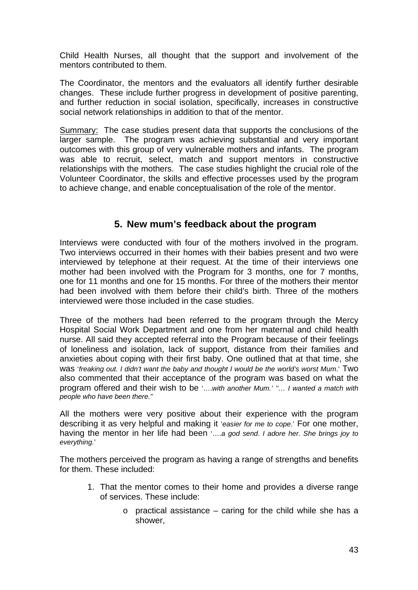Child Health Nurses, all thought that the support and involvement of the mentors contributed to them.

The Coordinator, the mentors and the evaluators all identify further desirable changes. These include further progress in development of positive parenting, and further reduction in social isolation, specifically, increases in constructive social network relationships in addition to that of the mentor.

Summary: The case studies present data that supports the conclusions of the larger sample. The program was achieving substantial and very important outcomes with this group of very vulnerable mothers and infants. The program was able to recruit, select, match and support mentors in constructive relationships with the mothers. The case studies highlight the crucial role of the Volunteer Coordinator, the skills and effective processes used by the program to achieve change, and enable conceptualisation of the role of the mentor.

# **5. New mum's feedback about the program**

Interviews were conducted with four of the mothers involved in the program. Two interviews occurred in their homes with their babies present and two were interviewed by telephone at their request. At the time of their interviews one mother had been involved with the Program for 3 months, one for 7 months, one for 11 months and one for 15 months. For three of the mothers their mentor had been involved with them before their child's birth. Three of the mothers interviewed were those included in the case studies.

Three of the mothers had been referred to the program through the Mercy Hospital Social Work Department and one from her maternal and child health nurse. All said they accepted referral into the Program because of their feelings of loneliness and isolation, lack of support, distance from their families and anxieties about coping with their first baby. One outlined that at that time, she was '*freaking out. I didn't want the baby and thought I would be the world's worst Mum*.' Two also commented that their acceptance of the program was based on what the program offered and their wish to be '….*with another Mum.' ''… I wanted a match with people who have been there."*

All the mothers were very positive about their experience with the program describing it as very helpful and making it '*easier for me to cope*.' For one mother, having the mentor in her life had been '….*a god send*. *I adore her. She brings joy to everything.*'

The mothers perceived the program as having a range of strengths and benefits for them. These included:

- 1. That the mentor comes to their home and provides a diverse range of services. These include:
	- o practical assistance caring for the child while she has a shower,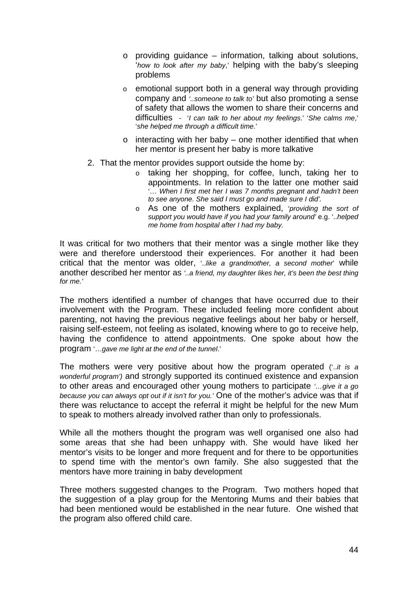- o providing guidance information, talking about solutions, '*how to look after my baby*,' helping with the baby's sleeping problems
- o emotional support both in a general way through providing company and *'..someone to talk to'* but also promoting a sense of safety that allows the women to share their concerns and difficulties - '*I can talk to her about my feelings*.' '*She calms me*,' '*she helped me through a difficult time*.'
- $\circ$  interacting with her baby one mother identified that when her mentor is present her baby is more talkative
- 2. That the mentor provides support outside the home by:
	- o taking her shopping, for coffee, lunch, taking her to appointments. In relation to the latter one mother said '… *When I first met her I was 7 months pregnant and hadn't been to see anyone. She said I must go and made sure I did'.*
	- o As one of the mothers explained, '*providing the sort of support you would have if you had your family around'* e.g. '..*helped me home from hospital after I had my baby.*

It was critical for two mothers that their mentor was a single mother like they were and therefore understood their experiences. For another it had been critical that the mentor was older, '..*like a grandmother, a second mother*' while another described her mentor as *'..a friend, my daughter likes her, it's been the best thing for me.'* 

The mothers identified a number of changes that have occurred due to their involvement with the Program. These included feeling more confident about parenting, not having the previous negative feelings about her baby or herself, raising self-esteem, not feeling as isolated, knowing where to go to receive help, having the confidence to attend appointments. One spoke about how the program '…*gave me light at the end of the tunnel*.'

The mothers were very positive about how the program operated ('..*it is a wonderful program')* and strongly supported its continued existence and expansion to other areas and encouraged other young mothers to participate *'…give it a go because you can always opt out if it isn't for you.'* One of the mother's advice was that if there was reluctance to accept the referral it might be helpful for the new Mum to speak to mothers already involved rather than only to professionals.

While all the mothers thought the program was well organised one also had some areas that she had been unhappy with. She would have liked her mentor's visits to be longer and more frequent and for there to be opportunities to spend time with the mentor's own family. She also suggested that the mentors have more training in baby development

Three mothers suggested changes to the Program. Two mothers hoped that the suggestion of a play group for the Mentoring Mums and their babies that had been mentioned would be established in the near future. One wished that the program also offered child care.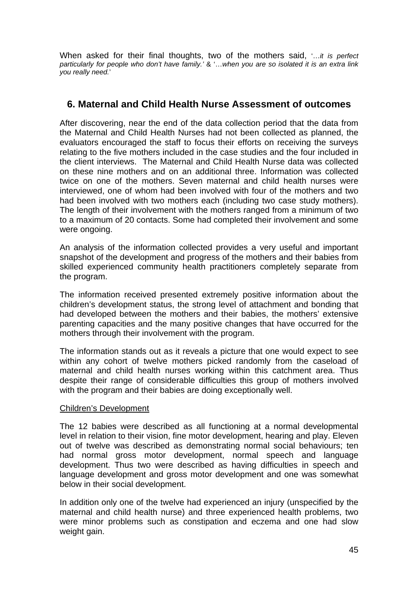When asked for their final thoughts, two of the mothers said, '…*it is perfect particularly for people who don't have family.'* & '…*when you are so isolated it is an extra link you really need.*'

# **6. Maternal and Child Health Nurse Assessment of outcomes**

After discovering, near the end of the data collection period that the data from the Maternal and Child Health Nurses had not been collected as planned, the evaluators encouraged the staff to focus their efforts on receiving the surveys relating to the five mothers included in the case studies and the four included in the client interviews. The Maternal and Child Health Nurse data was collected on these nine mothers and on an additional three. Information was collected twice on one of the mothers. Seven maternal and child health nurses were interviewed, one of whom had been involved with four of the mothers and two had been involved with two mothers each (including two case study mothers). The length of their involvement with the mothers ranged from a minimum of two to a maximum of 20 contacts. Some had completed their involvement and some were ongoing.

An analysis of the information collected provides a very useful and important snapshot of the development and progress of the mothers and their babies from skilled experienced community health practitioners completely separate from the program.

The information received presented extremely positive information about the children's development status, the strong level of attachment and bonding that had developed between the mothers and their babies, the mothers' extensive parenting capacities and the many positive changes that have occurred for the mothers through their involvement with the program.

The information stands out as it reveals a picture that one would expect to see within any cohort of twelve mothers picked randomly from the caseload of maternal and child health nurses working within this catchment area. Thus despite their range of considerable difficulties this group of mothers involved with the program and their babies are doing exceptionally well.

#### Children's Development

The 12 babies were described as all functioning at a normal developmental level in relation to their vision, fine motor development, hearing and play. Eleven out of twelve was described as demonstrating normal social behaviours; ten had normal gross motor development, normal speech and language development. Thus two were described as having difficulties in speech and language development and gross motor development and one was somewhat below in their social development.

In addition only one of the twelve had experienced an injury (unspecified by the maternal and child health nurse) and three experienced health problems, two were minor problems such as constipation and eczema and one had slow weight gain.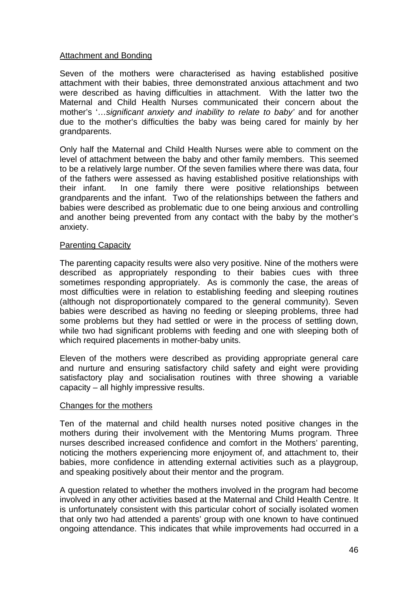#### Attachment and Bonding

Seven of the mothers were characterised as having established positive attachment with their babies, three demonstrated anxious attachment and two were described as having difficulties in attachment. With the latter two the Maternal and Child Health Nurses communicated their concern about the mother's '…*significant anxiety and inability to relate to baby'* and for another due to the mother's difficulties the baby was being cared for mainly by her grandparents.

Only half the Maternal and Child Health Nurses were able to comment on the level of attachment between the baby and other family members. This seemed to be a relatively large number. Of the seven families where there was data, four of the fathers were assessed as having established positive relationships with their infant. In one family there were positive relationships between grandparents and the infant. Two of the relationships between the fathers and babies were described as problematic due to one being anxious and controlling and another being prevented from any contact with the baby by the mother's anxiety.

#### Parenting Capacity

The parenting capacity results were also very positive. Nine of the mothers were described as appropriately responding to their babies cues with three sometimes responding appropriately. As is commonly the case, the areas of most difficulties were in relation to establishing feeding and sleeping routines (although not disproportionately compared to the general community). Seven babies were described as having no feeding or sleeping problems, three had some problems but they had settled or were in the process of settling down, while two had significant problems with feeding and one with sleeping both of which required placements in mother-baby units.

Eleven of the mothers were described as providing appropriate general care and nurture and ensuring satisfactory child safety and eight were providing satisfactory play and socialisation routines with three showing a variable capacity – all highly impressive results.

#### Changes for the mothers

Ten of the maternal and child health nurses noted positive changes in the mothers during their involvement with the Mentoring Mums program. Three nurses described increased confidence and comfort in the Mothers' parenting, noticing the mothers experiencing more enjoyment of, and attachment to, their babies, more confidence in attending external activities such as a playgroup, and speaking positively about their mentor and the program.

A question related to whether the mothers involved in the program had become involved in any other activities based at the Maternal and Child Health Centre. It is unfortunately consistent with this particular cohort of socially isolated women that only two had attended a parents' group with one known to have continued ongoing attendance. This indicates that while improvements had occurred in a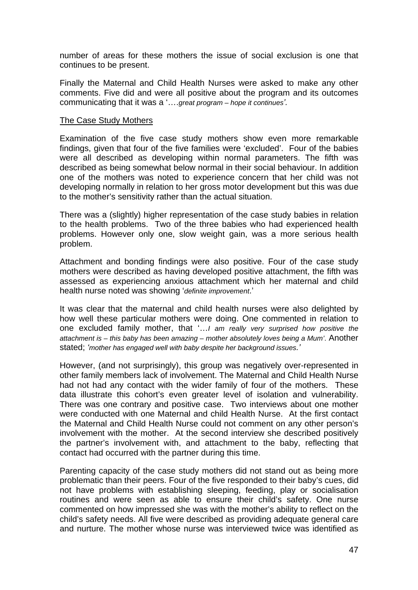number of areas for these mothers the issue of social exclusion is one that continues to be present.

Finally the Maternal and Child Health Nurses were asked to make any other comments. Five did and were all positive about the program and its outcomes communicating that it was a '….*great program – hope it continues'.* 

#### The Case Study Mothers

Examination of the five case study mothers show even more remarkable findings, given that four of the five families were 'excluded'. Four of the babies were all described as developing within normal parameters. The fifth was described as being somewhat below normal in their social behaviour. In addition one of the mothers was noted to experience concern that her child was not developing normally in relation to her gross motor development but this was due to the mother's sensitivity rather than the actual situation.

There was a (slightly) higher representation of the case study babies in relation to the health problems. Two of the three babies who had experienced health problems. However only one, slow weight gain, was a more serious health problem.

Attachment and bonding findings were also positive. Four of the case study mothers were described as having developed positive attachment, the fifth was assessed as experiencing anxious attachment which her maternal and child health nurse noted was showing '*definite improvement*.'

It was clear that the maternal and child health nurses were also delighted by how well these particular mothers were doing. One commented in relation to one excluded family mother, that '…*I am really very surprised how positive the attachment is – this baby has been amazing – mother absolutely loves being a Mum'*. Another stated; *'mother has engaged well with baby despite her background issues.'*

However, (and not surprisingly), this group was negatively over-represented in other family members lack of involvement. The Maternal and Child Health Nurse had not had any contact with the wider family of four of the mothers. These data illustrate this cohort's even greater level of isolation and vulnerability. There was one contrary and positive case. Two interviews about one mother were conducted with one Maternal and child Health Nurse. At the first contact the Maternal and Child Health Nurse could not comment on any other person's involvement with the mother. At the second interview she described positively the partner's involvement with, and attachment to the baby, reflecting that contact had occurred with the partner during this time.

Parenting capacity of the case study mothers did not stand out as being more problematic than their peers. Four of the five responded to their baby's cues, did not have problems with establishing sleeping, feeding, play or socialisation routines and were seen as able to ensure their child's safety. One nurse commented on how impressed she was with the mother's ability to reflect on the child's safety needs. All five were described as providing adequate general care and nurture. The mother whose nurse was interviewed twice was identified as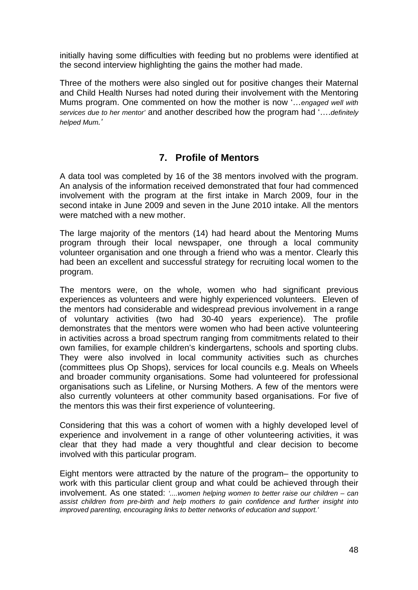initially having some difficulties with feeding but no problems were identified at the second interview highlighting the gains the mother had made.

Three of the mothers were also singled out for positive changes their Maternal and Child Health Nurses had noted during their involvement with the Mentoring Mums program. One commented on how the mother is now '…*engaged well with services due to her mentor'* and another described how the program had '….*definitely helped Mum.'*

# **7. Profile of Mentors**

A data tool was completed by 16 of the 38 mentors involved with the program. An analysis of the information received demonstrated that four had commenced involvement with the program at the first intake in March 2009, four in the second intake in June 2009 and seven in the June 2010 intake. All the mentors were matched with a new mother.

The large majority of the mentors (14) had heard about the Mentoring Mums program through their local newspaper, one through a local community volunteer organisation and one through a friend who was a mentor. Clearly this had been an excellent and successful strategy for recruiting local women to the program.

The mentors were, on the whole, women who had significant previous experiences as volunteers and were highly experienced volunteers. Eleven of the mentors had considerable and widespread previous involvement in a range of voluntary activities (two had 30-40 years experience). The profile demonstrates that the mentors were women who had been active volunteering in activities across a broad spectrum ranging from commitments related to their own families, for example children's kindergartens, schools and sporting clubs. They were also involved in local community activities such as churches (committees plus Op Shops), services for local councils e.g. Meals on Wheels and broader community organisations. Some had volunteered for professional organisations such as Lifeline, or Nursing Mothers. A few of the mentors were also currently volunteers at other community based organisations. For five of the mentors this was their first experience of volunteering.

Considering that this was a cohort of women with a highly developed level of experience and involvement in a range of other volunteering activities, it was clear that they had made a very thoughtful and clear decision to become involved with this particular program.

Eight mentors were attracted by the nature of the program– the opportunity to work with this particular client group and what could be achieved through their involvement. As one stated: *'....women helping women to better raise our children – can*  assist children from pre-birth and help mothers to gain confidence and further insight into *improved parenting, encouraging links to better networks of education and support.'*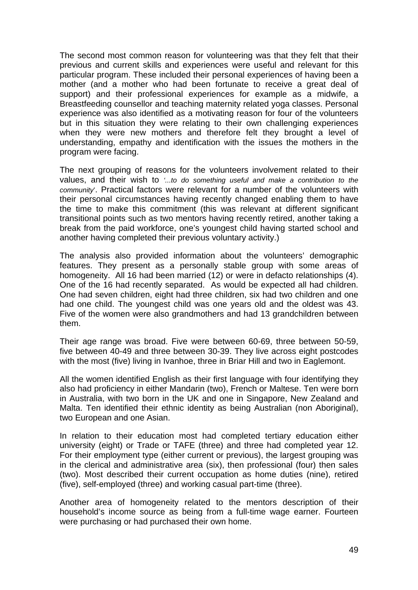The second most common reason for volunteering was that they felt that their previous and current skills and experiences were useful and relevant for this particular program. These included their personal experiences of having been a mother (and a mother who had been fortunate to receive a great deal of support) and their professional experiences for example as a midwife, a Breastfeeding counsellor and teaching maternity related yoga classes. Personal experience was also identified as a motivating reason for four of the volunteers but in this situation they were relating to their own challenging experiences when they were new mothers and therefore felt they brought a level of understanding, empathy and identification with the issues the mothers in the program were facing.

The next grouping of reasons for the volunteers involvement related to their values, and their wish to *'...to do something useful and make a contribution to the community*'. Practical factors were relevant for a number of the volunteers with their personal circumstances having recently changed enabling them to have the time to make this commitment (this was relevant at different significant transitional points such as two mentors having recently retired, another taking a break from the paid workforce, one's youngest child having started school and another having completed their previous voluntary activity.)

The analysis also provided information about the volunteers' demographic features. They present as a personally stable group with some areas of homogeneity. All 16 had been married (12) or were in defacto relationships (4). One of the 16 had recently separated. As would be expected all had children. One had seven children, eight had three children, six had two children and one had one child. The youngest child was one years old and the oldest was 43. Five of the women were also grandmothers and had 13 grandchildren between them.

Their age range was broad. Five were between 60-69, three between 50-59, five between 40-49 and three between 30-39. They live across eight postcodes with the most (five) living in Ivanhoe, three in Briar Hill and two in Eaglemont.

All the women identified English as their first language with four identifying they also had proficiency in either Mandarin (two), French or Maltese. Ten were born in Australia, with two born in the UK and one in Singapore, New Zealand and Malta. Ten identified their ethnic identity as being Australian (non Aboriginal), two European and one Asian.

In relation to their education most had completed tertiary education either university (eight) or Trade or TAFE (three) and three had completed year 12. For their employment type (either current or previous), the largest grouping was in the clerical and administrative area (six), then professional (four) then sales (two). Most described their current occupation as home duties (nine), retired (five), self-employed (three) and working casual part-time (three).

Another area of homogeneity related to the mentors description of their household's income source as being from a full-time wage earner. Fourteen were purchasing or had purchased their own home.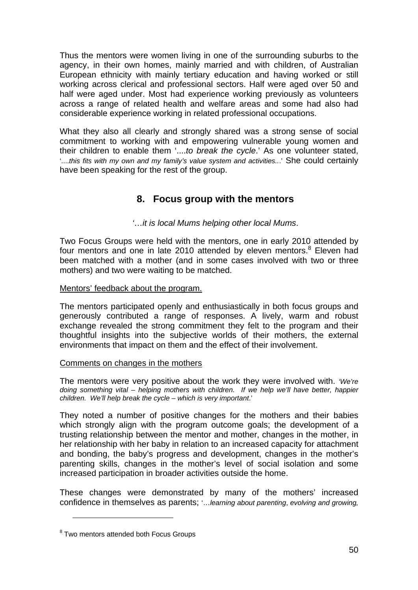Thus the mentors were women living in one of the surrounding suburbs to the agency, in their own homes, mainly married and with children, of Australian European ethnicity with mainly tertiary education and having worked or still working across clerical and professional sectors. Half were aged over 50 and half were aged under. Most had experience working previously as volunteers across a range of related health and welfare areas and some had also had considerable experience working in related professional occupations.

What they also all clearly and strongly shared was a strong sense of social commitment to working with and empowering vulnerable young women and their children to enable them '....*to break the cycle*.' As one volunteer stated, '....*this fits with my own and my family's value system and activities..*.' She could certainly have been speaking for the rest of the group.

# **8. Focus group with the mentors**

#### *'*…*it is local Mums helping other local Mums*.

Two Focus Groups were held with the mentors, one in early 2010 attended by four mentors and one in late 2010 attended by eleven mentors.<sup>8</sup> Eleven had been matched with a mother (and in some cases involved with two or three mothers) and two were waiting to be matched.

#### Mentors' feedback about the program.

The mentors participated openly and enthusiastically in both focus groups and generously contributed a range of responses. A lively, warm and robust exchange revealed the strong commitment they felt to the program and their thoughtful insights into the subjective worlds of their mothers, the external environments that impact on them and the effect of their involvement.

#### Comments on changes in the mothers

The mentors were very positive about the work they were involved with. *'We're doing something vital – helping mothers with children. If we help we'll have better, happier children. We'll help break the cycle – which is very important*.'

They noted a number of positive changes for the mothers and their babies which strongly align with the program outcome goals; the development of a trusting relationship between the mentor and mother, changes in the mother, in her relationship with her baby in relation to an increased capacity for attachment and bonding, the baby's progress and development, changes in the mother's parenting skills, changes in the mother's level of social isolation and some increased participation in broader activities outside the home.

These changes were demonstrated by many of the mothers' increased confidence in themselves as parents; '…*learning about parenting*, *evolving and growing,* 

1

<sup>&</sup>lt;sup>8</sup> Two mentors attended both Focus Groups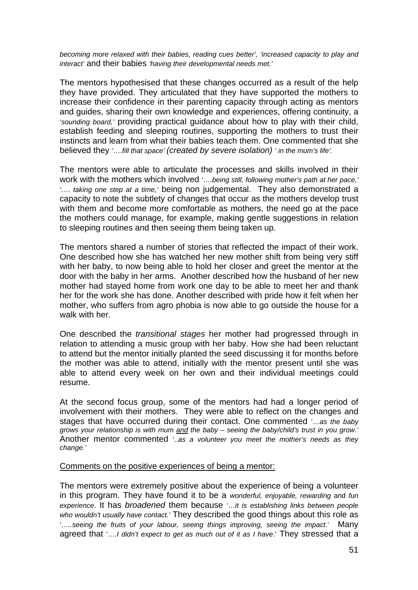*becoming more relaxed with their babies, reading cues better', 'increased capacity to play and interact'* and their babies *'having their developmental needs met.'*

The mentors hypothesised that these changes occurred as a result of the help they have provided. They articulated that they have supported the mothers to increase their confidence in their parenting capacity through acting as mentors and guides, sharing their own knowledge and experiences, offering continuity, a '*sounding board,'* providing practical guidance about how to play with their child, establish feeding and sleeping routines, supporting the mothers to trust their instincts and learn from what their babies teach them. One commented that she believed they '….*fill that space' (created by severe isolation) ' in the mum's life'.*

The mentors were able to articulate the processes and skills involved in their work with the mothers which involved '….*being still, following mother's path at her pace,' '…. taking one step at a time,'* being non judgemental. They also demonstrated a capacity to note the subtlety of changes that occur as the mothers develop trust with them and become more comfortable as mothers, the need go at the pace the mothers could manage, for example, making gentle suggestions in relation to sleeping routines and then seeing them being taken up.

The mentors shared a number of stories that reflected the impact of their work. One described how she has watched her new mother shift from being very stiff with her baby, to now being able to hold her closer and greet the mentor at the door with the baby in her arms. Another described how the husband of her new mother had stayed home from work one day to be able to meet her and thank her for the work she has done. Another described with pride how it felt when her mother, who suffers from agro phobia is now able to go outside the house for a walk with her.

One described the *transitional stages* her mother had progressed through in relation to attending a music group with her baby. How she had been reluctant to attend but the mentor initially planted the seed discussing it for months before the mother was able to attend, initially with the mentor present until she was able to attend every week on her own and their individual meetings could resume.

At the second focus group, some of the mentors had had a longer period of involvement with their mothers. They were able to reflect on the changes and stages that have occurred during their contact. One commented '…*as the baby grows your relationship is with mum and the baby – seeing the baby/child's trust in you grow.'* Another mentor commented '..*as a volunteer you meet the mother's needs as they change.'* 

#### Comments on the positive experiences of being a mentor:

The mentors were extremely positive about the experience of being a volunteer in this program. They have found it to be a *wonderful, enjoyable, rewarding* and *fun experience*. It has *broadened* them because '…*it is establishing links between people who wouldn't usually have contact.'* They described the good things about this role as '*…..seeing the fruits of your labour, seeing things improving, seeing the impact*.' Many agreed that '….*I didn't expect to get as much out of it as I have*.' They stressed that a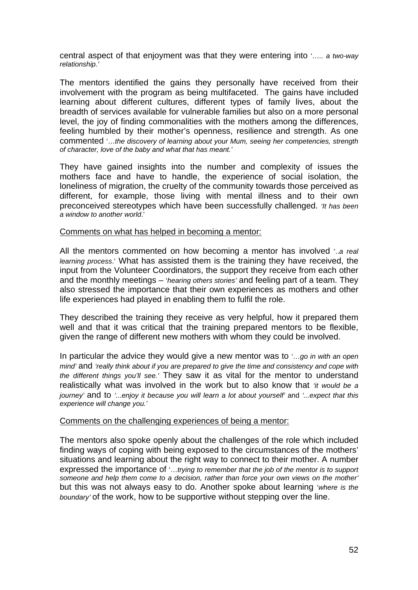central aspect of that enjoyment was that they were entering into '*….. a two-way relationship.'*

The mentors identified the gains they personally have received from their involvement with the program as being multifaceted. The gains have included learning about different cultures, different types of family lives, about the breadth of services available for vulnerable families but also on a more personal level, the joy of finding commonalities with the mothers among the differences, feeling humbled by their mother's openness, resilience and strength. As one commented '…*the discovery of learning about your Mum, seeing her competencies, strength of character, love of the baby and what that has meant.'* 

They have gained insights into the number and complexity of issues the mothers face and have to handle, the experience of social isolation, the loneliness of migration, the cruelty of the community towards those perceived as different, for example, those living with mental illness and to their own preconceived stereotypes which have been successfully challenged. *'It has been a window to another world*.'

#### Comments on what has helped in becoming a mentor:

All the mentors commented on how becoming a mentor has involved '..*a real learning process*.' What has assisted them is the training they have received, the input from the Volunteer Coordinators, the support they receive from each other and the monthly meetings – '*hearing others stories'* and feeling part of a team. They also stressed the importance that their own experiences as mothers and other life experiences had played in enabling them to fulfil the role.

They described the training they receive as very helpful, how it prepared them well and that it was critical that the training prepared mentors to be flexible, given the range of different new mothers with whom they could be involved.

In particular the advice they would give a new mentor was to '…*go in with an open mind'* and *'really think about if you are prepared to give the time and consistency and cope with the different things you'll see.'* They saw it as vital for the mentor to understand realistically what was involved in the work but to also know that *'it would be a journey'* and to *'...enjoy it because you will learn a lot about yourself'* and *'...expect that this experience will change you.'* 

#### Comments on the challenging experiences of being a mentor:

The mentors also spoke openly about the challenges of the role which included finding ways of coping with being exposed to the circumstances of the mothers' situations and learning about the right way to connect to their mother. A number expressed the importance of '…*trying to remember that the job of the mentor is to support someone and help them come to a decision, rather than force your own views on the mother'* but this was not always easy to do. Another spoke about learning '*where is the boundary'* of the work, how to be supportive without stepping over the line.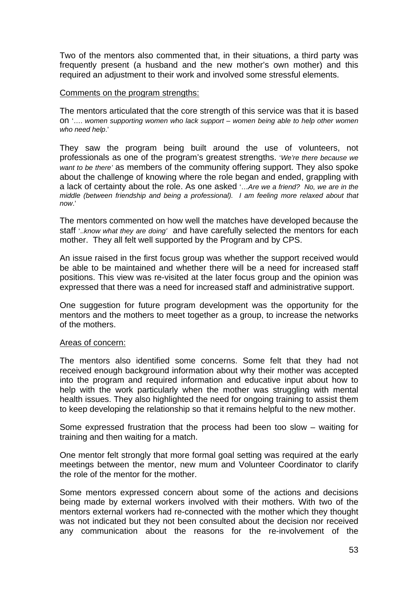Two of the mentors also commented that, in their situations, a third party was frequently present (a husband and the new mother's own mother) and this required an adjustment to their work and involved some stressful elements.

#### Comments on the program strengths:

The mentors articulated that the core strength of this service was that it is based on '…. *women supporting women who lack support* – *women being able to help other women who need help*.'

They saw the program being built around the use of volunteers, not professionals as one of the program's greatest strengths. '*We're there because we want to be there'* as members of the community offering support. They also spoke about the challenge of knowing where the role began and ended, grappling with a lack of certainty about the role. As one asked '…*Are we a friend? No, we are in the middle (between friendship and being a professional). I am feeling more relaxed about that now*.'

The mentors commented on how well the matches have developed because the staff '..*know what they are doing'* and have carefully selected the mentors for each mother. They all felt well supported by the Program and by CPS.

An issue raised in the first focus group was whether the support received would be able to be maintained and whether there will be a need for increased staff positions. This view was re-visited at the later focus group and the opinion was expressed that there was a need for increased staff and administrative support.

One suggestion for future program development was the opportunity for the mentors and the mothers to meet together as a group, to increase the networks of the mothers.

#### Areas of concern:

The mentors also identified some concerns. Some felt that they had not received enough background information about why their mother was accepted into the program and required information and educative input about how to help with the work particularly when the mother was struggling with mental health issues. They also highlighted the need for ongoing training to assist them to keep developing the relationship so that it remains helpful to the new mother.

Some expressed frustration that the process had been too slow – waiting for training and then waiting for a match.

One mentor felt strongly that more formal goal setting was required at the early meetings between the mentor, new mum and Volunteer Coordinator to clarify the role of the mentor for the mother.

Some mentors expressed concern about some of the actions and decisions being made by external workers involved with their mothers. With two of the mentors external workers had re-connected with the mother which they thought was not indicated but they not been consulted about the decision nor received any communication about the reasons for the re-involvement of the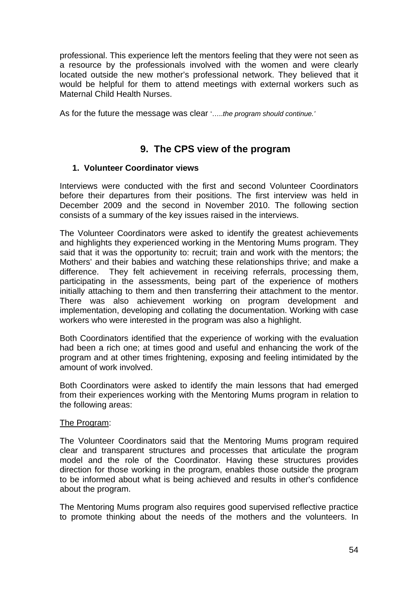professional. This experience left the mentors feeling that they were not seen as a resource by the professionals involved with the women and were clearly located outside the new mother's professional network. They believed that it would be helpful for them to attend meetings with external workers such as Maternal Child Health Nurses.

As for the future the message was clear '…..*the program should continue.'*

# **9. The CPS view of the program**

#### **1. Volunteer Coordinator views**

Interviews were conducted with the first and second Volunteer Coordinators before their departures from their positions. The first interview was held in December 2009 and the second in November 2010. The following section consists of a summary of the key issues raised in the interviews.

The Volunteer Coordinators were asked to identify the greatest achievements and highlights they experienced working in the Mentoring Mums program. They said that it was the opportunity to: recruit; train and work with the mentors; the Mothers' and their babies and watching these relationships thrive; and make a difference. They felt achievement in receiving referrals, processing them, participating in the assessments, being part of the experience of mothers initially attaching to them and then transferring their attachment to the mentor. There was also achievement working on program development and implementation, developing and collating the documentation. Working with case workers who were interested in the program was also a highlight.

Both Coordinators identified that the experience of working with the evaluation had been a rich one; at times good and useful and enhancing the work of the program and at other times frightening, exposing and feeling intimidated by the amount of work involved.

Both Coordinators were asked to identify the main lessons that had emerged from their experiences working with the Mentoring Mums program in relation to the following areas:

#### The Program:

The Volunteer Coordinators said that the Mentoring Mums program required clear and transparent structures and processes that articulate the program model and the role of the Coordinator. Having these structures provides direction for those working in the program, enables those outside the program to be informed about what is being achieved and results in other's confidence about the program.

The Mentoring Mums program also requires good supervised reflective practice to promote thinking about the needs of the mothers and the volunteers. In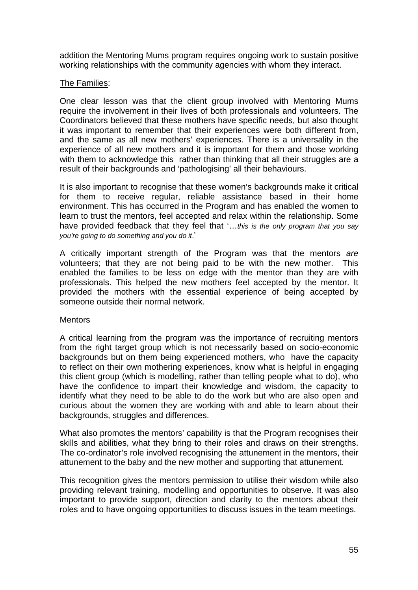addition the Mentoring Mums program requires ongoing work to sustain positive working relationships with the community agencies with whom they interact.

#### The Families:

One clear lesson was that the client group involved with Mentoring Mums require the involvement in their lives of both professionals and volunteers. The Coordinators believed that these mothers have specific needs, but also thought it was important to remember that their experiences were both different from, and the same as all new mothers' experiences. There is a universality in the experience of all new mothers and it is important for them and those working with them to acknowledge this rather than thinking that all their struggles are a result of their backgrounds and 'pathologising' all their behaviours.

It is also important to recognise that these women's backgrounds make it critical for them to receive regular, reliable assistance based in their home environment. This has occurred in the Program and has enabled the women to learn to trust the mentors, feel accepted and relax within the relationship. Some have provided feedback that they feel that '…*this is the only program that you say you're going to do something and you do it*.'

A critically important strength of the Program was that the mentors *are* volunteers; that they are not being paid to be with the new mother. This enabled the families to be less on edge with the mentor than they are with professionals. This helped the new mothers feel accepted by the mentor. It provided the mothers with the essential experience of being accepted by someone outside their normal network.

#### **Mentors**

A critical learning from the program was the importance of recruiting mentors from the right target group which is not necessarily based on socio-economic backgrounds but on them being experienced mothers, who have the capacity to reflect on their own mothering experiences, know what is helpful in engaging this client group (which is modelling, rather than telling people what to do), who have the confidence to impart their knowledge and wisdom, the capacity to identify what they need to be able to do the work but who are also open and curious about the women they are working with and able to learn about their backgrounds, struggles and differences.

What also promotes the mentors' capability is that the Program recognises their skills and abilities, what they bring to their roles and draws on their strengths. The co-ordinator's role involved recognising the attunement in the mentors, their attunement to the baby and the new mother and supporting that attunement.

This recognition gives the mentors permission to utilise their wisdom while also providing relevant training, modelling and opportunities to observe. It was also important to provide support, direction and clarity to the mentors about their roles and to have ongoing opportunities to discuss issues in the team meetings.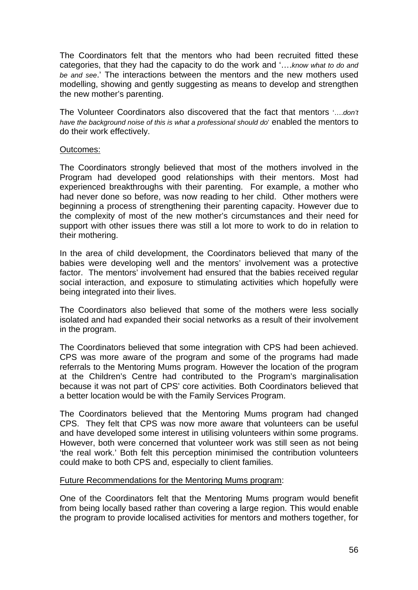The Coordinators felt that the mentors who had been recruited fitted these categories, that they had the capacity to do the work and '….*know what to do and be and see*.' The interactions between the mentors and the new mothers used modelling, showing and gently suggesting as means to develop and strengthen the new mother's parenting.

The Volunteer Coordinators also discovered that the fact that mentors '….*don't have the background noise of this is what a professional should do*' enabled the mentors to do their work effectively.

#### Outcomes:

The Coordinators strongly believed that most of the mothers involved in the Program had developed good relationships with their mentors. Most had experienced breakthroughs with their parenting. For example, a mother who had never done so before, was now reading to her child. Other mothers were beginning a process of strengthening their parenting capacity. However due to the complexity of most of the new mother's circumstances and their need for support with other issues there was still a lot more to work to do in relation to their mothering.

In the area of child development, the Coordinators believed that many of the babies were developing well and the mentors' involvement was a protective factor. The mentors' involvement had ensured that the babies received regular social interaction, and exposure to stimulating activities which hopefully were being integrated into their lives.

The Coordinators also believed that some of the mothers were less socially isolated and had expanded their social networks as a result of their involvement in the program.

The Coordinators believed that some integration with CPS had been achieved. CPS was more aware of the program and some of the programs had made referrals to the Mentoring Mums program. However the location of the program at the Children's Centre had contributed to the Program's marginalisation because it was not part of CPS' core activities. Both Coordinators believed that a better location would be with the Family Services Program.

The Coordinators believed that the Mentoring Mums program had changed CPS. They felt that CPS was now more aware that volunteers can be useful and have developed some interest in utilising volunteers within some programs. However, both were concerned that volunteer work was still seen as not being 'the real work.' Both felt this perception minimised the contribution volunteers could make to both CPS and, especially to client families.

#### Future Recommendations for the Mentoring Mums program:

One of the Coordinators felt that the Mentoring Mums program would benefit from being locally based rather than covering a large region. This would enable the program to provide localised activities for mentors and mothers together, for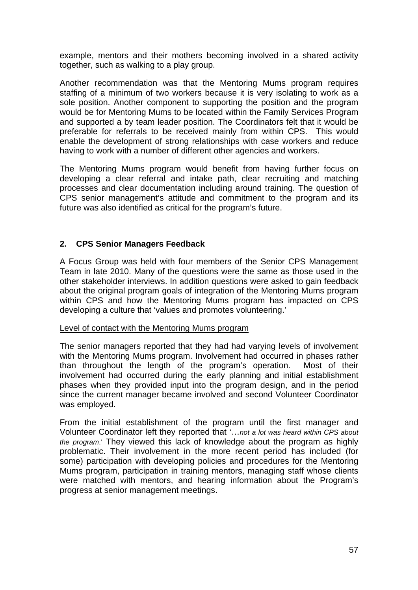example, mentors and their mothers becoming involved in a shared activity together, such as walking to a play group.

Another recommendation was that the Mentoring Mums program requires staffing of a minimum of two workers because it is very isolating to work as a sole position. Another component to supporting the position and the program would be for Mentoring Mums to be located within the Family Services Program and supported a by team leader position. The Coordinators felt that it would be preferable for referrals to be received mainly from within CPS. This would enable the development of strong relationships with case workers and reduce having to work with a number of different other agencies and workers.

The Mentoring Mums program would benefit from having further focus on developing a clear referral and intake path, clear recruiting and matching processes and clear documentation including around training. The question of CPS senior management's attitude and commitment to the program and its future was also identified as critical for the program's future.

#### **2. CPS Senior Managers Feedback**

A Focus Group was held with four members of the Senior CPS Management Team in late 2010. Many of the questions were the same as those used in the other stakeholder interviews. In addition questions were asked to gain feedback about the original program goals of integration of the Mentoring Mums program within CPS and how the Mentoring Mums program has impacted on CPS developing a culture that 'values and promotes volunteering.'

#### Level of contact with the Mentoring Mums program

The senior managers reported that they had had varying levels of involvement with the Mentoring Mums program. Involvement had occurred in phases rather than throughout the length of the program's operation. Most of their involvement had occurred during the early planning and initial establishment phases when they provided input into the program design, and in the period since the current manager became involved and second Volunteer Coordinator was employed.

From the initial establishment of the program until the first manager and Volunteer Coordinator left they reported that '…*not a lot was heard within CPS about the program*.' They viewed this lack of knowledge about the program as highly problematic. Their involvement in the more recent period has included (for some) participation with developing policies and procedures for the Mentoring Mums program, participation in training mentors, managing staff whose clients were matched with mentors, and hearing information about the Program's progress at senior management meetings.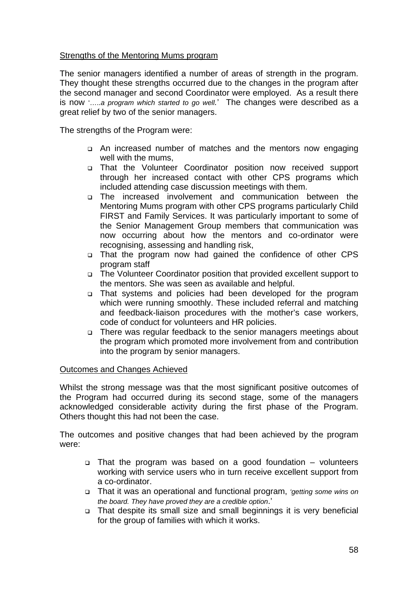#### Strengths of the Mentoring Mums program

The senior managers identified a number of areas of strength in the program. They thought these strengths occurred due to the changes in the program after the second manager and second Coordinator were employed. As a result there is now '…..*a program which started to go well.*' The changes were described as a great relief by two of the senior managers.

The strengths of the Program were:

- An increased number of matches and the mentors now engaging well with the mums,
- That the Volunteer Coordinator position now received support through her increased contact with other CPS programs which included attending case discussion meetings with them.
- The increased involvement and communication between the Mentoring Mums program with other CPS programs particularly Child FIRST and Family Services. It was particularly important to some of the Senior Management Group members that communication was now occurring about how the mentors and co-ordinator were recognising, assessing and handling risk,
- That the program now had gained the confidence of other CPS program staff
- The Volunteer Coordinator position that provided excellent support to the mentors. She was seen as available and helpful.
- That systems and policies had been developed for the program which were running smoothly. These included referral and matching and feedback-liaison procedures with the mother's case workers, code of conduct for volunteers and HR policies.
- There was regular feedback to the senior managers meetings about the program which promoted more involvement from and contribution into the program by senior managers.

#### Outcomes and Changes Achieved

Whilst the strong message was that the most significant positive outcomes of the Program had occurred during its second stage, some of the managers acknowledged considerable activity during the first phase of the Program. Others thought this had not been the case.

The outcomes and positive changes that had been achieved by the program were:

- That the program was based on a good foundation volunteers working with service users who in turn receive excellent support from a co-ordinator.
- That it was an operational and functional program, *'getting some wins on the board. They have proved they are a credible option*.'
- That despite its small size and small beginnings it is very beneficial for the group of families with which it works.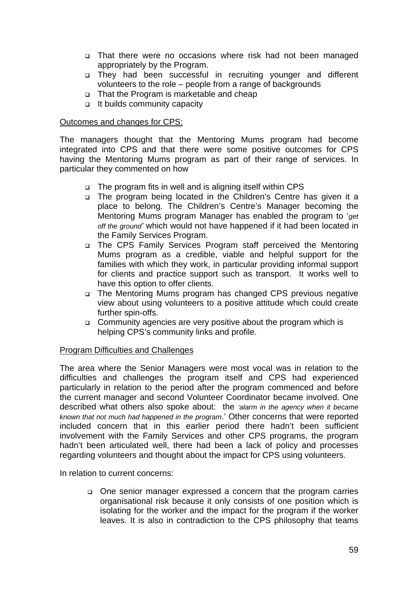- That there were no occasions where risk had not been managed appropriately by the Program.
- $\Box$  They had been successful in recruiting younger and different volunteers to the role – people from a range of backgrounds
- That the Program is marketable and cheap
- □ It builds community capacity

#### Outcomes and changes for CPS:

The managers thought that the Mentoring Mums program had become integrated into CPS and that there were some positive outcomes for CPS having the Mentoring Mums program as part of their range of services. In particular they commented on how

- □ The program fits in well and is aligning itself within CPS
- The program being located in the Children's Centre has given it a place to belong. The Children's Centre's Manager becoming the Mentoring Mums program Manager has enabled the program to '*get off the ground'* which would not have happened if it had been located in the Family Services Program.
- The CPS Family Services Program staff perceived the Mentoring Mums program as a credible, viable and helpful support for the families with which they work, in particular providing informal support for clients and practice support such as transport. It works well to have this option to offer clients.
- The Mentoring Mums program has changed CPS previous negative view about using volunteers to a positive attitude which could create further spin-offs.
- □ Community agencies are very positive about the program which is helping CPS's community links and profile.

#### Program Difficulties and Challenges

The area where the Senior Managers were most vocal was in relation to the difficulties and challenges the program itself and CPS had experienced particularly in relation to the period after the program commenced and before the current manager and second Volunteer Coordinator became involved. One described what others also spoke about: the *'alarm in the agency when it became known that not much had happened in the program*.' Other concerns that were reported included concern that in this earlier period there hadn't been sufficient involvement with the Family Services and other CPS programs, the program hadn't been articulated well, there had been a lack of policy and processes regarding volunteers and thought about the impact for CPS using volunteers.

In relation to current concerns:

 One senior manager expressed a concern that the program carries organisational risk because it only consists of one position which is isolating for the worker and the impact for the program if the worker leaves. It is also in contradiction to the CPS philosophy that teams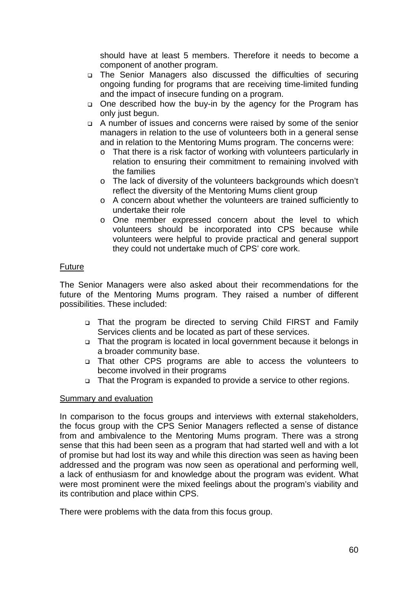should have at least 5 members. Therefore it needs to become a component of another program.

- The Senior Managers also discussed the difficulties of securing ongoing funding for programs that are receiving time-limited funding and the impact of insecure funding on a program.
- One described how the buy-in by the agency for the Program has only just begun.
- A number of issues and concerns were raised by some of the senior managers in relation to the use of volunteers both in a general sense and in relation to the Mentoring Mums program. The concerns were:
	- o That there is a risk factor of working with volunteers particularly in relation to ensuring their commitment to remaining involved with the families
	- o The lack of diversity of the volunteers backgrounds which doesn't reflect the diversity of the Mentoring Mums client group
	- o A concern about whether the volunteers are trained sufficiently to undertake their role
	- o One member expressed concern about the level to which volunteers should be incorporated into CPS because while volunteers were helpful to provide practical and general support they could not undertake much of CPS' core work.

## Future

The Senior Managers were also asked about their recommendations for the future of the Mentoring Mums program. They raised a number of different possibilities. These included:

- That the program be directed to serving Child FIRST and Family Services clients and be located as part of these services.
- That the program is located in local government because it belongs in a broader community base.
- That other CPS programs are able to access the volunteers to become involved in their programs
- That the Program is expanded to provide a service to other regions.

#### Summary and evaluation

In comparison to the focus groups and interviews with external stakeholders, the focus group with the CPS Senior Managers reflected a sense of distance from and ambivalence to the Mentoring Mums program. There was a strong sense that this had been seen as a program that had started well and with a lot of promise but had lost its way and while this direction was seen as having been addressed and the program was now seen as operational and performing well, a lack of enthusiasm for and knowledge about the program was evident. What were most prominent were the mixed feelings about the program's viability and its contribution and place within CPS.

There were problems with the data from this focus group.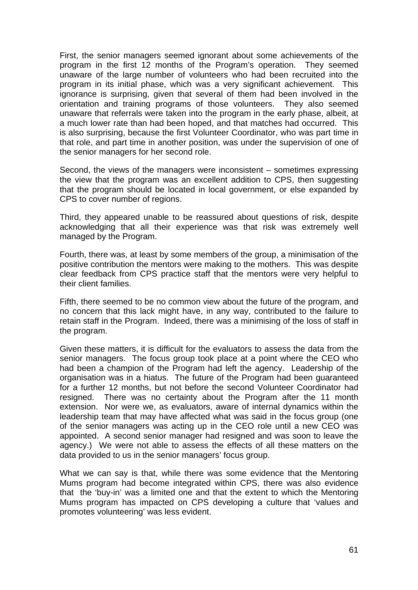First, the senior managers seemed ignorant about some achievements of the program in the first 12 months of the Program's operation. They seemed unaware of the large number of volunteers who had been recruited into the program in its initial phase, which was a very significant achievement. This ignorance is surprising, given that several of them had been involved in the orientation and training programs of those volunteers. They also seemed unaware that referrals were taken into the program in the early phase, albeit, at a much lower rate than had been hoped, and that matches had occurred. This is also surprising, because the first Volunteer Coordinator, who was part time in that role, and part time in another position, was under the supervision of one of the senior managers for her second role.

Second, the views of the managers were inconsistent – sometimes expressing the view that the program was an excellent addition to CPS, then suggesting that the program should be located in local government, or else expanded by CPS to cover number of regions.

Third, they appeared unable to be reassured about questions of risk, despite acknowledging that all their experience was that risk was extremely well managed by the Program.

Fourth, there was, at least by some members of the group, a minimisation of the positive contribution the mentors were making to the mothers. This was despite clear feedback from CPS practice staff that the mentors were very helpful to their client families.

Fifth, there seemed to be no common view about the future of the program, and no concern that this lack might have, in any way, contributed to the failure to retain staff in the Program. Indeed, there was a minimising of the loss of staff in the program.

Given these matters, it is difficult for the evaluators to assess the data from the senior managers. The focus group took place at a point where the CEO who had been a champion of the Program had left the agency. Leadership of the organisation was in a hiatus. The future of the Program had been guaranteed for a further 12 months, but not before the second Volunteer Coordinator had resigned. There was no certainty about the Program after the 11 month extension. Nor were we, as evaluators, aware of internal dynamics within the leadership team that may have affected what was said in the focus group (one of the senior managers was acting up in the CEO role until a new CEO was appointed. A second senior manager had resigned and was soon to leave the agency.) We were not able to assess the effects of all these matters on the data provided to us in the senior managers' focus group.

What we can say is that, while there was some evidence that the Mentoring Mums program had become integrated within CPS, there was also evidence that the 'buy-in' was a limited one and that the extent to which the Mentoring Mums program has impacted on CPS developing a culture that 'values and promotes volunteering' was less evident.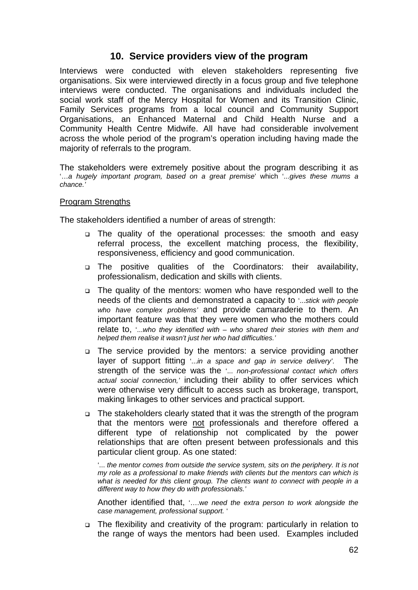## **10. Service providers view of the program**

Interviews were conducted with eleven stakeholders representing five organisations. Six were interviewed directly in a focus group and five telephone interviews were conducted. The organisations and individuals included the social work staff of the Mercy Hospital for Women and its Transition Clinic, Family Services programs from a local council and Community Support Organisations, an Enhanced Maternal and Child Health Nurse and a Community Health Centre Midwife. All have had considerable involvement across the whole period of the program's operation including having made the majority of referrals to the program.

The stakeholders were extremely positive about the program describing it as '…*a hugely important program, based on a great premise*' which '...*gives these mums a chance.'* 

#### Program Strengths

The stakeholders identified a number of areas of strength:

- The quality of the operational processes: the smooth and easy referral process, the excellent matching process, the flexibility, responsiveness, efficiency and good communication.
- The positive qualities of the Coordinators: their availability, professionalism, dedication and skills with clients.
- The quality of the mentors: women who have responded well to the needs of the clients and demonstrated a capacity to '...*stick with people who have complex problems'* and provide camaraderie to them. An important feature was that they were women who the mothers could relate to, '...*who they identified with – who shared their stories with them and helped them realise it wasn't just her who had difficulties.'*
- The service provided by the mentors: a service providing another layer of support fitting '...*in a space and gap in service delivery'*. The strength of the service was the '... *non-professional contact which offers actual social connection,'* including their ability to offer services which were otherwise very difficult to access such as brokerage, transport, making linkages to other services and practical support.
- $\Box$  The stakeholders clearly stated that it was the strength of the program that the mentors were not professionals and therefore offered a different type of relationship not complicated by the power relationships that are often present between professionals and this particular client group. As one stated:

'... *the mentor comes from outside the service system, sits on the periphery. It is not my role as a professional to make friends with clients but the mentors can which is what is needed for this client group. The clients want to connect with people in a different way to how they do with professionals.'* 

Another identified that, '….w*e need the extra person to work alongside the case management, professional support.* '

 The flexibility and creativity of the program: particularly in relation to the range of ways the mentors had been used. Examples included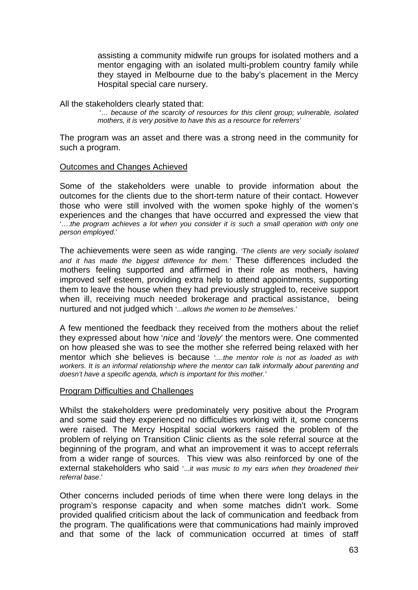assisting a community midwife run groups for isolated mothers and a mentor engaging with an isolated multi-problem country family while they stayed in Melbourne due to the baby's placement in the Mercy Hospital special care nursery.

All the stakeholders clearly stated that:

 '… *because of the scarcity of resources for this client group; vulnerable, isolated mothers, it is very positive to have this as a resource for referrers'* 

The program was an asset and there was a strong need in the community for such a program.

#### Outcomes and Changes Achieved

Some of the stakeholders were unable to provide information about the outcomes for the clients due to the short-term nature of their contact. However those who were still involved with the women spoke highly of the women's experiences and the changes that have occurred and expressed the view that '….*the program achieves a lot when you consider it is such a small operation with only one person employed*.'

The achievements were seen as wide ranging. *'The clients are very socially isolated and it has made the biggest difference for them.'* These differences included the mothers feeling supported and affirmed in their role as mothers, having improved self esteem, providing extra help to attend appointments, supporting them to leave the house when they had previously struggled to, receive support when ill, receiving much needed brokerage and practical assistance, being nurtured and not judged which '...*allows the women to be themselves*.'

A few mentioned the feedback they received from the mothers about the relief they expressed about how '*nice* and '*lovely*' the mentors were. One commented on how pleased she was to see the mother she referred being relaxed with her mentor which she believes is because *'....the mentor role is not as loaded as with workers. It is an informal relationship where the mentor can talk informally about parenting and doesn't have a specific agenda, which is important for this mother.'* 

#### Program Difficulties and Challenges

Whilst the stakeholders were predominately very positive about the Program and some said they experienced no difficulties working with it, some concerns were raised. The Mercy Hospital social workers raised the problem of the problem of relying on Transition Clinic clients as the sole referral source at the beginning of the program, and what an improvement it was to accept referrals from a wider range of sources. This view was also reinforced by one of the external stakeholders who said '...*it was music to my ears when they broadened their referral base*.'

Other concerns included periods of time when there were long delays in the program's response capacity and when some matches didn't work. Some provided qualified criticism about the lack of communication and feedback from the program. The qualifications were that communications had mainly improved and that some of the lack of communication occurred at times of staff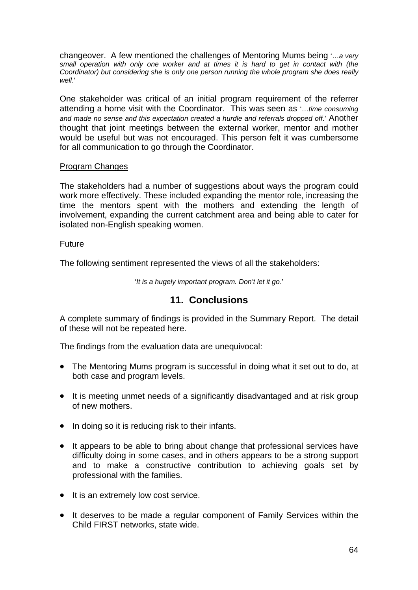changeover. A few mentioned the challenges of Mentoring Mums being '…*a very small operation with only one worker and at times it is hard to get in contact with (the Coordinator) but considering she is only one person running the whole program she does really well*.'

One stakeholder was critical of an initial program requirement of the referrer attending a home visit with the Coordinator. This was seen as '…*time consuming and made no sense and this expectation created a hurdle and referrals dropped off*.' Another thought that joint meetings between the external worker, mentor and mother would be useful but was not encouraged. This person felt it was cumbersome for all communication to go through the Coordinator.

#### Program Changes

The stakeholders had a number of suggestions about ways the program could work more effectively. These included expanding the mentor role, increasing the time the mentors spent with the mothers and extending the length of involvement, expanding the current catchment area and being able to cater for isolated non-English speaking women.

#### Future

The following sentiment represented the views of all the stakeholders:

'*It is a hugely important program. Don't let it go*.'

# **11. Conclusions**

A complete summary of findings is provided in the Summary Report. The detail of these will not be repeated here.

The findings from the evaluation data are unequivocal:

- The Mentoring Mums program is successful in doing what it set out to do, at both case and program levels.
- It is meeting unmet needs of a significantly disadvantaged and at risk group of new mothers.
- In doing so it is reducing risk to their infants.
- It appears to be able to bring about change that professional services have difficulty doing in some cases, and in others appears to be a strong support and to make a constructive contribution to achieving goals set by professional with the families.
- It is an extremely low cost service.
- It deserves to be made a regular component of Family Services within the Child FIRST networks, state wide.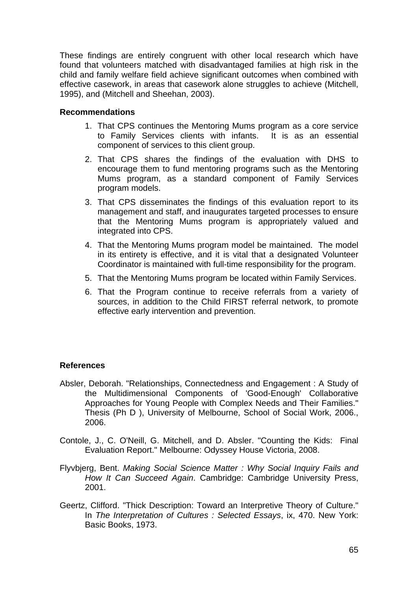These findings are entirely congruent with other local research which have found that volunteers matched with disadvantaged families at high risk in the child and family welfare field achieve significant outcomes when combined with effective casework, in areas that casework alone struggles to achieve (Mitchell, 1995), and (Mitchell and Sheehan, 2003).

#### **Recommendations**

- 1. That CPS continues the Mentoring Mums program as a core service to Family Services clients with infants. It is as an essential component of services to this client group.
- 2. That CPS shares the findings of the evaluation with DHS to encourage them to fund mentoring programs such as the Mentoring Mums program, as a standard component of Family Services program models.
- 3. That CPS disseminates the findings of this evaluation report to its management and staff, and inaugurates targeted processes to ensure that the Mentoring Mums program is appropriately valued and integrated into CPS.
- 4. That the Mentoring Mums program model be maintained. The model in its entirety is effective, and it is vital that a designated Volunteer Coordinator is maintained with full-time responsibility for the program.
- 5. That the Mentoring Mums program be located within Family Services.
- 6. That the Program continue to receive referrals from a variety of sources, in addition to the Child FIRST referral network, to promote effective early intervention and prevention.

#### **References**

- Absler, Deborah. "Relationships, Connectedness and Engagement : A Study of the Multidimensional Components of 'Good-Enough' Collaborative Approaches for Young People with Complex Needs and Their Families." Thesis (Ph D ), University of Melbourne, School of Social Work, 2006., 2006.
- Contole, J., C. O'Neill, G. Mitchell, and D. Absler. "Counting the Kids: Final Evaluation Report." Melbourne: Odyssey House Victoria, 2008.
- Flyvbjerg, Bent. *Making Social Science Matter : Why Social Inquiry Fails and How It Can Succeed Again*. Cambridge: Cambridge University Press, 2001.
- Geertz, Clifford. "Thick Description: Toward an Interpretive Theory of Culture." In *The Interpretation of Cultures : Selected Essays*, ix, 470. New York: Basic Books, 1973.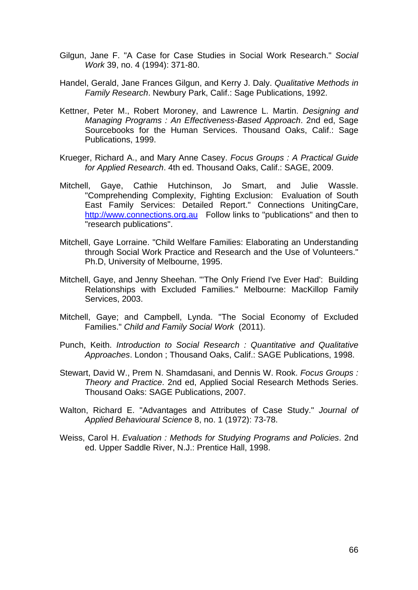- Gilgun, Jane F. "A Case for Case Studies in Social Work Research." *Social Work* 39, no. 4 (1994): 371-80.
- Handel, Gerald, Jane Frances Gilgun, and Kerry J. Daly. *Qualitative Methods in Family Research*. Newbury Park, Calif.: Sage Publications, 1992.
- Kettner, Peter M., Robert Moroney, and Lawrence L. Martin. *Designing and Managing Programs : An Effectiveness-Based Approach*. 2nd ed, Sage Sourcebooks for the Human Services. Thousand Oaks, Calif.: Sage Publications, 1999.
- Krueger, Richard A., and Mary Anne Casey. *Focus Groups : A Practical Guide for Applied Research*. 4th ed. Thousand Oaks, Calif.: SAGE, 2009.
- Mitchell, Gaye, Cathie Hutchinson, Jo Smart, and Julie Wassle. "Comprehending Complexity, Fighting Exclusion: Evaluation of South East Family Services: Detailed Report." Connections UnitingCare, http://www.connections.org.au Follow links to "publications" and then to "research publications".
- Mitchell, Gaye Lorraine. "Child Welfare Families: Elaborating an Understanding through Social Work Practice and Research and the Use of Volunteers." Ph.D, University of Melbourne, 1995.
- Mitchell, Gaye, and Jenny Sheehan. "'The Only Friend I've Ever Had': Building Relationships with Excluded Families." Melbourne: MacKillop Family Services, 2003.
- Mitchell, Gaye; and Campbell, Lynda. "The Social Economy of Excluded Families." *Child and Family Social Work* (2011).
- Punch, Keith. *Introduction to Social Research : Quantitative and Qualitative Approaches*. London ; Thousand Oaks, Calif.: SAGE Publications, 1998.
- Stewart, David W., Prem N. Shamdasani, and Dennis W. Rook. *Focus Groups : Theory and Practice*. 2nd ed, Applied Social Research Methods Series. Thousand Oaks: SAGE Publications, 2007.
- Walton, Richard E. "Advantages and Attributes of Case Study." *Journal of Applied Behavioural Science* 8, no. 1 (1972): 73-78.
- Weiss, Carol H. *Evaluation : Methods for Studying Programs and Policies*. 2nd ed. Upper Saddle River, N.J.: Prentice Hall, 1998.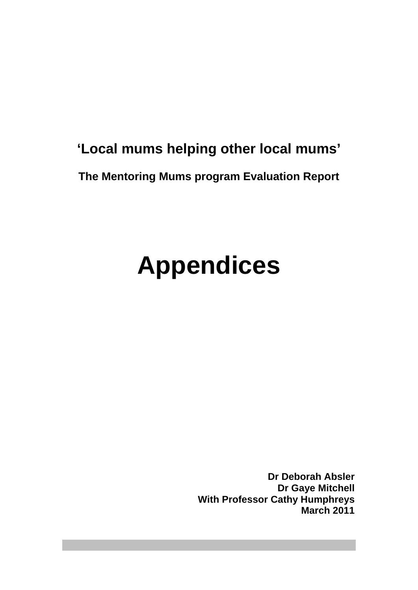# **'Local mums helping other local mums'**

**The Mentoring Mums program Evaluation Report** 

# **Appendices**

**Dr Deborah Absler Dr Gaye Mitchell With Professor Cathy Humphreys March 2011**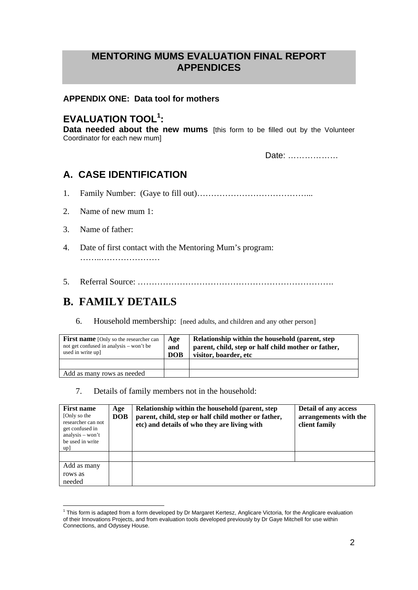# **MENTORING MUMS EVALUATION FINAL REPORT APPENDICES**

#### **APPENDIX ONE: Data tool for mothers**

# **EVALUATION TOOL<sup>1</sup>**

**Data needed about the new mums** [this form to be filled out by the Volunteer Coordinator for each new mum]

Date: ………………

# **A. CASE IDENTIFICATION**

1. Family Number: (Gaye to fill out)…………………………………...

- 2. Name of new mum 1:
- 3. Name of father:

1

- 4. Date of first contact with the Mentoring Mum's program: ……..…………………
- 5. Referral Source: …………………………………………………………….

# **B. FAMILY DETAILS**

6. Household membership: [need adults, and children and any other person]

| <b>First name</b> [Only so the researcher can<br>not get confused in analysis – won't be<br>used in write up] | Age<br>and<br><b>DOB</b> | Relationship within the household (parent, step<br>parent, child, step or half child mother or father,<br>visitor, boarder, etc |
|---------------------------------------------------------------------------------------------------------------|--------------------------|---------------------------------------------------------------------------------------------------------------------------------|
|                                                                                                               |                          |                                                                                                                                 |
| Add as many rows as needed                                                                                    |                          |                                                                                                                                 |

7. Details of family members not in the household:

| <b>First name</b><br>[Only so the<br>researcher can not<br>get confused in<br>analysis – won't<br>be used in write<br>up] | Age<br><b>DOB</b> | Relationship within the household (parent, step<br>parent, child, step or half child mother or father,<br>etc) and details of who they are living with | Detail of any access<br>arrangements with the<br>client family |
|---------------------------------------------------------------------------------------------------------------------------|-------------------|--------------------------------------------------------------------------------------------------------------------------------------------------------|----------------------------------------------------------------|
| Add as many<br>rows as<br>needed                                                                                          |                   |                                                                                                                                                        |                                                                |

<sup>&</sup>lt;sup>1</sup> This form is adapted from a form developed by Dr Margaret Kertesz, Anglicare Victoria, for the Anglicare evaluation of their Innovations Projects, and from evaluation tools developed previously by Dr Gaye Mitchell for use within Connections, and Odyssey House.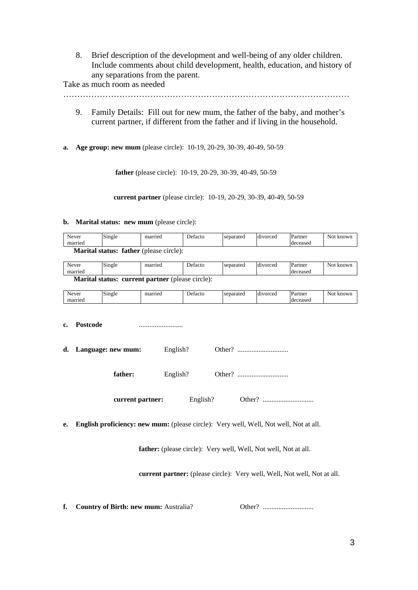8. Brief description of the development and well-being of any older children. Include comments about child development, health, education, and history of any separations from the parent.

Take as much room as needed

…………………………………………………………………………………………

- 9. Family Details: Fill out for new mum, the father of the baby, and mother's current partner, if different from the father and if living in the household.
- **a. Age group: new mum** (please circle): 10-19, 20-29, 30-39, 40-49, 50-59

 **father** (please circle): 10-19, 20-29, 30-39, 40-49, 50-59

**current partner** (please circle): 10-19, 20-29, 30-39, 40-49, 50-59

#### **b. Marital status: new mum** (please circle):

| Never<br>married                                                                                   |                                                                        | Single | married | Defacto | separated | divorced | Partner<br>deceased | Not known |  |  |  |  |
|----------------------------------------------------------------------------------------------------|------------------------------------------------------------------------|--------|---------|---------|-----------|----------|---------------------|-----------|--|--|--|--|
| Marital status: father (please circle):                                                            |                                                                        |        |         |         |           |          |                     |           |  |  |  |  |
| Never<br>married                                                                                   |                                                                        | Single | married | Defacto | separated | divorced | Partner<br>deceased | Not known |  |  |  |  |
| Marital status: current partner (please circle):                                                   |                                                                        |        |         |         |           |          |                     |           |  |  |  |  |
| Never<br>married                                                                                   |                                                                        | Single | married | Defacto | separated | divorced | Partner<br>deceased | Not known |  |  |  |  |
| <b>Postcode</b><br>$c_{\bullet}$<br>Language: new mum:<br>English?<br>d.                           |                                                                        |        |         |         |           |          |                     |           |  |  |  |  |
|                                                                                                    | father:<br>English?                                                    |        |         |         |           |          |                     |           |  |  |  |  |
| current partner:<br>English?                                                                       |                                                                        |        |         |         |           |          |                     |           |  |  |  |  |
| <b>English proficiency: new mum:</b> (please circle): Very well, Well, Not well, Not at all.<br>е. |                                                                        |        |         |         |           |          |                     |           |  |  |  |  |
|                                                                                                    | <b>father:</b> (please circle): Very well, Well, Not well, Not at all. |        |         |         |           |          |                     |           |  |  |  |  |

**current partner:** (please circle): Very well, Well, Not well, Not at all.

**f. Country of Birth: new mum:** Australia? Other? .............................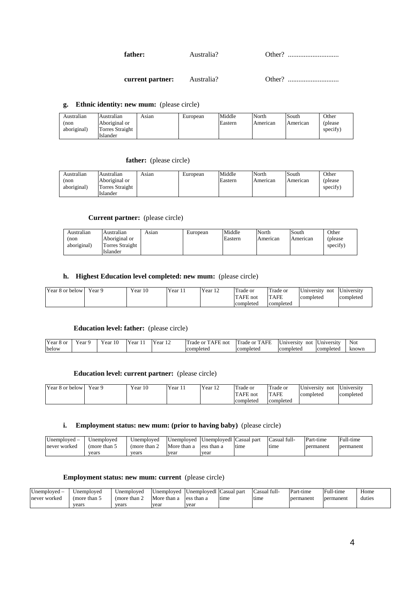**father:** Australia? Other? .............................

 **current partner:** Australia? Other? .............................

#### **g. Ethnic identity: new mum:** (please circle)

| Australian  | Australian      | Asian | European | Middle  | North    | South    | Other    |
|-------------|-----------------|-------|----------|---------|----------|----------|----------|
| non         | Aboriginal or   |       |          | Eastern | American | American | (please) |
| aboriginal) | Torres Straight |       |          |         |          |          | specify) |
|             | <b>Islander</b> |       |          |         |          |          |          |

#### father: (please circle)

| Australian<br>(non | Australian<br>Aboriginal or | Asıan | European | Middle<br>Eastern | North<br>American | South<br>American | Other<br><i>r</i> please |
|--------------------|-----------------------------|-------|----------|-------------------|-------------------|-------------------|--------------------------|
| aboriginal)        | Torres Straight<br>Islander |       |          |                   |                   |                   | specify)                 |

#### **Current partner:** (please circle)

| Australian  | Australian      | Asian | European | Middle  | North    | South    | Other    |
|-------------|-----------------|-------|----------|---------|----------|----------|----------|
| (non        | Aboriginal or   |       |          | Eastern | American | American | (please) |
| aboriginal) | Torres Straight |       |          |         |          |          | specify) |
|             | Islander        |       |          |         |          |          |          |

#### **h. Highest Education level completed: new mum:** (please circle)

| Year 8 or below | Year 9 | $Year_1$<br>10 | $Year_1$ . | Year $12$ | Trade or  | Trade or    | University<br>not | University |
|-----------------|--------|----------------|------------|-----------|-----------|-------------|-------------------|------------|
|                 |        |                |            |           | TAFE not  | <b>TAFE</b> | completed         | completed  |
|                 |        |                |            |           | completed | completed   |                   |            |

#### **Education level: father:** (please circle)

| Year<br>$\sim$<br>າບ | ear | $\sim$ $\sim$<br>. .<br>Y ear | ear | .<br>Y ear | Trade<br>$\overline{ }$<br>not<br>$\alpha$ r | AFF<br>. .<br>-<br>Frade<br>∙ ∩r | l v s<br>not<br>University<br>___ | mversitv      | Not<br>. |
|----------------------|-----|-------------------------------|-----|------------|----------------------------------------------|----------------------------------|-----------------------------------|---------------|----------|
| below                |     |                               |     |            | complete                                     | completed                        | completed                         | comp<br>letec | known    |

#### **Education level: current partner:** (please circle)

| Year.<br>or below , | Year 9 | $Year$ .<br>10 | Year. | $Year_1$<br>1 <sub>0</sub><br>$\perp$ | Ē<br>frade or | rade or     | University<br>not | University |
|---------------------|--------|----------------|-------|---------------------------------------|---------------|-------------|-------------------|------------|
|                     |        |                |       |                                       | `AFE not      | <b>TAFE</b> | completed         | completed  |
|                     |        |                |       |                                       | completed     | completed   |                   |            |

#### **i. Employment status: new mum: (prior to having baby)** (please circle)

| $Unemboved -$ | Unemploved                 | Unemployed        | Unemployed  | Unemployed Casual part |      | Casual full- | Part-time | Full-time |
|---------------|----------------------------|-------------------|-------------|------------------------|------|--------------|-----------|-----------|
| never worked  | (more than $\mathcal{S}$ ) | (more than $\sim$ | More than a | less than a            | time | time         | permanent | permanent |
|               | vears                      | vears             | vear        | vear                   |      |              |           |           |

#### **Employment status: new mum: current** (please circle)

| Unemployed   | Inemployed       | Unemploved        | ∪nemploved     | Jnemplovedl          | Casual part | asual full- | Part-time | Full-time | Home   |
|--------------|------------------|-------------------|----------------|----------------------|-------------|-------------|-----------|-----------|--------|
| never worked | ⇒ than ∟<br>more | r than 4<br>(more | More<br>than a | than a<br>$\Delta$ c | time        | time        | permanent | permanent | duties |
|              | vears            | vears             | vear           | vear                 |             |             |           |           |        |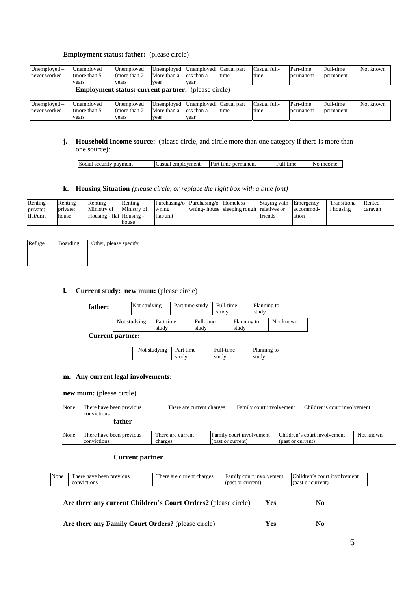#### **Employment status: father:** (please circle)

| $Unemployed -$                                             | Jnemployed    | Unemployed    |             | Unemployed Unemployed Casual part |      | Casual full- | Part-time | Full-time | Not known |  |  |
|------------------------------------------------------------|---------------|---------------|-------------|-----------------------------------|------|--------------|-----------|-----------|-----------|--|--|
| never worked                                               | (more than 5) | (more than 2) | More than a | less than a                       | time | time         | permanent | permanent |           |  |  |
|                                                            | vears         | vears         | vear        | vear                              |      |              |           |           |           |  |  |
| <b>Employment status: current partner:</b> (please circle) |               |               |             |                                   |      |              |           |           |           |  |  |

| $Unemboved -$ | nemploved         | <b>J</b> nemploved | Unemployed  | 11<br>UnemplovedI ICasual | part | `asual full | Part<br>t-tıme | Full-time | knowr<br>N <sub>o</sub><br>w |
|---------------|-------------------|--------------------|-------------|---------------------------|------|-------------|----------------|-----------|------------------------------|
| never worked  | ≀ than '<br>(more | than:<br>more)     | More than a | ∵than a<br>es:            | time | time        | permanent      | permanent |                              |
|               | vears             | vears              | vear        | vear                      |      |             |                |           |                              |

#### **j. Household Income source:** (please circle, and circle more than one category if there is more than one source):

|  |  | Social<br>security<br>payment | Casuai<br>employment | <b>Part</b><br>permanent<br>time | time<br>Full | N <sub>0</sub><br><i>n</i> come |
|--|--|-------------------------------|----------------------|----------------------------------|--------------|---------------------------------|
|--|--|-------------------------------|----------------------|----------------------------------|--------------|---------------------------------|

#### **k. Housing Situation** *(please circle, or replace the right box with a blue font)*

| $Rentine -$ | $\mathbb{R}$ enting – | $Renting -$              | $Rentine -$ | Purchasing/ $\alpha$ | Purchasing/o Homeless – |                                         | Staying with | Emergency | Transitiona | Rented  |
|-------------|-----------------------|--------------------------|-------------|----------------------|-------------------------|-----------------------------------------|--------------|-----------|-------------|---------|
| private:    | private:              | Ministry of              | Ministry of | wning                |                         | whing-house sleeping rough relatives or |              | accommod- | 1 housing   | caravan |
| flat/unit   | house                 | Housing - flat Housing - |             | flat/unit            |                         |                                         | triends      | ation     |             |         |
|             |                       |                          | house       |                      |                         |                                         |              |           |             |         |

| Refuge | Boarding | Other, please specify |
|--------|----------|-----------------------|
|        |          |                       |
|        |          |                       |

#### **l. Current study: new mum:** (please circle)

| father: |              | Not studying       |  | Part time study    |  | Full-time<br>study   |  | Planning to<br>study |  |
|---------|--------------|--------------------|--|--------------------|--|----------------------|--|----------------------|--|
|         | Not studying | Part time<br>study |  | Full-time<br>study |  | Planning to<br>study |  | Not known            |  |

**Current partner:** 

| Not studying Part time |       | Full-time | Planning to |
|------------------------|-------|-----------|-------------|
|                        | study | study     | study       |

#### **m. Any current legal involvements:**

**new mum:** (please circle)

| None | There have been previous<br><b>convictions</b> | There are current charges | Family court involvement | Children's court involvement |
|------|------------------------------------------------|---------------------------|--------------------------|------------------------------|
|      | father                                         |                           |                          |                              |

| None | $\overline{\phantom{a}}$<br>previous<br>l'here<br>have<br>been | $\sim$<br>current<br>There are | $\overline{\phantom{0}}$<br>involvement<br><b>Famil</b><br>cour | $\sim$<br>:hildren<br>cour<br>mvolvement | known<br>Not |
|------|----------------------------------------------------------------|--------------------------------|-----------------------------------------------------------------|------------------------------------------|--------------|
|      | convictions                                                    | charges                        | or current<br>(pasi                                             | or current<br>(past                      |              |

#### **Current partner**

| None | There have been previous                                       | There are current charges | Family court involvement | Children's court involvement |
|------|----------------------------------------------------------------|---------------------------|--------------------------|------------------------------|
|      | convictions                                                    |                           | (past or current)        | (past or current)            |
|      | Are there any current Children's Court Orders? (please circle) |                           | Yes                      | No                           |
|      | Are there any Family Court Orders? (please circle)             |                           | Yes                      | No                           |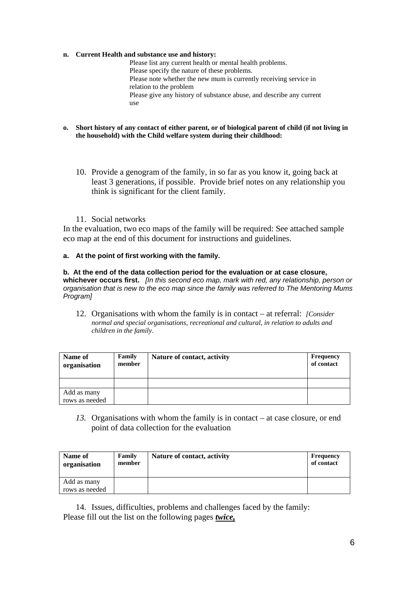**n. Current Health and substance use and history:** 

Please list any current health or mental health problems. Please specify the nature of these problems. Please note whether the new mum is currently receiving service in relation to the problem Please give any history of substance abuse, and describe any current use

- **o. Short history of any contact of either parent, or of biological parent of child (if not living in the household) with the Child welfare system during their childhood:**
	- 10. Provide a genogram of the family, in so far as you know it, going back at least 3 generations, if possible. Provide brief notes on any relationship you think is significant for the client family.
	- 11. Social networks

In the evaluation, two eco maps of the family will be required: See attached sample eco map at the end of this document for instructions and guidelines.

**a. At the point of first working with the family.** 

**b. At the end of the data collection period for the evaluation or at case closure, whichever occurs first.** *[In this second eco map, mark with red, any relationship, person or organisation that is new to the eco map since the family was referred to The Mentoring Mums Program]* 

12. Organisations with whom the family is in contact – at referral: *[Consider normal and special organisations, recreational and cultural, in relation to adults and children in the family.*

| Name of<br>organisation       | Family<br>member | Nature of contact, activity | Frequency<br>of contact |
|-------------------------------|------------------|-----------------------------|-------------------------|
|                               |                  |                             |                         |
| Add as many<br>rows as needed |                  |                             |                         |

*13.* Organisations with whom the family is in contact – at case closure, or end point of data collection for the evaluation

| Name of<br>organisation | Family<br>member | Nature of contact, activity | Frequency<br>of contact |
|-------------------------|------------------|-----------------------------|-------------------------|
| Add as many             |                  |                             |                         |
| rows as needed          |                  |                             |                         |

14. Issues, difficulties, problems and challenges faced by the family: Please fill out the list on the following pages *twice,*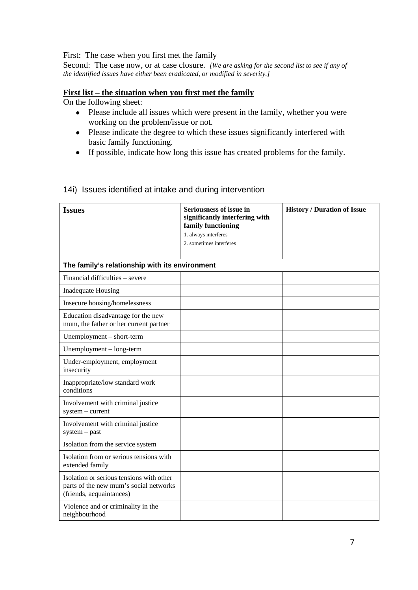First: The case when you first met the family

Second: The case now, or at case closure. *[We are asking for the second list to see if any of the identified issues have either been eradicated, or modified in severity.]* 

#### **First list – the situation when you first met the family**

On the following sheet:

- Please include all issues which were present in the family, whether you were working on the problem/issue or not.
- Please indicate the degree to which these issues significantly interfered with basic family functioning.
- If possible, indicate how long this issue has created problems for the family.

| <b>Issues</b>                                                                                                  | Seriousness of issue in<br>significantly interfering with<br>family functioning<br>1. always interferes<br>2. sometimes interferes | <b>History / Duration of Issue</b> |
|----------------------------------------------------------------------------------------------------------------|------------------------------------------------------------------------------------------------------------------------------------|------------------------------------|
| The family's relationship with its environment                                                                 |                                                                                                                                    |                                    |
| Financial difficulties - severe                                                                                |                                                                                                                                    |                                    |
| <b>Inadequate Housing</b>                                                                                      |                                                                                                                                    |                                    |
| Insecure housing/homelessness                                                                                  |                                                                                                                                    |                                    |
| Education disadvantage for the new<br>mum, the father or her current partner                                   |                                                                                                                                    |                                    |
| Unemployment - short-term                                                                                      |                                                                                                                                    |                                    |
| Unemployment - long-term                                                                                       |                                                                                                                                    |                                    |
| Under-employment, employment<br>insecurity                                                                     |                                                                                                                                    |                                    |
| Inappropriate/low standard work<br>conditions                                                                  |                                                                                                                                    |                                    |
| Involvement with criminal justice<br>$system$ - current                                                        |                                                                                                                                    |                                    |
| Involvement with criminal justice<br>$system - past$                                                           |                                                                                                                                    |                                    |
| Isolation from the service system                                                                              |                                                                                                                                    |                                    |
| Isolation from or serious tensions with<br>extended family                                                     |                                                                                                                                    |                                    |
| Isolation or serious tensions with other<br>parts of the new mum's social networks<br>(friends, acquaintances) |                                                                                                                                    |                                    |
| Violence and or criminality in the<br>neighbourhood                                                            |                                                                                                                                    |                                    |

#### 14i) Issues identified at intake and during intervention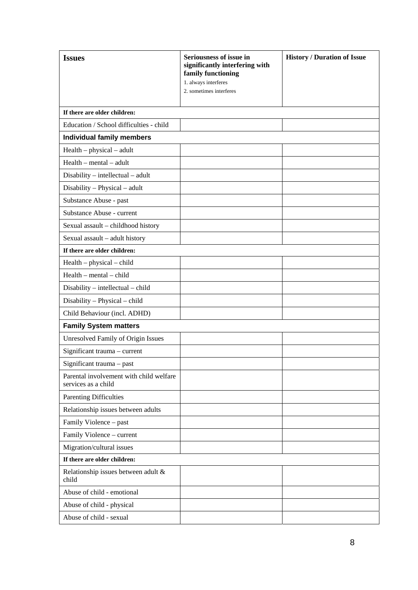| <b>Issues</b>                                                  | Seriousness of issue in<br>significantly interfering with<br>family functioning<br>1. always interferes<br>2. sometimes interferes | <b>History / Duration of Issue</b> |
|----------------------------------------------------------------|------------------------------------------------------------------------------------------------------------------------------------|------------------------------------|
| If there are older children:                                   |                                                                                                                                    |                                    |
| Education / School difficulties - child                        |                                                                                                                                    |                                    |
| <b>Individual family members</b>                               |                                                                                                                                    |                                    |
| $Health - physical - adult$                                    |                                                                                                                                    |                                    |
| Health - mental - adult                                        |                                                                                                                                    |                                    |
| Disability - intellectual - adult                              |                                                                                                                                    |                                    |
| Disability - Physical - adult                                  |                                                                                                                                    |                                    |
| Substance Abuse - past                                         |                                                                                                                                    |                                    |
| Substance Abuse - current                                      |                                                                                                                                    |                                    |
| Sexual assault - childhood history                             |                                                                                                                                    |                                    |
| Sexual assault - adult history                                 |                                                                                                                                    |                                    |
| If there are older children:                                   |                                                                                                                                    |                                    |
| $Health - physical - child$                                    |                                                                                                                                    |                                    |
| $Health - mental - child$                                      |                                                                                                                                    |                                    |
| $Disability - intellectual - child$                            |                                                                                                                                    |                                    |
| Disability - Physical - child                                  |                                                                                                                                    |                                    |
| Child Behaviour (incl. ADHD)                                   |                                                                                                                                    |                                    |
| <b>Family System matters</b>                                   |                                                                                                                                    |                                    |
| <b>Unresolved Family of Origin Issues</b>                      |                                                                                                                                    |                                    |
| Significant trauma - current                                   |                                                                                                                                    |                                    |
| Significant trauma - past                                      |                                                                                                                                    |                                    |
| Parental involvement with child welfare<br>services as a child |                                                                                                                                    |                                    |
| <b>Parenting Difficulties</b>                                  |                                                                                                                                    |                                    |
| Relationship issues between adults                             |                                                                                                                                    |                                    |
| Family Violence - past                                         |                                                                                                                                    |                                    |
| Family Violence - current                                      |                                                                                                                                    |                                    |
| Migration/cultural issues                                      |                                                                                                                                    |                                    |
| If there are older children:                                   |                                                                                                                                    |                                    |
| Relationship issues between adult &<br>child                   |                                                                                                                                    |                                    |
| Abuse of child - emotional                                     |                                                                                                                                    |                                    |
| Abuse of child - physical                                      |                                                                                                                                    |                                    |
| Abuse of child - sexual                                        |                                                                                                                                    |                                    |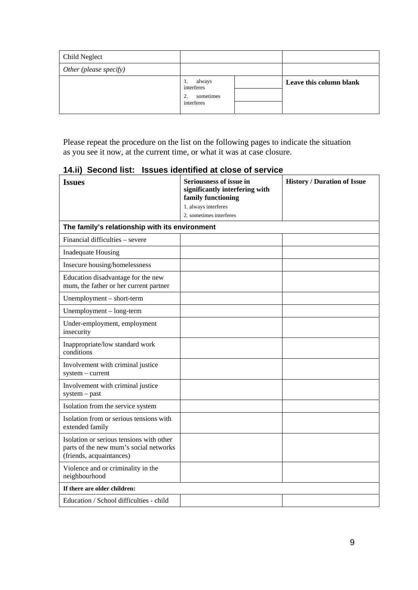| Child Neglect          |                                                       |                         |
|------------------------|-------------------------------------------------------|-------------------------|
| Other (please specify) |                                                       |                         |
|                        | always<br>.,<br>interferes<br>sometimes<br>interferes | Leave this column blank |

Please repeat the procedure on the list on the following pages to indicate the situation as you see it now, at the current time, or what it was at case closure.

|  |  | 14.ii) Second list: Issues identified at close of service |  |  |
|--|--|-----------------------------------------------------------|--|--|
|--|--|-----------------------------------------------------------|--|--|

| <b>Issues</b>                                                                                                  | Seriousness of issue in<br>significantly interfering with<br>family functioning<br>1. always interferes<br>2. sometimes interferes | <b>History / Duration of Issue</b> |
|----------------------------------------------------------------------------------------------------------------|------------------------------------------------------------------------------------------------------------------------------------|------------------------------------|
| The family's relationship with its environment                                                                 |                                                                                                                                    |                                    |
| Financial difficulties - severe                                                                                |                                                                                                                                    |                                    |
| <b>Inadequate Housing</b>                                                                                      |                                                                                                                                    |                                    |
| Insecure housing/homelessness                                                                                  |                                                                                                                                    |                                    |
| Education disadvantage for the new<br>mum, the father or her current partner                                   |                                                                                                                                    |                                    |
| Unemployment - short-term                                                                                      |                                                                                                                                    |                                    |
| Unemployment - long-term                                                                                       |                                                                                                                                    |                                    |
| Under-employment, employment<br>insecurity                                                                     |                                                                                                                                    |                                    |
| Inappropriate/low standard work<br>conditions                                                                  |                                                                                                                                    |                                    |
| Involvement with criminal justice<br>system - current                                                          |                                                                                                                                    |                                    |
| Involvement with criminal justice<br>system - past                                                             |                                                                                                                                    |                                    |
| Isolation from the service system                                                                              |                                                                                                                                    |                                    |
| Isolation from or serious tensions with<br>extended family                                                     |                                                                                                                                    |                                    |
| Isolation or serious tensions with other<br>parts of the new mum's social networks<br>(friends, acquaintances) |                                                                                                                                    |                                    |
| Violence and or criminality in the<br>neighbourhood                                                            |                                                                                                                                    |                                    |
| If there are older children:                                                                                   |                                                                                                                                    |                                    |
| Education / School difficulties - child                                                                        |                                                                                                                                    |                                    |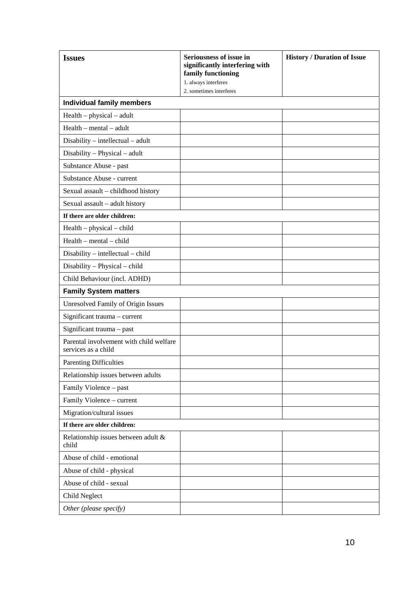| <b>Issues</b>                                                  | Seriousness of issue in<br>significantly interfering with<br>family functioning<br>1. always interferes<br>2. sometimes interferes | <b>History / Duration of Issue</b> |
|----------------------------------------------------------------|------------------------------------------------------------------------------------------------------------------------------------|------------------------------------|
| <b>Individual family members</b>                               |                                                                                                                                    |                                    |
| $Health - physical - adult$                                    |                                                                                                                                    |                                    |
| $Health - mental - adult$                                      |                                                                                                                                    |                                    |
| Disability - intellectual - adult                              |                                                                                                                                    |                                    |
| Disability - Physical - adult                                  |                                                                                                                                    |                                    |
| Substance Abuse - past                                         |                                                                                                                                    |                                    |
| Substance Abuse - current                                      |                                                                                                                                    |                                    |
| Sexual assault - childhood history                             |                                                                                                                                    |                                    |
| Sexual assault - adult history                                 |                                                                                                                                    |                                    |
| If there are older children:                                   |                                                                                                                                    |                                    |
| $Health - physical - child$                                    |                                                                                                                                    |                                    |
| $Health - mental - child$                                      |                                                                                                                                    |                                    |
| Disability - intellectual - child                              |                                                                                                                                    |                                    |
| Disability - Physical - child                                  |                                                                                                                                    |                                    |
| Child Behaviour (incl. ADHD)                                   |                                                                                                                                    |                                    |
| <b>Family System matters</b>                                   |                                                                                                                                    |                                    |
| <b>Unresolved Family of Origin Issues</b>                      |                                                                                                                                    |                                    |
| Significant trauma - current                                   |                                                                                                                                    |                                    |
| Significant trauma - past                                      |                                                                                                                                    |                                    |
| Parental involvement with child welfare<br>services as a child |                                                                                                                                    |                                    |
| Parenting Difficulties                                         |                                                                                                                                    |                                    |
| Relationship issues between adults                             |                                                                                                                                    |                                    |
| Family Violence - past                                         |                                                                                                                                    |                                    |
| Family Violence - current                                      |                                                                                                                                    |                                    |
| Migration/cultural issues                                      |                                                                                                                                    |                                    |
| If there are older children:                                   |                                                                                                                                    |                                    |
| Relationship issues between adult &<br>child                   |                                                                                                                                    |                                    |
| Abuse of child - emotional                                     |                                                                                                                                    |                                    |
| Abuse of child - physical                                      |                                                                                                                                    |                                    |
| Abuse of child - sexual                                        |                                                                                                                                    |                                    |
| <b>Child Neglect</b>                                           |                                                                                                                                    |                                    |
| Other (please specify)                                         |                                                                                                                                    |                                    |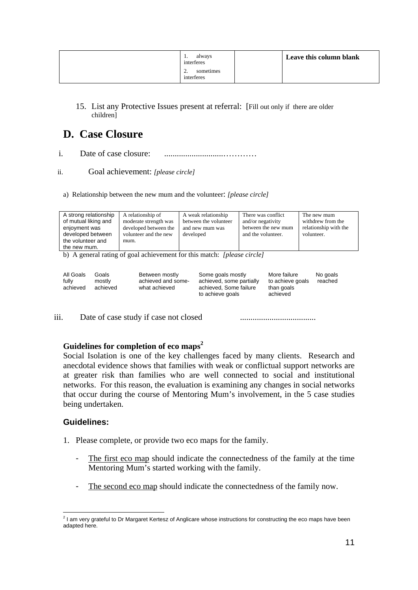| always<br>. .<br>interferes   | Leave this column blank |
|-------------------------------|-------------------------|
| sometimes<br>٠.<br>interferes |                         |

15. List any Protective Issues present at referral: [Fill out only if there are older children]

# **D. Case Closure**

i. Date of case closure: ............................…………

ii. Goal achievement: *[please circle]* 

a) Relationship between the new mum and the volunteer: *[please circle]*

| A strong relationship<br>of mutual liking and<br>enjoyment was<br>developed between<br>the volunteer and<br>mum.<br>the new mum. | A relationship of<br>moderate strength was<br>developed between the<br>volunteer and the new | A weak relationship<br>between the volunteer<br>and new mum was<br>developed | There was conflict<br>and/or negativity<br>between the new mum<br>and the volunteer. | The new mum<br>withdrew from the<br>relationship with the<br>volunteer. |
|----------------------------------------------------------------------------------------------------------------------------------|----------------------------------------------------------------------------------------------|------------------------------------------------------------------------------|--------------------------------------------------------------------------------------|-------------------------------------------------------------------------|
|----------------------------------------------------------------------------------------------------------------------------------|----------------------------------------------------------------------------------------------|------------------------------------------------------------------------------|--------------------------------------------------------------------------------------|-------------------------------------------------------------------------|

b) A general rating of goal achievement for this match: *[please circle]*

| All Goals<br>fully<br>achieved | Goals<br>mostly<br>achieved | Between mostly<br>achieved and some-<br>what achieved | Some goals mostly<br>achieved, some partially<br>achieved. Some failure<br>to achieve goals | More failure<br>to achieve goals<br>than goals<br>achieved | No goals<br>reached |
|--------------------------------|-----------------------------|-------------------------------------------------------|---------------------------------------------------------------------------------------------|------------------------------------------------------------|---------------------|
|--------------------------------|-----------------------------|-------------------------------------------------------|---------------------------------------------------------------------------------------------|------------------------------------------------------------|---------------------|

iii. Date of case study if case not closed ....................................

#### **Guidelines for completion of eco maps<sup>2</sup>**

Social Isolation is one of the key challenges faced by many clients. Research and anecdotal evidence shows that families with weak or conflictual support networks are at greater risk than families who are well connected to social and institutional networks. For this reason, the evaluation is examining any changes in social networks that occur during the course of Mentoring Mum's involvement, in the 5 case studies being undertaken.

### **Guidelines:**

- 1. Please complete, or provide two eco maps for the family.
	- The first eco map should indicate the connectedness of the family at the time Mentoring Mum's started working with the family.
	- The second eco map should indicate the connectedness of the family now.

 2 I am very grateful to Dr Margaret Kertesz of Anglicare whose instructions for constructing the eco maps have been adapted here.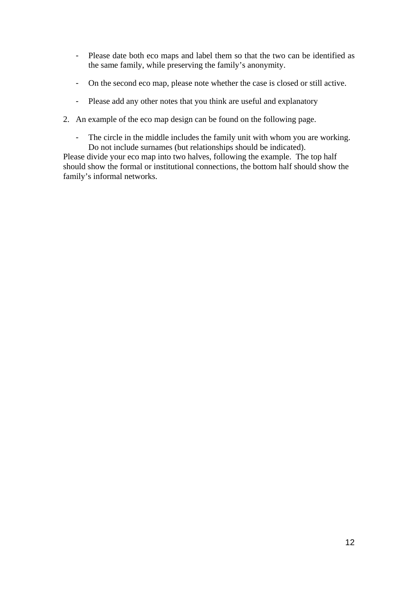- Please date both eco maps and label them so that the two can be identified as the same family, while preserving the family's anonymity.
- On the second eco map, please note whether the case is closed or still active.
- Please add any other notes that you think are useful and explanatory
- 2. An example of the eco map design can be found on the following page.
	- The circle in the middle includes the family unit with whom you are working. Do not include surnames (but relationships should be indicated).

Please divide your eco map into two halves, following the example. The top half should show the formal or institutional connections, the bottom half should show the family's informal networks.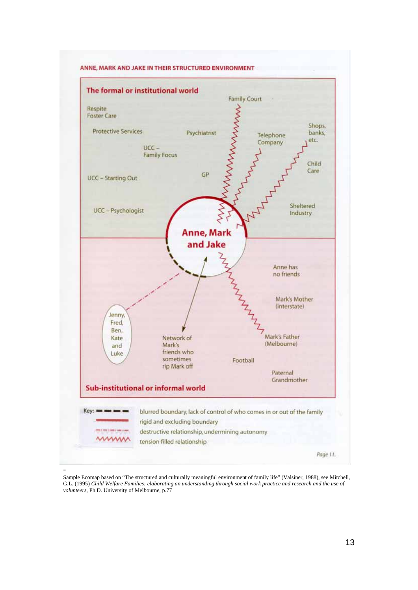

Sample Ecomap based on "The structured and culturally meaningful environment of family life" (Valsiner, 1988), see Mitchell, G.L. (1995) *Child Welfare Families: elaborating an understanding through social work practice and research and the use of volunteers,* Ph.D. University of Melbourne, p.77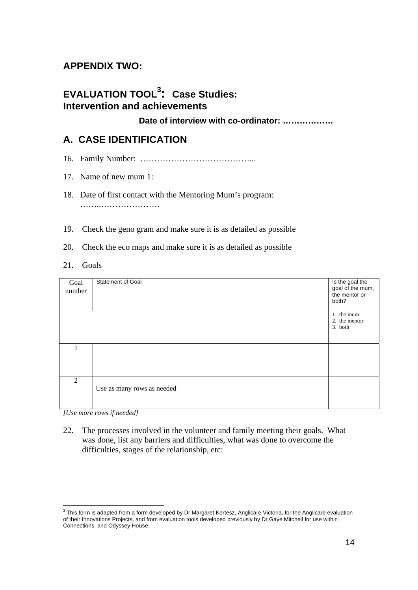### **APPENDIX TWO:**

# **EVALUATION TOOL<sup>3</sup> : Case Studies: Intervention and achievements**

**Date of interview with co-ordinator: ………………** 

### **A. CASE IDENTIFICATION**

- 16. Family Number: …………………………………...
- 17. Name of new mum 1:
- 18. Date of first contact with the Mentoring Mum's program: ……..…………………
- 19. Check the geno gram and make sure it is as detailed as possible
- 20. Check the eco maps and make sure it is as detailed as possible
- 21. Goals

| Goal<br>number | <b>Statement of Goal</b>   | Is the goal the<br>goal of the mum,<br>the mentor or<br>both? |
|----------------|----------------------------|---------------------------------------------------------------|
|                |                            | 1. the mum<br>2. the mentor<br>3. both                        |
|                |                            |                                                               |
| 2              | Use as many rows as needed |                                                               |

*[Use more rows if needed]* 

1

22. The processes involved in the volunteer and family meeting their goals. What was done, list any barriers and difficulties, what was done to overcome the difficulties, stages of the relationship, etc:

 $3$  This form is adapted from a form developed by Dr Margaret Kertesz, Anglicare Victoria, for the Anglicare evaluation of their Innovations Projects, and from evaluation tools developed previously by Dr Gaye Mitchell for use within Connections, and Odyssey House.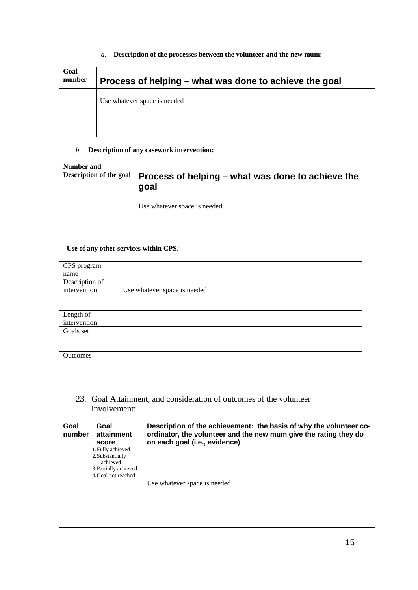*a.* **Description of the processes between the volunteer and the new mum:**

| Process of helping – what was done to achieve the goal |
|--------------------------------------------------------|
| Use whatever space is needed                           |
|                                                        |
|                                                        |

#### *b.* **Description of any casework intervention:**

| Number and              | Process of helping – what was done to achieve the |  |  |  |
|-------------------------|---------------------------------------------------|--|--|--|
| Description of the goal | goal                                              |  |  |  |
|                         | Use whatever space is needed                      |  |  |  |

#### **Use of any other services within CPS***:*

| CPS program<br>name            |                              |
|--------------------------------|------------------------------|
| Description of<br>intervention | Use whatever space is needed |
| Length of<br>intervention      |                              |
| Goals set                      |                              |
| Outcomes                       |                              |

23. Goal Attainment, and consideration of outcomes of the volunteer involvement:

| Goal<br>number | Goal<br>attainment<br>score<br>1. Fully achieved<br>2. Substantially<br>achieved<br>3. Partially achieved<br>4. Goal not reached | Description of the achievement: the basis of why the volunteer co-<br>ordinator, the volunteer and the new mum give the rating they do<br>on each goal (i.e., evidence) |
|----------------|----------------------------------------------------------------------------------------------------------------------------------|-------------------------------------------------------------------------------------------------------------------------------------------------------------------------|
|                |                                                                                                                                  | Use whatever space is needed                                                                                                                                            |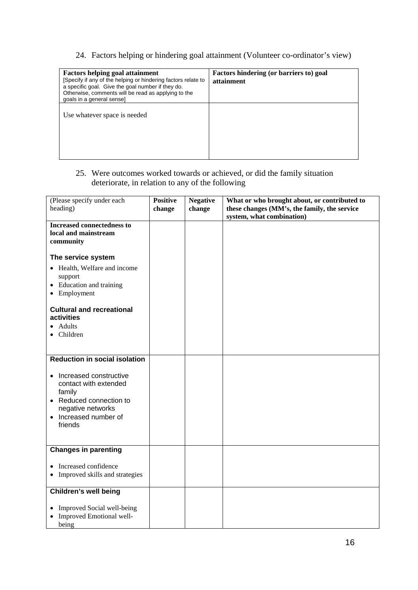24. Factors helping or hindering goal attainment (Volunteer co-ordinator's view)

| <b>Factors helping goal attainment</b><br>[Specify if any of the helping or hindering factors relate to<br>a specific goal. Give the goal number if they do.<br>Otherwise, comments will be read as applying to the<br>goals in a general sensel | Factors hindering (or barriers to) goal<br>attainment |
|--------------------------------------------------------------------------------------------------------------------------------------------------------------------------------------------------------------------------------------------------|-------------------------------------------------------|
| Use whatever space is needed                                                                                                                                                                                                                     |                                                       |

### 25. Were outcomes worked towards or achieved, or did the family situation deteriorate, in relation to any of the following

| (Please specify under each<br>heading)                                                                                                          | <b>Positive</b><br>change | <b>Negative</b><br>change | What or who brought about, or contributed to<br>these changes (MM's, the family, the service |
|-------------------------------------------------------------------------------------------------------------------------------------------------|---------------------------|---------------------------|----------------------------------------------------------------------------------------------|
|                                                                                                                                                 |                           |                           | system, what combination)                                                                    |
| <b>Increased connectedness to</b><br>local and mainstream                                                                                       |                           |                           |                                                                                              |
| community                                                                                                                                       |                           |                           |                                                                                              |
|                                                                                                                                                 |                           |                           |                                                                                              |
| The service system                                                                                                                              |                           |                           |                                                                                              |
| • Health, Welfare and income<br>support                                                                                                         |                           |                           |                                                                                              |
| • Education and training                                                                                                                        |                           |                           |                                                                                              |
| • Employment                                                                                                                                    |                           |                           |                                                                                              |
| <b>Cultural and recreational</b><br>activities<br>• Adults<br>• Children                                                                        |                           |                           |                                                                                              |
| <b>Reduction in social isolation</b>                                                                                                            |                           |                           |                                                                                              |
| • Increased constructive<br>contact with extended<br>family<br>• Reduced connection to<br>negative networks<br>• Increased number of<br>friends |                           |                           |                                                                                              |
| <b>Changes in parenting</b>                                                                                                                     |                           |                           |                                                                                              |
| • Increased confidence<br>• Improved skills and strategies                                                                                      |                           |                           |                                                                                              |
| <b>Children's well being</b>                                                                                                                    |                           |                           |                                                                                              |
| • Improved Social well-being<br>Improved Emotional well-<br>$\bullet$<br>being                                                                  |                           |                           |                                                                                              |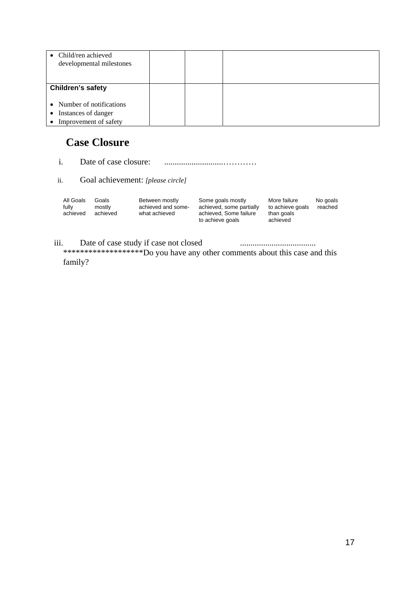| • Child/ren achieved<br>developmental milestones                                                    |  |  |
|-----------------------------------------------------------------------------------------------------|--|--|
| Children's safety                                                                                   |  |  |
| • Number of notifications<br>Instances of danger<br>$\bullet$<br>Improvement of safety<br>$\bullet$ |  |  |

# **Case Closure**

i. Date of case closure: ............................…………

ii. Goal achievement: *[please circle]* 

| All Goals<br>fully<br>achieved | Goals<br>mostly<br>achieved | Between mostly<br>achieved and some-<br>what achieved | Some goals mostly<br>achieved, some partially<br>achieved. Some failure<br>to achieve goals | More failure<br>to achieve goals<br>than goals<br>achieved | No goals<br>reached |
|--------------------------------|-----------------------------|-------------------------------------------------------|---------------------------------------------------------------------------------------------|------------------------------------------------------------|---------------------|
|                                |                             |                                                       |                                                                                             |                                                            |                     |

iii. Date of case study if case not closed ....................................

\*\*\*\*\*\*\*\*\*\*\*\*\*\*\*\*\*\*\*Do you have any other comments about this case and this

family?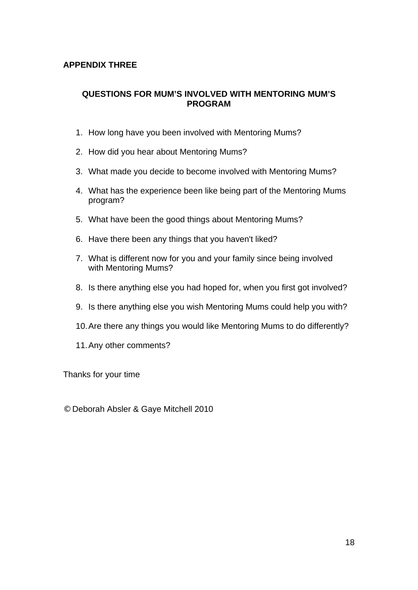### **APPENDIX THREE**

### **QUESTIONS FOR MUM'S INVOLVED WITH MENTORING MUM'S PROGRAM**

- 1. How long have you been involved with Mentoring Mums?
- 2. How did you hear about Mentoring Mums?
- 3. What made you decide to become involved with Mentoring Mums?
- 4. What has the experience been like being part of the Mentoring Mums program?
- 5. What have been the good things about Mentoring Mums?
- 6. Have there been any things that you haven't liked?
- 7. What is different now for you and your family since being involved with Mentoring Mums?
- 8. Is there anything else you had hoped for, when you first got involved?
- 9. Is there anything else you wish Mentoring Mums could help you with?
- 10. Are there any things you would like Mentoring Mums to do differently?
- 11. Any other comments?

Thanks for your time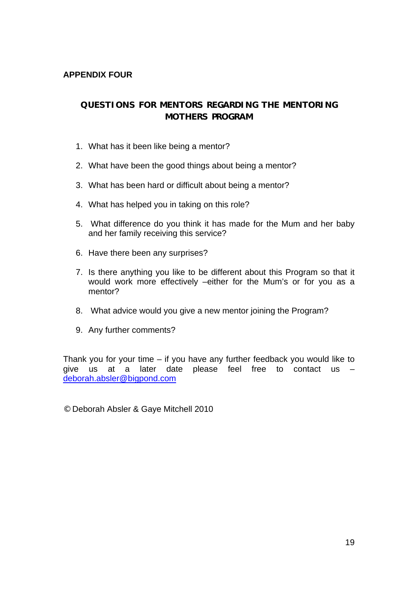### **APPENDIX FOUR**

### **QUESTIONS FOR MENTORS REGARDING THE MENTORING MOTHERS PROGRAM**

- 1. What has it been like being a mentor?
- 2. What have been the good things about being a mentor?
- 3. What has been hard or difficult about being a mentor?
- 4. What has helped you in taking on this role?
- 5. What difference do you think it has made for the Mum and her baby and her family receiving this service?
- 6. Have there been any surprises?
- 7. Is there anything you like to be different about this Program so that it would work more effectively –either for the Mum's or for you as a mentor?
- 8. What advice would you give a new mentor joining the Program?
- 9. Any further comments?

Thank you for your time – if you have any further feedback you would like to give us at a later date please feel free to contact us – deborah.absler@bigpond.com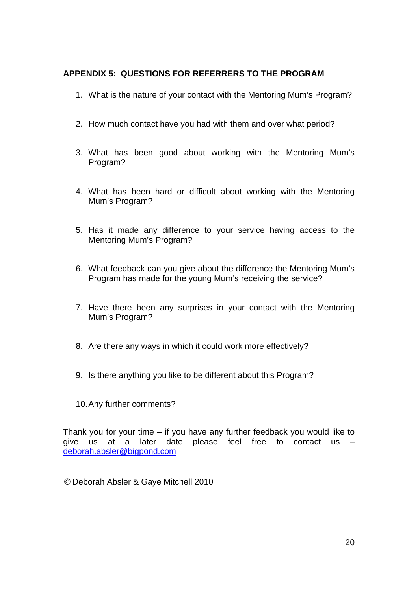### **APPENDIX 5: QUESTIONS FOR REFERRERS TO THE PROGRAM**

- 1. What is the nature of your contact with the Mentoring Mum's Program?
- 2. How much contact have you had with them and over what period?
- 3. What has been good about working with the Mentoring Mum's Program?
- 4. What has been hard or difficult about working with the Mentoring Mum's Program?
- 5. Has it made any difference to your service having access to the Mentoring Mum's Program?
- 6. What feedback can you give about the difference the Mentoring Mum's Program has made for the young Mum's receiving the service?
- 7. Have there been any surprises in your contact with the Mentoring Mum's Program?
- 8. Are there any ways in which it could work more effectively?
- 9. Is there anything you like to be different about this Program?
- 10. Any further comments?

Thank you for your time – if you have any further feedback you would like to give us at a later date please feel free to contact us – deborah.absler@bigpond.com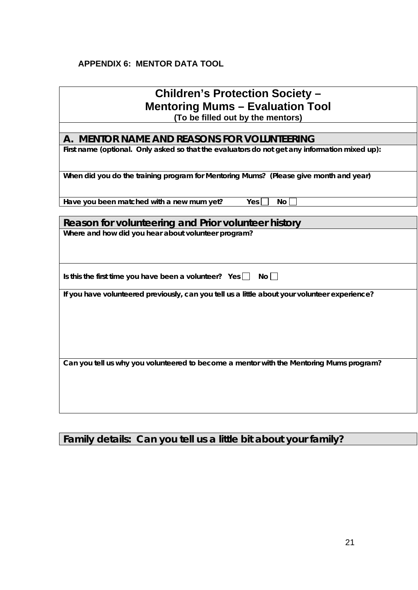### **APPENDIX 6: MENTOR DATA TOOL**

# **Children's Protection Society – Mentoring Mums – Evaluation Tool (To be filled out by the mentors)**

#### **A. MENTOR NAME AND REASONS FOR VOLUNTEERING**

**First name (optional. Only asked so that the evaluators do not get any information mixed up):** 

**When did you do the training program for Mentoring Mums? (Please give month and year)** 

Have you been matched with a new mum yet?  $Yes \Box \text{ No } \Box$ 

# **Reason for volunteering and Prior volunteer history**

**Where and how did you hear about volunteer program?** 

Is this the first time you have been a volunteer? Yes  $\Box$  No  $\Box$ 

**If you have volunteered previously, can you tell us a little about your volunteer experience?** 

**Can you tell us why you volunteered to become a mentor with the Mentoring Mums program?** 

## **Family details: Can you tell us a little bit about your family?**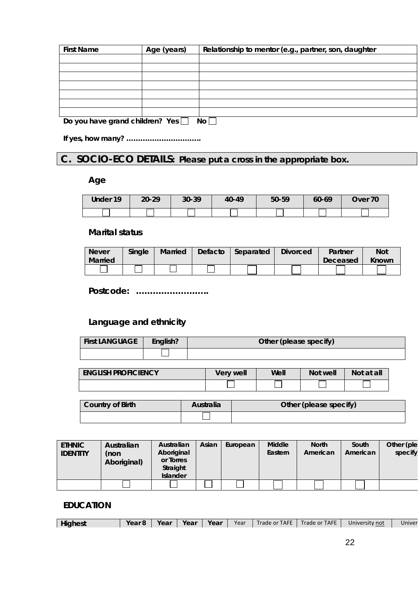| <b>First Name</b>               | Age (years) | Relationship to mentor (e.g., partner, son, daughter |
|---------------------------------|-------------|------------------------------------------------------|
|                                 |             |                                                      |
|                                 |             |                                                      |
|                                 |             |                                                      |
|                                 |             |                                                      |
|                                 |             |                                                      |
|                                 |             |                                                      |
|                                 |             |                                                      |
| Do you have grand children? Yes |             | No <sub>1</sub>                                      |

**If yes, how many? …………………………..** 

# **C. SOCIO-ECO DETAILS: Please put a cross in the appropriate box.**

### **Age**

| Under 19 | $20 - 29$ | 30-39 | 40-49 | 50-59 | 60-69 | Over 70 |
|----------|-----------|-------|-------|-------|-------|---------|
|          |           |       |       |       |       |         |

### **Marital status**

| <b>Never</b><br>Married | <b>Single</b> | <b>Married</b> | Defacto | Separated | <b>Divorced</b> | Partner<br>Deceased | Not<br>Known |
|-------------------------|---------------|----------------|---------|-----------|-----------------|---------------------|--------------|
|                         |               |                |         |           |                 |                     |              |

**Postcode: ……………………..** 

## **Language and ethnicity**

| <b>First LANGUAGE</b> | English? | Other (please specify) |
|-----------------------|----------|------------------------|
|                       |          |                        |

| <b>ENGLISH PROFICIENCY</b> | Very well |  | Not well | Not at all |
|----------------------------|-----------|--|----------|------------|
|                            |           |  |          |            |

| Country of Birth | Australia | Other (please specify) |
|------------------|-----------|------------------------|
|                  |           |                        |

| <b>ETHNIC</b><br><b>IDENTITY</b> | Australian<br>(non<br>Aboriginal) | Australian<br>Aboriginal<br>or Torres<br>Straight<br><b>Islander</b> | Asian | European | <b>Middle</b><br>Eastern | <b>North</b><br>American | South<br>American | Other (ple<br>specify] |
|----------------------------------|-----------------------------------|----------------------------------------------------------------------|-------|----------|--------------------------|--------------------------|-------------------|------------------------|
|                                  |                                   |                                                                      |       |          |                          |                          |                   |                        |

### **EDUCATION**

|  | Year<br>Trade or TAFE<br>Vear<br>Highest<br>Year 8<br>Year<br>Year | University not<br>Trade or TAFE<br>Univer |
|--|--------------------------------------------------------------------|-------------------------------------------|
|--|--------------------------------------------------------------------|-------------------------------------------|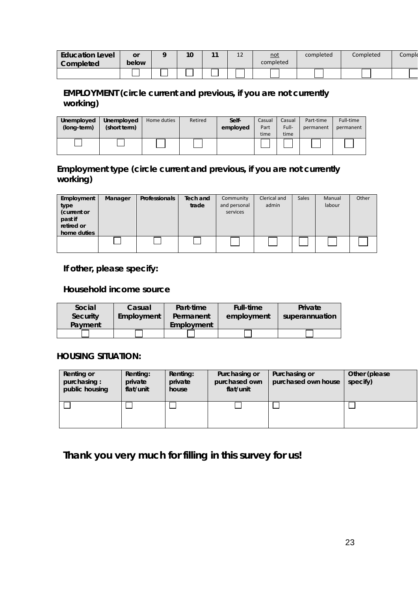| <b>Education Level</b> | or    | 10 | 44 | $\sim$<br>ᆠ | <u>not</u><br>completed | completed | Completed | Comple |
|------------------------|-------|----|----|-------------|-------------------------|-----------|-----------|--------|
| Completed              | below |    |    |             |                         |           |           |        |
|                        |       |    |    |             |                         |           |           |        |

### **EMPLOYMENT (circle current and previous, if you are not currently working)**

| Unemployed<br>(long-term) | Unemployed<br>(short term) | Home duties | Retired | Self-<br>employed | Casual<br>Part<br>time | Casual<br>Full-<br>time | Part-time<br>permanent | Full-time<br>permanent |
|---------------------------|----------------------------|-------------|---------|-------------------|------------------------|-------------------------|------------------------|------------------------|
|                           |                            |             |         |                   |                        |                         |                        |                        |

### **Employment type (circle current and previous, if you are not currently working)**

| Employment<br>type<br>(current or<br>past if<br>retired or<br>home duties | Manager | Professionals | Tech and<br>trade | Community<br>and personal<br>services | Clerical and<br>admin | Sales | Manual<br>labour | Other |
|---------------------------------------------------------------------------|---------|---------------|-------------------|---------------------------------------|-----------------------|-------|------------------|-------|
|                                                                           |         |               |                   |                                       |                       |       |                  |       |

### **If other, please specify:**

### **Household income source**

| Social   | Casual                  | Part-time  | Full-time  | Private        |
|----------|-------------------------|------------|------------|----------------|
| Security | Employment<br>Permanent |            | employment | superannuation |
| Payment  |                         | Employment |            |                |
|          |                         |            |            |                |

### **HOUSING SITUATION:**

| Renting or<br>purchasing:<br>public housing | Renting:<br>private<br>flat/unit | Renting:<br>private<br>house | Purchasing or<br>purchased own<br>flat/unit | Purchasing or<br>purchased own house | Other (please<br>specify) |
|---------------------------------------------|----------------------------------|------------------------------|---------------------------------------------|--------------------------------------|---------------------------|
|                                             |                                  |                              |                                             |                                      |                           |

# **Thank you very much for filling in this survey for us!**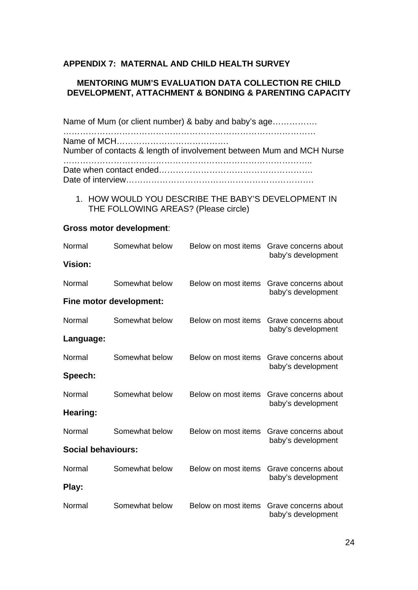### **APPENDIX 7: MATERNAL AND CHILD HEALTH SURVEY**

### **MENTORING MUM'S EVALUATION DATA COLLECTION RE CHILD DEVELOPMENT, ATTACHMENT & BONDING & PARENTING CAPACITY**

Name of Mum (or client number) & baby and baby's age……………. ………………………………………………………………………………

Name of MCH………………………………….

Number of contacts & length of involvement between Mum and MCH Nurse

Date of interview………………………………………………………….

1. HOW WOULD YOU DESCRIBE THE BABY'S DEVELOPMENT IN THE FOLLOWING AREAS? (Please circle)

#### **Gross motor development**:

| Normal                    | Somewhat below          | Below on most items | Grave concerns about<br>baby's development |
|---------------------------|-------------------------|---------------------|--------------------------------------------|
| <b>Vision:</b>            |                         |                     |                                            |
| Normal                    | Somewhat below          | Below on most items | Grave concerns about<br>baby's development |
|                           | Fine motor development: |                     |                                            |
| Normal                    | Somewhat below          | Below on most items | Grave concerns about<br>baby's development |
| Language:                 |                         |                     |                                            |
| Normal                    | Somewhat below          | Below on most items | Grave concerns about                       |
| Speech:                   |                         |                     | baby's development                         |
| Normal                    | Somewhat below          | Below on most items | Grave concerns about                       |
| Hearing:                  |                         |                     | baby's development                         |
| Normal                    | Somewhat below          | Below on most items | Grave concerns about                       |
| <b>Social behaviours:</b> |                         |                     | baby's development                         |
| Normal                    | Somewhat below          | Below on most items | Grave concerns about                       |
| Play:                     |                         |                     | baby's development                         |
| Normal                    | Somewhat below          | Below on most items | Grave concerns about<br>baby's development |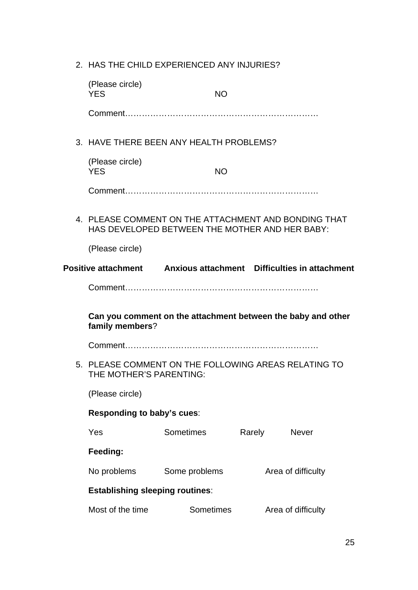2. HAS THE CHILD EXPERIENCED ANY INJURIES?

| (Please circle)<br><b>YES</b>          | <b>NO</b>                                      |                                                              |
|----------------------------------------|------------------------------------------------|--------------------------------------------------------------|
| Comment                                |                                                |                                                              |
|                                        | 3. HAVE THERE BEEN ANY HEALTH PROBLEMS?        |                                                              |
| (Please circle)<br><b>YES</b>          | <b>NO</b>                                      |                                                              |
|                                        |                                                |                                                              |
|                                        | HAS DEVELOPED BETWEEN THE MOTHER AND HER BABY: | 4. PLEASE COMMENT ON THE ATTACHMENT AND BONDING THAT         |
| (Please circle)                        |                                                |                                                              |
|                                        |                                                |                                                              |
|                                        |                                                |                                                              |
|                                        |                                                |                                                              |
| family members?                        |                                                | Can you comment on the attachment between the baby and other |
|                                        |                                                |                                                              |
| THE MOTHER'S PARENTING:                |                                                | 5. PLEASE COMMENT ON THE FOLLOWING AREAS RELATING TO         |
| (Please circle)                        |                                                |                                                              |
| Responding to baby's cues:             |                                                |                                                              |
| Yes                                    | <b>Sometimes</b>                               | Rarely<br><b>Never</b>                                       |
| Feeding:                               |                                                |                                                              |
| No problems                            | Some problems                                  | Area of difficulty                                           |
| <b>Establishing sleeping routines:</b> |                                                |                                                              |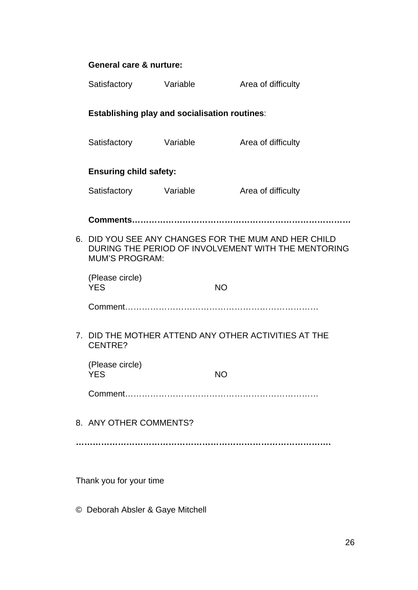| <b>General care &amp; nurture:</b>                                                                                                   |           |                    |  |  |
|--------------------------------------------------------------------------------------------------------------------------------------|-----------|--------------------|--|--|
| Satisfactory Variable                                                                                                                |           | Area of difficulty |  |  |
| <b>Establishing play and socialisation routines:</b>                                                                                 |           |                    |  |  |
| Satisfactory Variable                                                                                                                |           | Area of difficulty |  |  |
| <b>Ensuring child safety:</b>                                                                                                        |           |                    |  |  |
| Satisfactory Variable                                                                                                                |           | Area of difficulty |  |  |
|                                                                                                                                      |           |                    |  |  |
| 6. DID YOU SEE ANY CHANGES FOR THE MUM AND HER CHILD<br>DURING THE PERIOD OF INVOLVEMENT WITH THE MENTORING<br><b>MUM'S PROGRAM:</b> |           |                    |  |  |
| (Please circle)<br><b>YES</b>                                                                                                        | <b>NO</b> |                    |  |  |
|                                                                                                                                      |           |                    |  |  |
| 7. DID THE MOTHER ATTEND ANY OTHER ACTIVITIES AT THE<br>CENTRE?                                                                      |           |                    |  |  |
| (Please circle)<br><b>YES</b>                                                                                                        | <b>NO</b> |                    |  |  |
|                                                                                                                                      |           |                    |  |  |
| 8. ANY OTHER COMMENTS?                                                                                                               |           |                    |  |  |
|                                                                                                                                      |           |                    |  |  |
| Thank you for your time                                                                                                              |           |                    |  |  |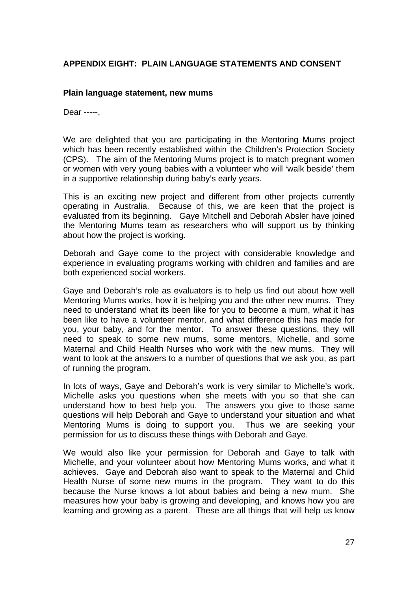### **APPENDIX EIGHT: PLAIN LANGUAGE STATEMENTS AND CONSENT**

#### **Plain language statement, new mums**

Dear -----,

We are delighted that you are participating in the Mentoring Mums project which has been recently established within the Children's Protection Society (CPS). The aim of the Mentoring Mums project is to match pregnant women or women with very young babies with a volunteer who will 'walk beside' them in a supportive relationship during baby's early years.

This is an exciting new project and different from other projects currently operating in Australia. Because of this, we are keen that the project is evaluated from its beginning. Gaye Mitchell and Deborah Absler have joined the Mentoring Mums team as researchers who will support us by thinking about how the project is working.

Deborah and Gaye come to the project with considerable knowledge and experience in evaluating programs working with children and families and are both experienced social workers.

Gaye and Deborah's role as evaluators is to help us find out about how well Mentoring Mums works, how it is helping you and the other new mums. They need to understand what its been like for you to become a mum, what it has been like to have a volunteer mentor, and what difference this has made for you, your baby, and for the mentor. To answer these questions, they will need to speak to some new mums, some mentors, Michelle, and some Maternal and Child Health Nurses who work with the new mums. They will want to look at the answers to a number of questions that we ask you, as part of running the program.

In lots of ways, Gaye and Deborah's work is very similar to Michelle's work. Michelle asks you questions when she meets with you so that she can understand how to best help you. The answers you give to those same questions will help Deborah and Gaye to understand your situation and what Mentoring Mums is doing to support you. Thus we are seeking your permission for us to discuss these things with Deborah and Gaye.

We would also like your permission for Deborah and Gaye to talk with Michelle, and your volunteer about how Mentoring Mums works, and what it achieves. Gaye and Deborah also want to speak to the Maternal and Child Health Nurse of some new mums in the program. They want to do this because the Nurse knows a lot about babies and being a new mum. She measures how your baby is growing and developing, and knows how you are learning and growing as a parent. These are all things that will help us know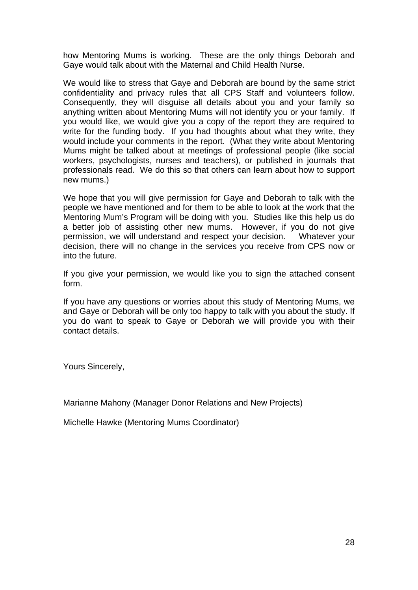how Mentoring Mums is working. These are the only things Deborah and Gaye would talk about with the Maternal and Child Health Nurse.

We would like to stress that Gaye and Deborah are bound by the same strict confidentiality and privacy rules that all CPS Staff and volunteers follow. Consequently, they will disguise all details about you and your family so anything written about Mentoring Mums will not identify you or your family. If you would like, we would give you a copy of the report they are required to write for the funding body. If you had thoughts about what they write, they would include your comments in the report. (What they write about Mentoring Mums might be talked about at meetings of professional people (like social workers, psychologists, nurses and teachers), or published in journals that professionals read. We do this so that others can learn about how to support new mums.)

We hope that you will give permission for Gaye and Deborah to talk with the people we have mentioned and for them to be able to look at the work that the Mentoring Mum's Program will be doing with you. Studies like this help us do a better job of assisting other new mums. However, if you do not give permission, we will understand and respect your decision. Whatever your decision, there will no change in the services you receive from CPS now or into the future.

If you give your permission, we would like you to sign the attached consent form.

If you have any questions or worries about this study of Mentoring Mums, we and Gaye or Deborah will be only too happy to talk with you about the study. If you do want to speak to Gaye or Deborah we will provide you with their contact details.

Yours Sincerely,

Marianne Mahony (Manager Donor Relations and New Projects)

Michelle Hawke (Mentoring Mums Coordinator)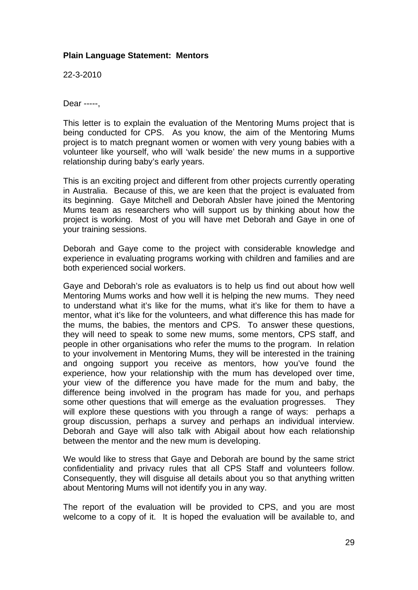### **Plain Language Statement: Mentors**

22-3-2010

Dear -----,

This letter is to explain the evaluation of the Mentoring Mums project that is being conducted for CPS. As you know, the aim of the Mentoring Mums project is to match pregnant women or women with very young babies with a volunteer like yourself, who will 'walk beside' the new mums in a supportive relationship during baby's early years.

This is an exciting project and different from other projects currently operating in Australia. Because of this, we are keen that the project is evaluated from its beginning. Gaye Mitchell and Deborah Absler have joined the Mentoring Mums team as researchers who will support us by thinking about how the project is working. Most of you will have met Deborah and Gaye in one of your training sessions.

Deborah and Gaye come to the project with considerable knowledge and experience in evaluating programs working with children and families and are both experienced social workers.

Gaye and Deborah's role as evaluators is to help us find out about how well Mentoring Mums works and how well it is helping the new mums. They need to understand what it's like for the mums, what it's like for them to have a mentor, what it's like for the volunteers, and what difference this has made for the mums, the babies, the mentors and CPS. To answer these questions, they will need to speak to some new mums, some mentors, CPS staff, and people in other organisations who refer the mums to the program. In relation to your involvement in Mentoring Mums, they will be interested in the training and ongoing support you receive as mentors, how you've found the experience, how your relationship with the mum has developed over time, your view of the difference you have made for the mum and baby, the difference being involved in the program has made for you, and perhaps some other questions that will emerge as the evaluation progresses. They will explore these questions with you through a range of ways: perhaps a group discussion, perhaps a survey and perhaps an individual interview. Deborah and Gaye will also talk with Abigail about how each relationship between the mentor and the new mum is developing.

We would like to stress that Gaye and Deborah are bound by the same strict confidentiality and privacy rules that all CPS Staff and volunteers follow. Consequently, they will disguise all details about you so that anything written about Mentoring Mums will not identify you in any way.

The report of the evaluation will be provided to CPS, and you are most welcome to a copy of it. It is hoped the evaluation will be available to, and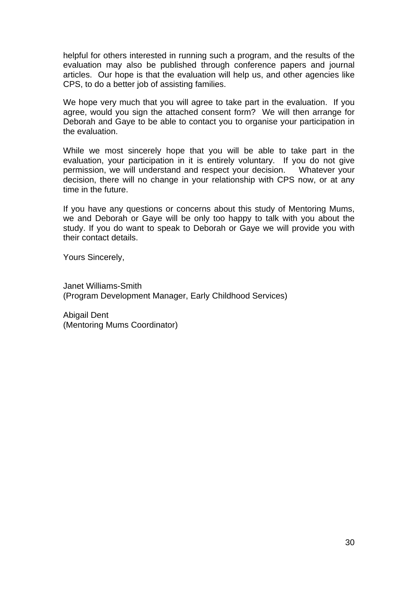helpful for others interested in running such a program, and the results of the evaluation may also be published through conference papers and journal articles. Our hope is that the evaluation will help us, and other agencies like CPS, to do a better job of assisting families.

We hope very much that you will agree to take part in the evaluation. If you agree, would you sign the attached consent form? We will then arrange for Deborah and Gaye to be able to contact you to organise your participation in the evaluation.

While we most sincerely hope that you will be able to take part in the evaluation, your participation in it is entirely voluntary. If you do not give permission, we will understand and respect your decision. Whatever your decision, there will no change in your relationship with CPS now, or at any time in the future.

If you have any questions or concerns about this study of Mentoring Mums, we and Deborah or Gaye will be only too happy to talk with you about the study. If you do want to speak to Deborah or Gaye we will provide you with their contact details.

Yours Sincerely,

Janet Williams-Smith (Program Development Manager, Early Childhood Services)

Abigail Dent (Mentoring Mums Coordinator)